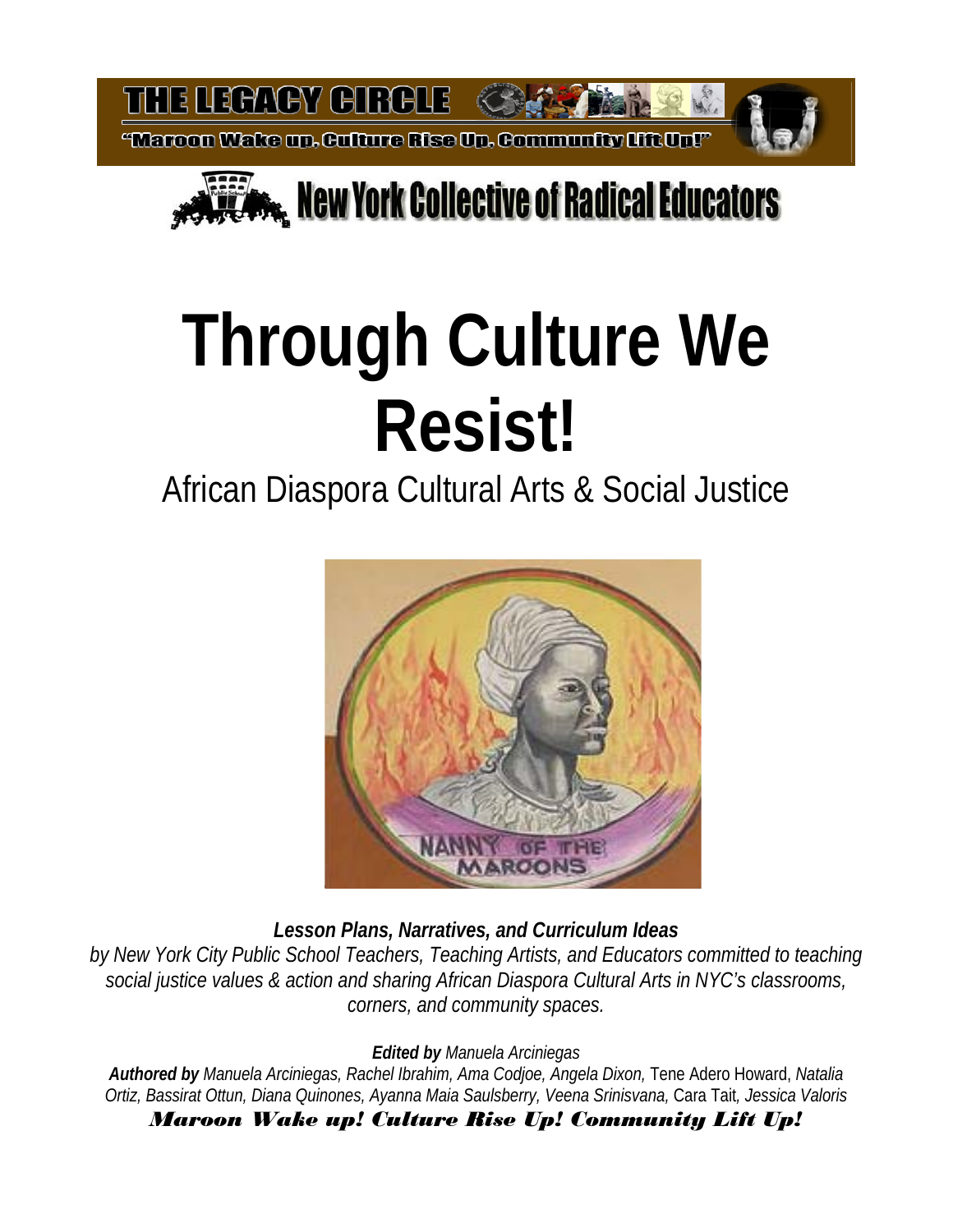



# **Through Culture We Resist!**

## African Diaspora Cultural Arts & Social Justice



*Lesson Plans, Narratives, and Curriculum Ideas* 

*by New York City Public School Teachers, Teaching Artists, and Educators committed to teaching social justice values & action and sharing African Diaspora Cultural Arts in NYC's classrooms, corners, and community spaces.* 

*Edited by Manuela Arciniegas* 

*Authored by Manuela Arciniegas, Rachel Ibrahim, Ama Codjoe, Angela Dixon,* Tene Adero Howard, *Natalia Ortiz, Bassirat Ottun, Diana Quinones, Ayanna Maia Saulsberry, Veena Srinisvana,* Cara Tait*, Jessica Valoris Maroon Wake up! Culture Rise Up! Community Lift Up!*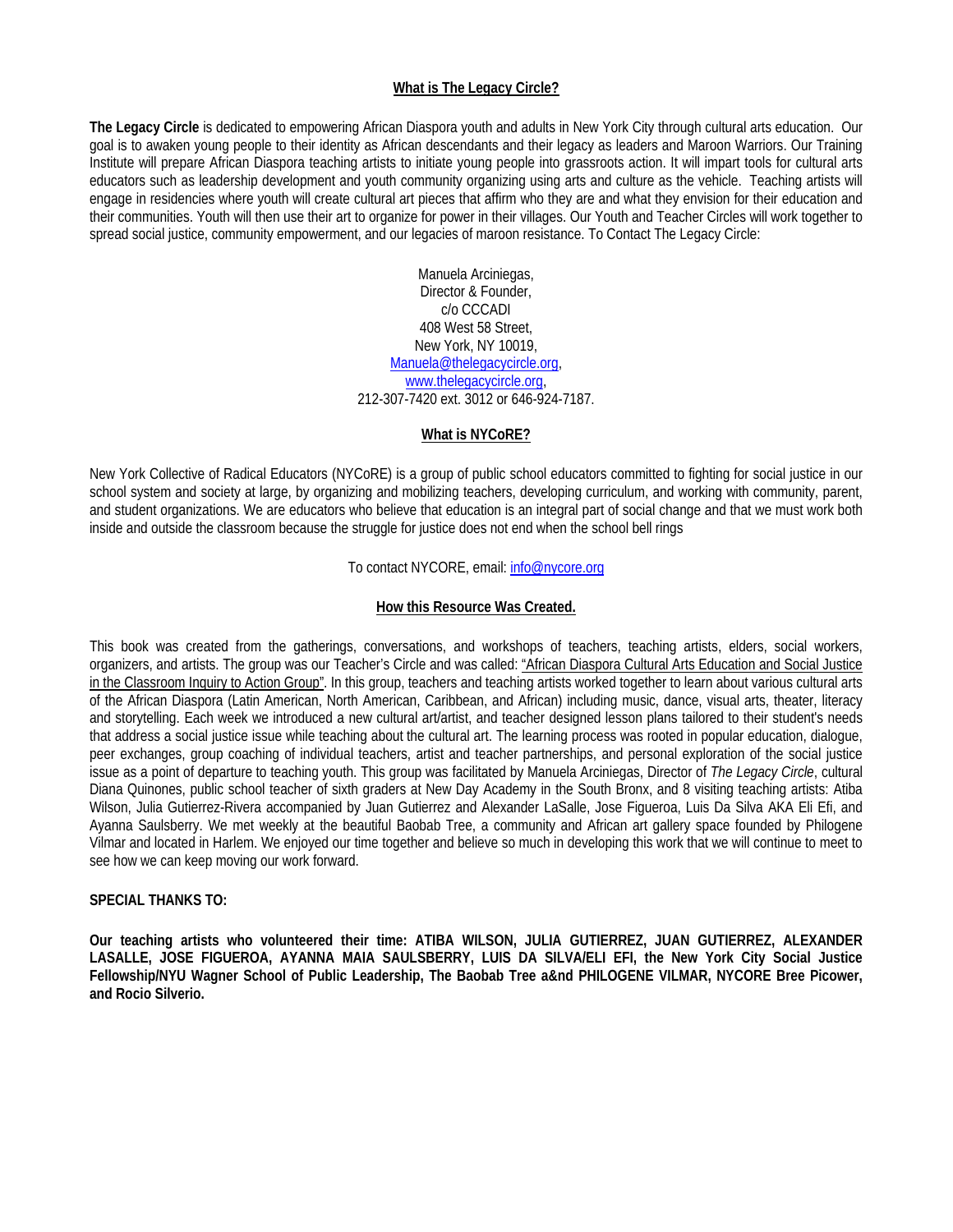#### **What is The Legacy Circle?**

**The Legacy Circle** is dedicated to empowering African Diaspora youth and adults in New York City through cultural arts education. Our goal is to awaken young people to their identity as African descendants and their legacy as leaders and Maroon Warriors. Our Training Institute will prepare African Diaspora teaching artists to initiate young people into grassroots action. It will impart tools for cultural arts educators such as leadership development and youth community organizing using arts and culture as the vehicle. Teaching artists will engage in residencies where youth will create cultural art pieces that affirm who they are and what they envision for their education and their communities. Youth will then use their art to organize for power in their villages. Our Youth and Teacher Circles will work together to spread social justice, community empowerment, and our legacies of maroon resistance. To Contact The Legacy Circle:

> Manuela Arciniegas, Director & Founder, c/o CCCADI 408 West 58 Street, New York, NY 10019, [Manuela@thelegacycircle.org,](mailto:Manuela@thelegacycircle.org) [www.thelegacycircle.org](http://www.thelegacycircle.org/), 212-307-7420 ext. 3012 or 646-924-7187.

#### **What is NYCoRE?**

New York Collective of Radical Educators (NYCoRE) is a group of public school educators committed to fighting for social justice in our school system and society at large, by organizing and mobilizing teachers, developing curriculum, and working with community, parent, and student organizations. We are educators who believe that education is an integral part of social change and that we must work both inside and outside the classroom because the struggle for justice does not end when the school bell rings

#### To contact NYCORE, email: [info@nycore.org](mailto:info@nycore.org)

#### **How this Resource Was Created.**

This book was created from the gatherings, conversations, and workshops of teachers, teaching artists, elders, social workers, organizers, and artists. The group was our Teacher's Circle and was called: "African Diaspora Cultural Arts Education and Social Justice in the Classroom Inquiry to Action Group". In this group, teachers and teaching artists worked together to learn about various cultural arts of the African Diaspora (Latin American, North American, Caribbean, and African) including music, dance, visual arts, theater, literacy and storytelling. Each week we introduced a new cultural art/artist, and teacher designed lesson plans tailored to their student's needs that address a social justice issue while teaching about the cultural art. The learning process was rooted in popular education, dialogue, peer exchanges, group coaching of individual teachers, artist and teacher partnerships, and personal exploration of the social justice issue as a point of departure to teaching youth. This group was facilitated by Manuela Arciniegas, Director of *The Legacy Circle*, cultural Diana Quinones, public school teacher of sixth graders at New Day Academy in the South Bronx, and 8 visiting teaching artists: Atiba Wilson, Julia Gutierrez-Rivera accompanied by Juan Gutierrez and Alexander LaSalle, Jose Figueroa, Luis Da Silva AKA Eli Efi, and Ayanna Saulsberry. We met weekly at the beautiful Baobab Tree, a community and African art gallery space founded by Philogene Vilmar and located in Harlem. We enjoyed our time together and believe so much in developing this work that we will continue to meet to see how we can keep moving our work forward.

#### **SPECIAL THANKS TO:**

**Our teaching artists who volunteered their time: ATIBA WILSON, JULIA GUTIERREZ, JUAN GUTIERREZ, ALEXANDER LASALLE, JOSE FIGUEROA, AYANNA MAIA SAULSBERRY, LUIS DA SILVA/ELI EFI, the New York City Social Justice Fellowship/NYU Wagner School of Public Leadership, The Baobab Tree a&nd PHILOGENE VILMAR, NYCORE Bree Picower, and Rocio Silverio.**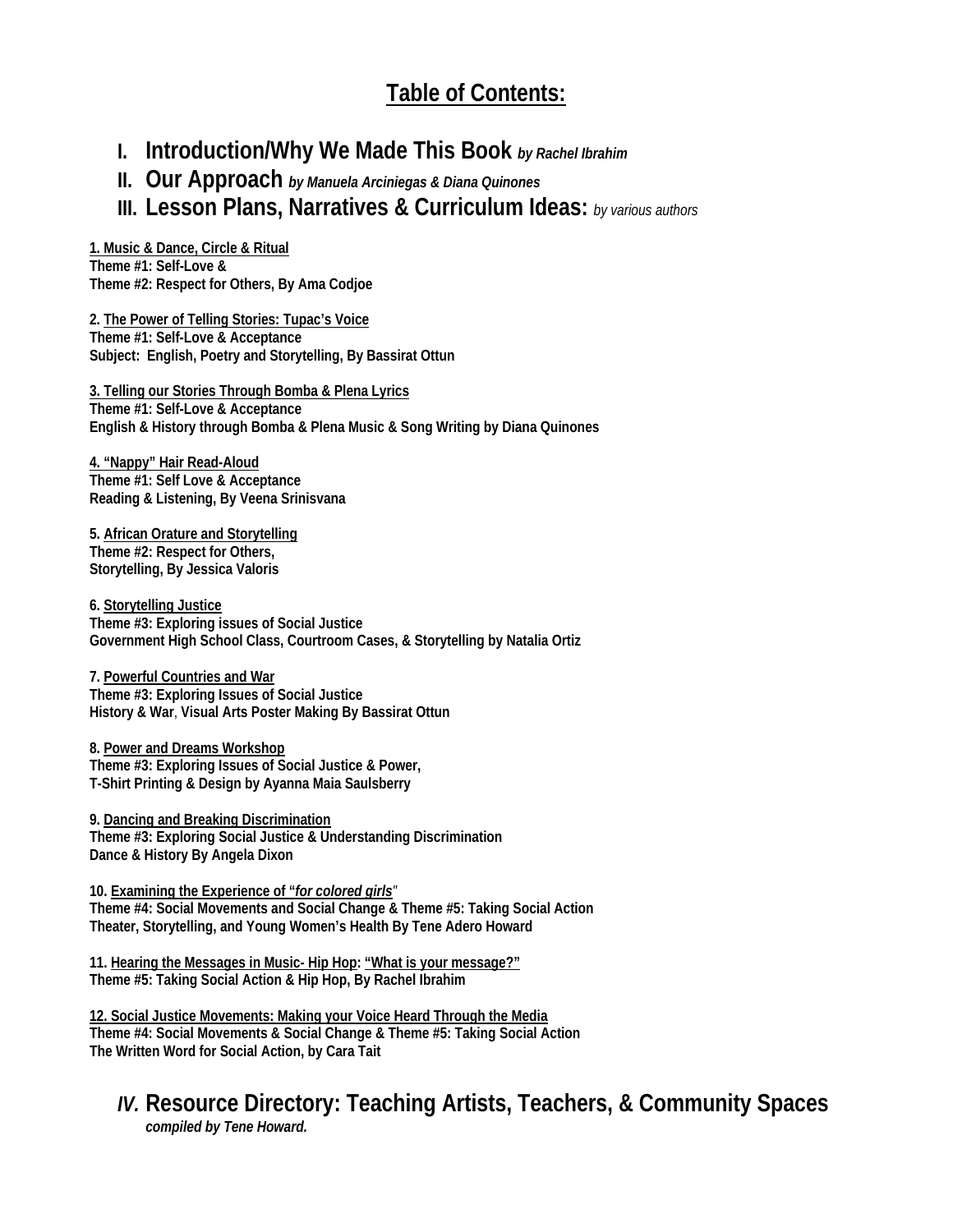## **Table of Contents:**

- **I. Introduction/Why We Made This Book** *by Rachel Ibrahim*
- **II. Our Approach** *by Manuela Arciniegas & Diana Quinones*
- **III. Lesson Plans, Narratives & Curriculum Ideas:** *by various authors*

**1. Music & Dance, Circle & Ritual Theme #1: Self-Love & Theme #2: Respect for Others, By Ama Codjoe** 

**2. The Power of Telling Stories: Tupac's Voice Theme #1: Self-Love & Acceptance Subject: English, Poetry and Storytelling, By Bassirat Ottun** 

**3. Telling our Stories Through Bomba & Plena Lyrics Theme #1: Self-Love & Acceptance English & History through Bomba & Plena Music & Song Writing by Diana Quinones** 

**4. "Nappy" Hair Read-Aloud Theme #1: Self Love & Acceptance Reading & Listening, By Veena Srinisvana** 

**5. African Orature and Storytelling Theme #2: Respect for Others, Storytelling, By Jessica Valoris** 

**6. Storytelling Justice Theme #3: Exploring issues of Social Justice Government High School Class, Courtroom Cases, & Storytelling by Natalia Ortiz** 

**7. Powerful Countries and War Theme #3: Exploring Issues of Social Justice History & War**, **Visual Arts Poster Making By Bassirat Ottun**

**8. Power and Dreams Workshop Theme #3: Exploring Issues of Social Justice & Power, T-Shirt Printing & Design by Ayanna Maia Saulsberry** 

**9. Dancing and Breaking Discrimination Theme #3: Exploring Social Justice & Understanding Discrimination Dance & History By Angela Dixon** 

**10. Examining the Experience of "***for colored girls"*  **Theme #4: Social Movements and Social Change & Theme #5: Taking Social Action Theater, Storytelling, and Young Women's Health By Tene Adero Howard** 

**11. Hearing the Messages in Music- Hip Hop: "What is your message?" Theme #5: Taking Social Action & Hip Hop, By Rachel Ibrahim** 

**12. Social Justice Movements: Making your Voice Heard Through the Media Theme #4: Social Movements & Social Change & Theme #5: Taking Social Action The Written Word for Social Action, by Cara Tait** 

*IV.* **Resource Directory: Teaching Artists, Teachers, & Community Spaces**  *compiled by Tene Howard.*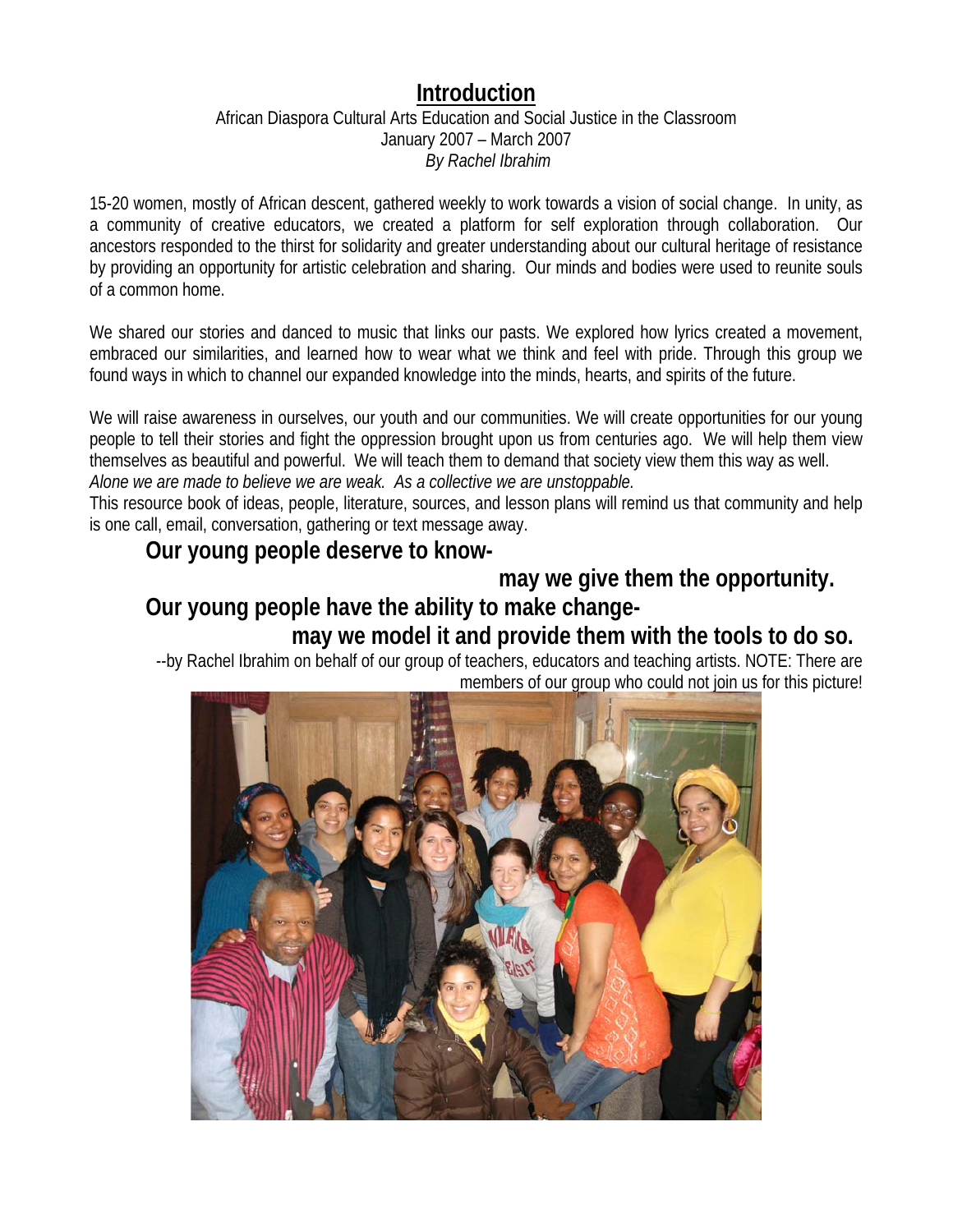## **Introduction**

#### African Diaspora Cultural Arts Education and Social Justice in the Classroom January 2007 – March 2007 *By Rachel Ibrahim*

15-20 women, mostly of African descent, gathered weekly to work towards a vision of social change. In unity, as a community of creative educators, we created a platform for self exploration through collaboration. Our ancestors responded to the thirst for solidarity and greater understanding about our cultural heritage of resistance by providing an opportunity for artistic celebration and sharing. Our minds and bodies were used to reunite souls of a common home.

We shared our stories and danced to music that links our pasts. We explored how lyrics created a movement, embraced our similarities, and learned how to wear what we think and feel with pride. Through this group we found ways in which to channel our expanded knowledge into the minds, hearts, and spirits of the future.

We will raise awareness in ourselves, our youth and our communities. We will create opportunities for our young people to tell their stories and fight the oppression brought upon us from centuries ago. We will help them view themselves as beautiful and powerful. We will teach them to demand that society view them this way as well. *Alone we are made to believe we are weak. As a collective we are unstoppable.* 

This resource book of ideas, people, literature, sources, and lesson plans will remind us that community and help is one call, email, conversation, gathering or text message away.

## **Our young people deserve to know-**

## **may we give them the opportunity.**

# **Our young people have the ability to make change-**

## **may we model it and provide them with the tools to do so.**

--by Rachel Ibrahim on behalf of our group of teachers, educators and teaching artists. NOTE: There are members of our group who could not join us for this picture!

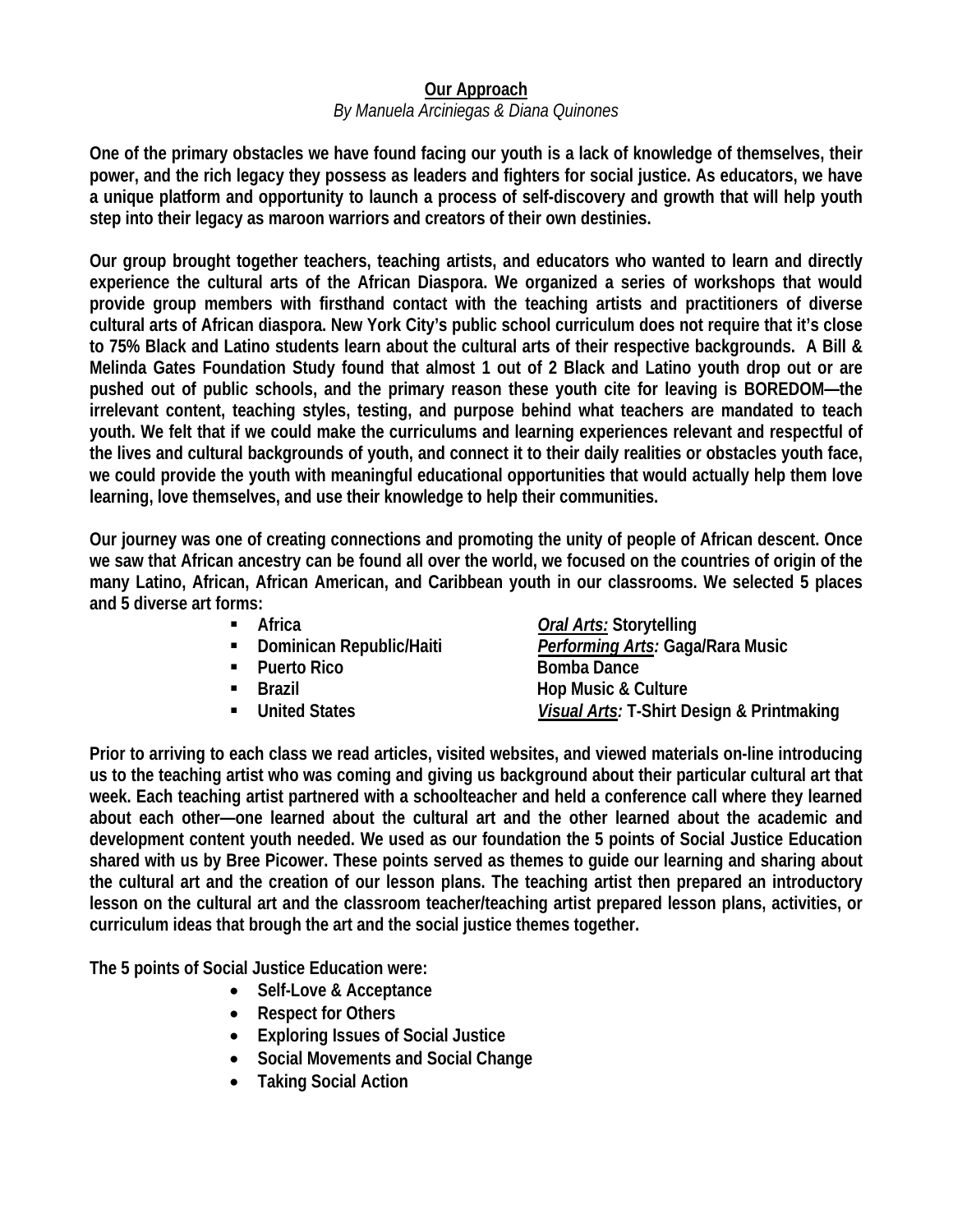#### **Our Approach**

#### *By Manuela Arciniegas & Diana Quinones*

**One of the primary obstacles we have found facing our youth is a lack of knowledge of themselves, their power, and the rich legacy they possess as leaders and fighters for social justice. As educators, we have a unique platform and opportunity to launch a process of self-discovery and growth that will help youth step into their legacy as maroon warriors and creators of their own destinies.** 

**Our group brought together teachers, teaching artists, and educators who wanted to learn and directly experience the cultural arts of the African Diaspora. We organized a series of workshops that would provide group members with firsthand contact with the teaching artists and practitioners of diverse cultural arts of African diaspora. New York City's public school curriculum does not require that it's close to 75% Black and Latino students learn about the cultural arts of their respective backgrounds. A Bill & Melinda Gates Foundation Study found that almost 1 out of 2 Black and Latino youth drop out or are pushed out of public schools, and the primary reason these youth cite for leaving is BOREDOM—the irrelevant content, teaching styles, testing, and purpose behind what teachers are mandated to teach youth. We felt that if we could make the curriculums and learning experiences relevant and respectful of the lives and cultural backgrounds of youth, and connect it to their daily realities or obstacles youth face, we could provide the youth with meaningful educational opportunities that would actually help them love learning, love themselves, and use their knowledge to help their communities.** 

**Our journey was one of creating connections and promoting the unity of people of African descent. Once we saw that African ancestry can be found all over the world, we focused on the countries of origin of the many Latino, African, African American, and Caribbean youth in our classrooms. We selected 5 places and 5 diverse art forms:** 

- 
- 
- **Puerto Rico Bomba Dance**
- 
- 

 **Africa** *Oral Arts:* **Storytelling Dominican Republic/Haiti** *Performing Arts:* **Gaga/Rara Music Brazil** Brazil **Hop Music & Culture United States** *Visual Arts:* **T-Shirt Design & Printmaking** 

**Prior to arriving to each class we read articles, visited websites, and viewed materials on-line introducing us to the teaching artist who was coming and giving us background about their particular cultural art that week. Each teaching artist partnered with a schoolteacher and held a conference call where they learned about each other—one learned about the cultural art and the other learned about the academic and development content youth needed. We used as our foundation the 5 points of Social Justice Education shared with us by Bree Picower. These points served as themes to guide our learning and sharing about the cultural art and the creation of our lesson plans. The teaching artist then prepared an introductory lesson on the cultural art and the classroom teacher/teaching artist prepared lesson plans, activities, or curriculum ideas that brough the art and the social justice themes together.** 

**The 5 points of Social Justice Education were:** 

- **Self-Love & Acceptance**
- **Respect for Others**
- **Exploring Issues of Social Justice**
- **Social Movements and Social Change**
- **Taking Social Action**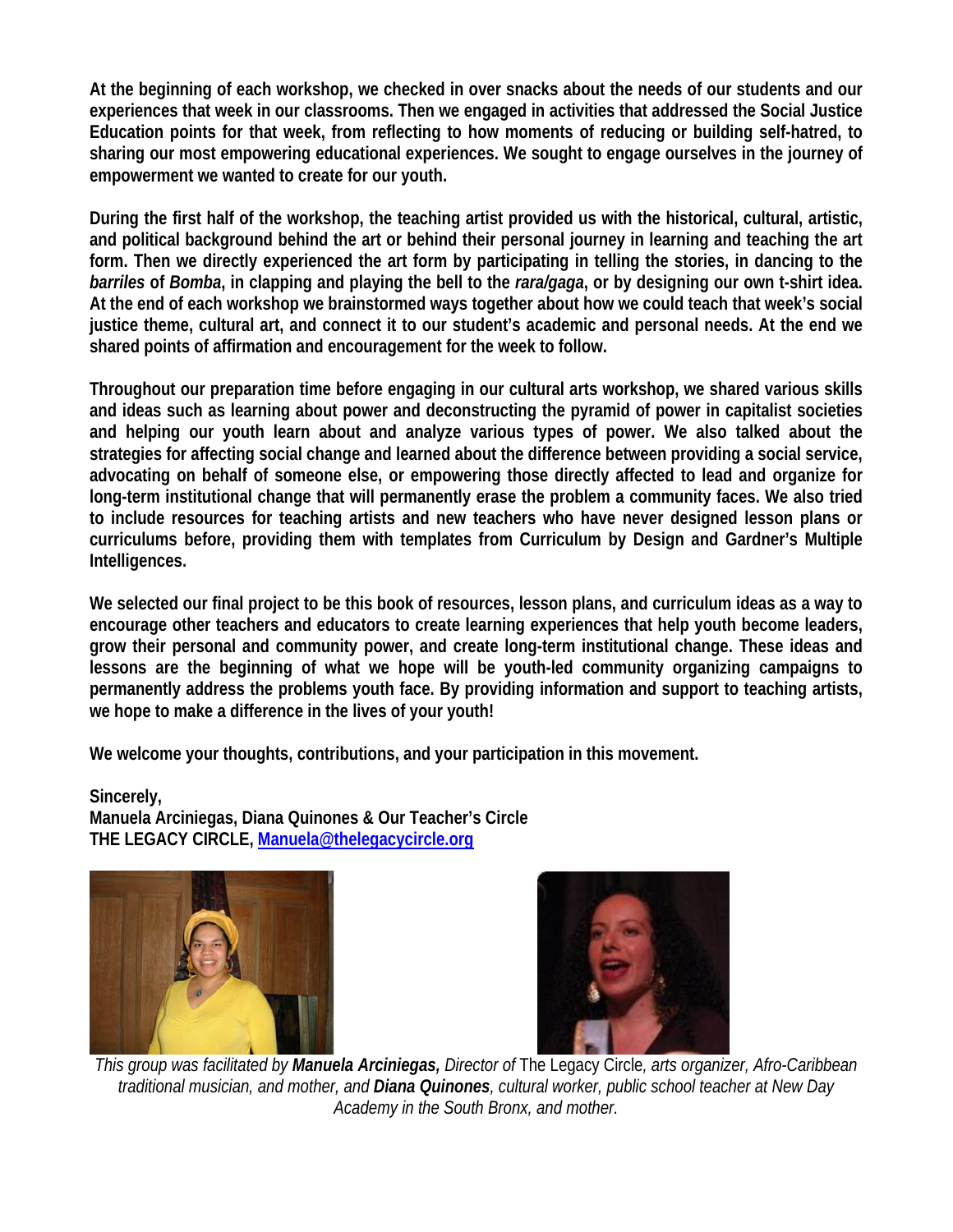**At the beginning of each workshop, we checked in over snacks about the needs of our students and our experiences that week in our classrooms. Then we engaged in activities that addressed the Social Justice Education points for that week, from reflecting to how moments of reducing or building self-hatred, to sharing our most empowering educational experiences. We sought to engage ourselves in the journey of empowerment we wanted to create for our youth.** 

**During the first half of the workshop, the teaching artist provided us with the historical, cultural, artistic, and political background behind the art or behind their personal journey in learning and teaching the art form. Then we directly experienced the art form by participating in telling the stories, in dancing to the**  *barriles* **of** *Bomba***, in clapping and playing the bell to the** *rara/gaga***, or by designing our own t-shirt idea. At the end of each workshop we brainstormed ways together about how we could teach that week's social justice theme, cultural art, and connect it to our student's academic and personal needs. At the end we shared points of affirmation and encouragement for the week to follow.** 

**Throughout our preparation time before engaging in our cultural arts workshop, we shared various skills and ideas such as learning about power and deconstructing the pyramid of power in capitalist societies and helping our youth learn about and analyze various types of power. We also talked about the strategies for affecting social change and learned about the difference between providing a social service, advocating on behalf of someone else, or empowering those directly affected to lead and organize for long-term institutional change that will permanently erase the problem a community faces. We also tried to include resources for teaching artists and new teachers who have never designed lesson plans or curriculums before, providing them with templates from Curriculum by Design and Gardner's Multiple Intelligences.** 

**We selected our final project to be this book of resources, lesson plans, and curriculum ideas as a way to encourage other teachers and educators to create learning experiences that help youth become leaders, grow their personal and community power, and create long-term institutional change. These ideas and lessons are the beginning of what we hope will be youth-led community organizing campaigns to permanently address the problems youth face. By providing information and support to teaching artists, we hope to make a difference in the lives of your youth!** 

**We welcome your thoughts, contributions, and your participation in this movement.** 

**Sincerely,** 

**Manuela Arciniegas, Diana Quinones & Our Teacher's Circle THE LEGACY CIRCLE, [Manuela@thelegacycircle.org](mailto:Manuela@thelegacycircle.org)**





*This group was facilitated by Manuela Arciniegas, Director of* The Legacy Circle*, arts organizer, Afro-Caribbean traditional musician, and mother, and Diana Quinones, cultural worker, public school teacher at New Day Academy in the South Bronx, and mother.*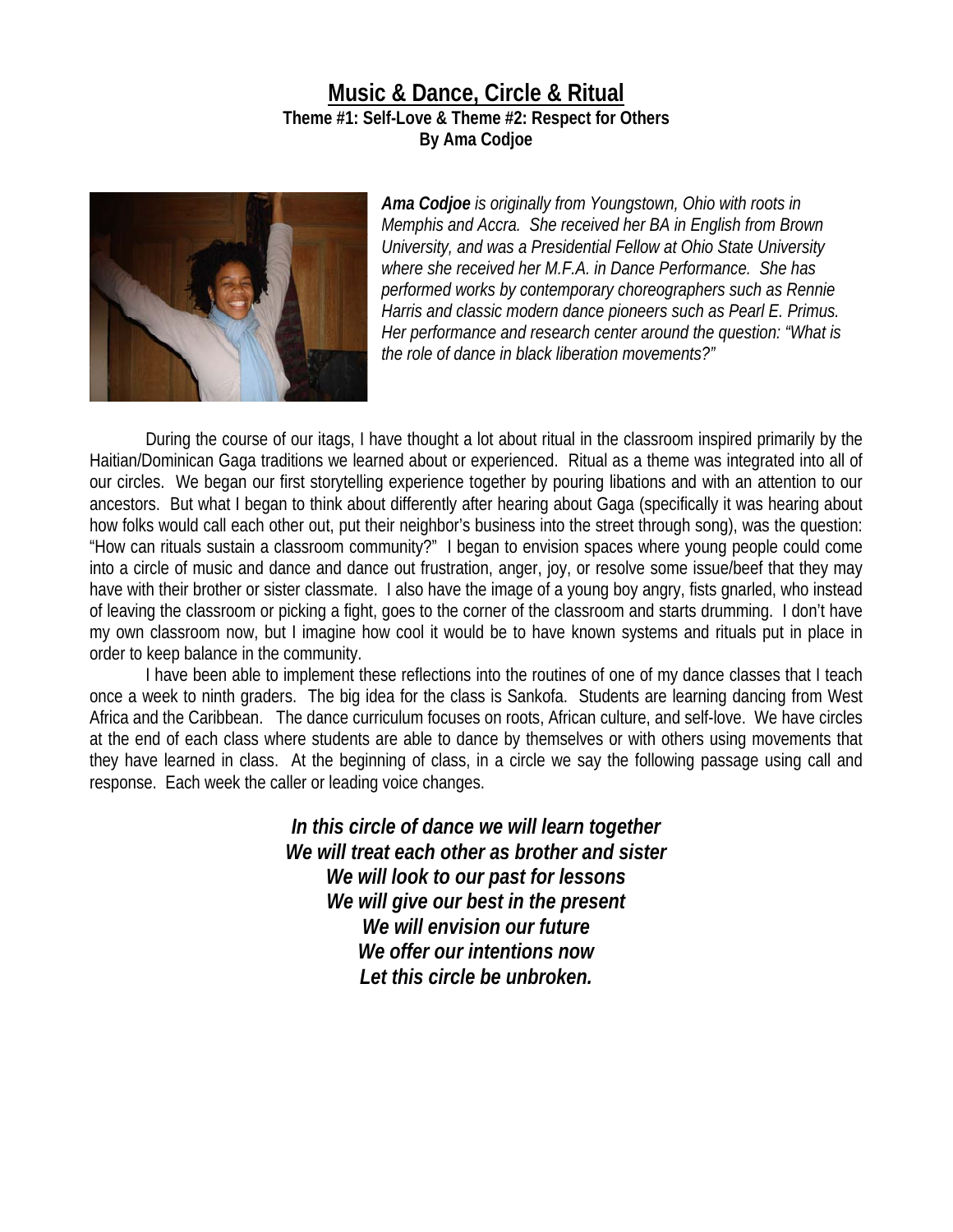#### **Music & Dance, Circle & Ritual Theme #1: Self-Love & Theme #2: Respect for Others By Ama Codjoe**



*Ama Codjoe is originally from Youngstown, Ohio with roots in Memphis and Accra. She received her BA in English from Brown University, and was a Presidential Fellow at Ohio State University where she received her M.F.A. in Dance Performance. She has performed works by contemporary choreographers such as Rennie Harris and classic modern dance pioneers such as Pearl E. Primus. Her performance and research center around the question: "What is the role of dance in black liberation movements?"* 

During the course of our itags, I have thought a lot about ritual in the classroom inspired primarily by the Haitian/Dominican Gaga traditions we learned about or experienced. Ritual as a theme was integrated into all of our circles. We began our first storytelling experience together by pouring libations and with an attention to our ancestors. But what I began to think about differently after hearing about Gaga (specifically it was hearing about how folks would call each other out, put their neighbor's business into the street through song), was the question: "How can rituals sustain a classroom community?" I began to envision spaces where young people could come into a circle of music and dance and dance out frustration, anger, joy, or resolve some issue/beef that they may have with their brother or sister classmate. I also have the image of a young boy angry, fists gnarled, who instead of leaving the classroom or picking a fight, goes to the corner of the classroom and starts drumming. I don't have my own classroom now, but I imagine how cool it would be to have known systems and rituals put in place in order to keep balance in the community.

I have been able to implement these reflections into the routines of one of my dance classes that I teach once a week to ninth graders. The big idea for the class is Sankofa. Students are learning dancing from West Africa and the Caribbean. The dance curriculum focuses on roots, African culture, and self-love. We have circles at the end of each class where students are able to dance by themselves or with others using movements that they have learned in class. At the beginning of class, in a circle we say the following passage using call and response. Each week the caller or leading voice changes.

> *In this circle of dance we will learn together We will treat each other as brother and sister We will look to our past for lessons We will give our best in the present We will envision our future We offer our intentions now Let this circle be unbroken.*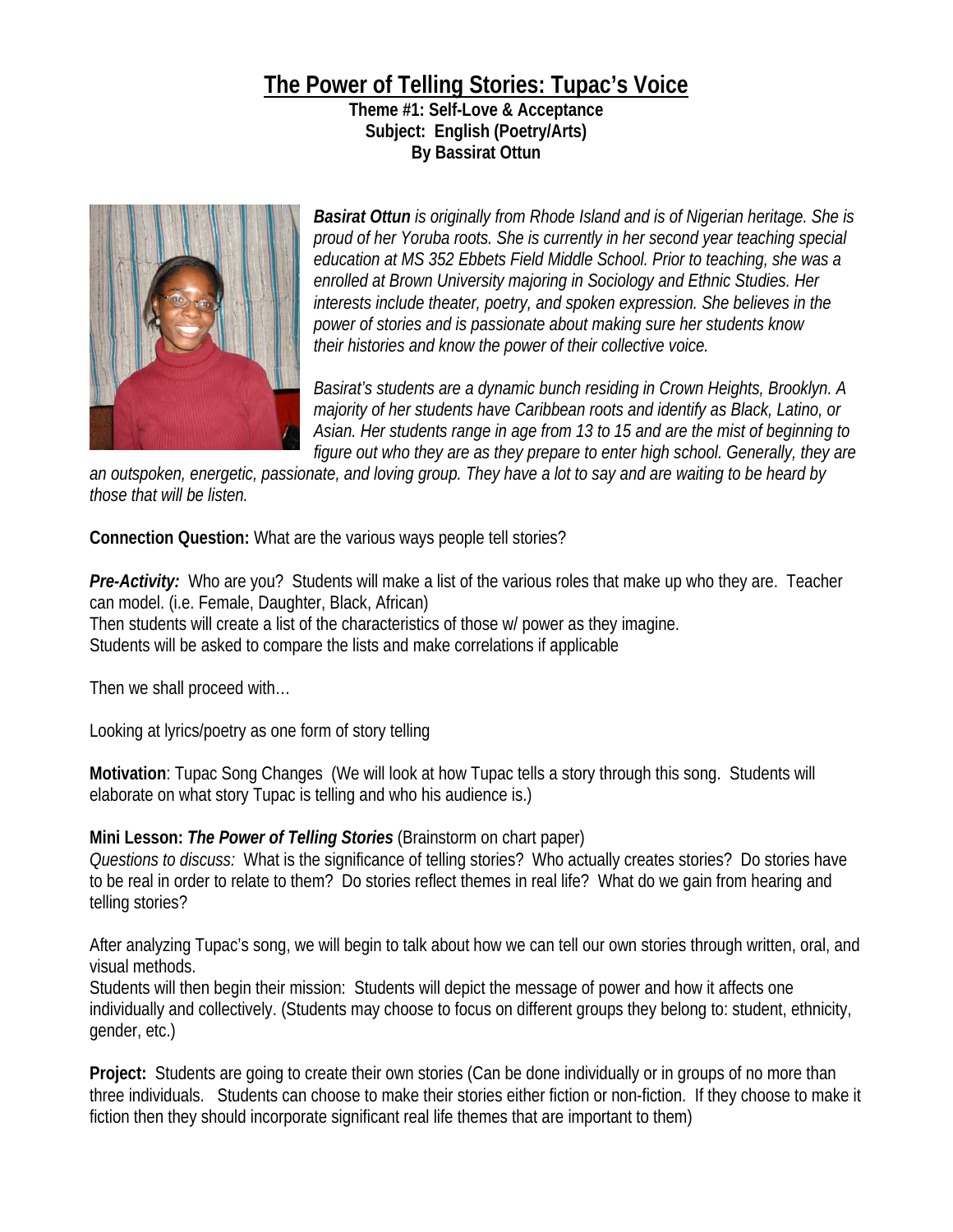#### **The Power of Telling Stories: Tupac's Voice Theme #1: Self-Love & Acceptance Subject: English (Poetry/Arts) By Bassirat Ottun**



*Basirat Ottun is originally from Rhode Island and is of Nigerian heritage. She is proud of her Yoruba roots. She is currently in her second year teaching special education at MS 352 Ebbets Field Middle School. Prior to teaching, she was a enrolled at Brown University majoring in Sociology and Ethnic Studies. Her interests include theater, poetry, and spoken expression. She believes in the power of stories and is passionate about making sure her students know their histories and know the power of their collective voice.* 

*Basirat's students are a dynamic bunch residing in Crown Heights, Brooklyn. A majority of her students have Caribbean roots and identify as Black, Latino, or Asian. Her students range in age from 13 to 15 and are the mist of beginning to figure out who they are as they prepare to enter high school. Generally, they are* 

*an outspoken, energetic, passionate, and loving group. They have a lot to say and are waiting to be heard by those that will be listen.* 

**Connection Question:** What are the various ways people tell stories?

*Pre-Activity:* Who are you? Students will make a list of the various roles that make up who they are. Teacher can model. (i.e. Female, Daughter, Black, African) Then students will create a list of the characteristics of those w/ power as they imagine. Students will be asked to compare the lists and make correlations if applicable

Then we shall proceed with…

Looking at lyrics/poetry as one form of story telling

**Motivation**: Tupac Song Changes (We will look at how Tupac tells a story through this song. Students will elaborate on what story Tupac is telling and who his audience is.)

#### **Mini Lesson:** *The Power of Telling Stories* (Brainstorm on chart paper)

*Questions to discuss:* What is the significance of telling stories? Who actually creates stories? Do stories have to be real in order to relate to them? Do stories reflect themes in real life? What do we gain from hearing and telling stories?

After analyzing Tupac's song, we will begin to talk about how we can tell our own stories through written, oral, and visual methods.

Students will then begin their mission: Students will depict the message of power and how it affects one individually and collectively. (Students may choose to focus on different groups they belong to: student, ethnicity, gender, etc.)

**Project:** Students are going to create their own stories (Can be done individually or in groups of no more than three individuals. Students can choose to make their stories either fiction or non-fiction. If they choose to make it fiction then they should incorporate significant real life themes that are important to them)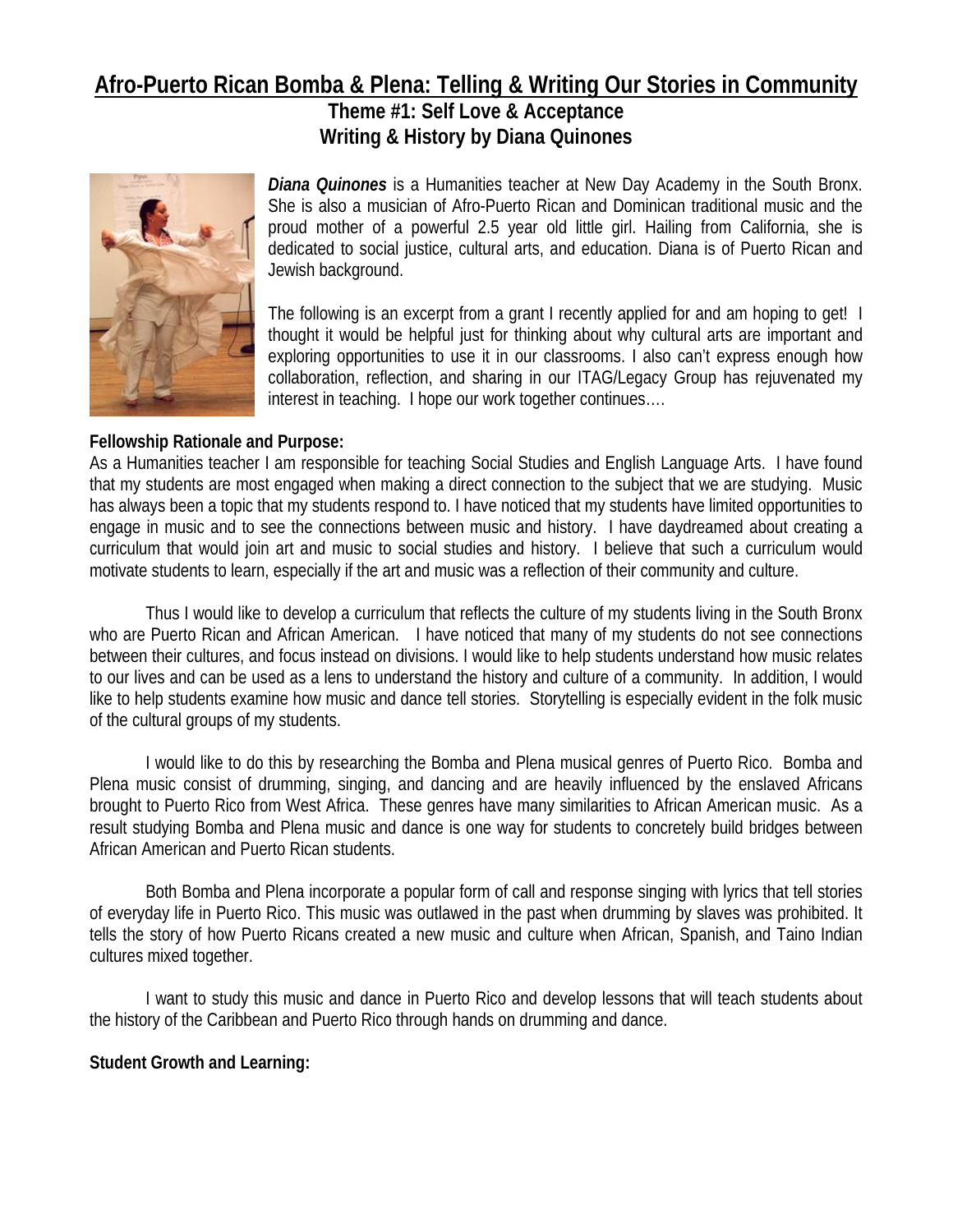## **Afro-Puerto Rican Bomba & Plena: Telling & Writing Our Stories in Community Theme #1: Self Love & Acceptance Writing & History by Diana Quinones**



*Diana Quinones* is a Humanities teacher at New Day Academy in the South Bronx. She is also a musician of Afro-Puerto Rican and Dominican traditional music and the proud mother of a powerful 2.5 year old little girl. Hailing from California, she is dedicated to social justice, cultural arts, and education. Diana is of Puerto Rican and Jewish background.

The following is an excerpt from a grant I recently applied for and am hoping to get! I thought it would be helpful just for thinking about why cultural arts are important and exploring opportunities to use it in our classrooms. I also can't express enough how collaboration, reflection, and sharing in our ITAG/Legacy Group has rejuvenated my interest in teaching. I hope our work together continues….

#### **Fellowship Rationale and Purpose:**

As a Humanities teacher I am responsible for teaching Social Studies and English Language Arts. I have found that my students are most engaged when making a direct connection to the subject that we are studying. Music has always been a topic that my students respond to. I have noticed that my students have limited opportunities to engage in music and to see the connections between music and history. I have daydreamed about creating a curriculum that would join art and music to social studies and history. I believe that such a curriculum would motivate students to learn, especially if the art and music was a reflection of their community and culture.

 Thus I would like to develop a curriculum that reflects the culture of my students living in the South Bronx who are Puerto Rican and African American. I have noticed that many of my students do not see connections between their cultures, and focus instead on divisions. I would like to help students understand how music relates to our lives and can be used as a lens to understand the history and culture of a community. In addition, I would like to help students examine how music and dance tell stories. Storytelling is especially evident in the folk music of the cultural groups of my students.

I would like to do this by researching the Bomba and Plena musical genres of Puerto Rico. Bomba and Plena music consist of drumming, singing, and dancing and are heavily influenced by the enslaved Africans brought to Puerto Rico from West Africa. These genres have many similarities to African American music. As a result studying Bomba and Plena music and dance is one way for students to concretely build bridges between African American and Puerto Rican students.

Both Bomba and Plena incorporate a popular form of call and response singing with lyrics that tell stories of everyday life in Puerto Rico. This music was outlawed in the past when drumming by slaves was prohibited. It tells the story of how Puerto Ricans created a new music and culture when African, Spanish, and Taino Indian cultures mixed together.

I want to study this music and dance in Puerto Rico and develop lessons that will teach students about the history of the Caribbean and Puerto Rico through hands on drumming and dance.

#### **Student Growth and Learning:**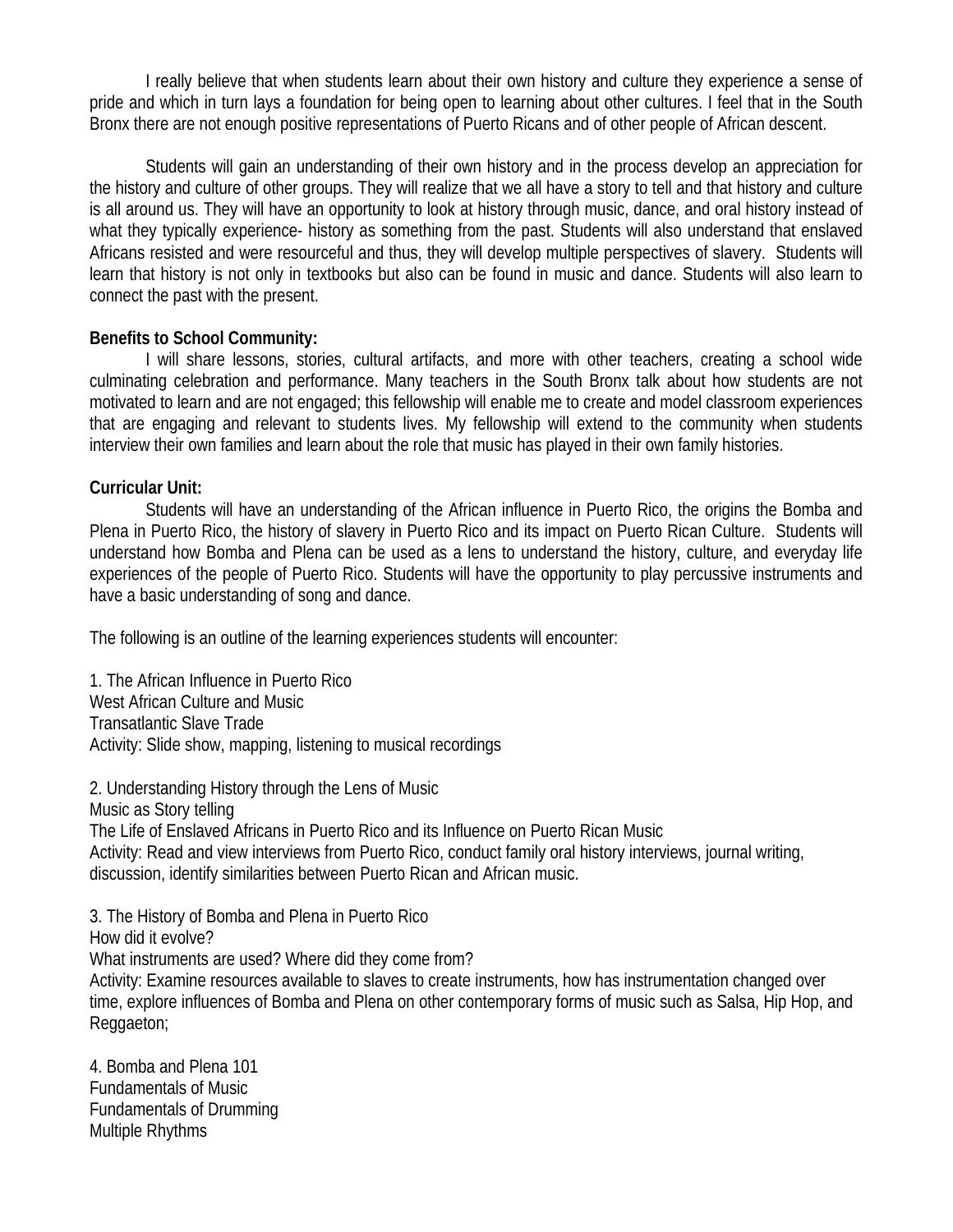I really believe that when students learn about their own history and culture they experience a sense of pride and which in turn lays a foundation for being open to learning about other cultures. I feel that in the South Bronx there are not enough positive representations of Puerto Ricans and of other people of African descent.

Students will gain an understanding of their own history and in the process develop an appreciation for the history and culture of other groups. They will realize that we all have a story to tell and that history and culture is all around us. They will have an opportunity to look at history through music, dance, and oral history instead of what they typically experience- history as something from the past. Students will also understand that enslaved Africans resisted and were resourceful and thus, they will develop multiple perspectives of slavery. Students will learn that history is not only in textbooks but also can be found in music and dance. Students will also learn to connect the past with the present.

#### **Benefits to School Community:**

I will share lessons, stories, cultural artifacts, and more with other teachers, creating a school wide culminating celebration and performance. Many teachers in the South Bronx talk about how students are not motivated to learn and are not engaged; this fellowship will enable me to create and model classroom experiences that are engaging and relevant to students lives. My fellowship will extend to the community when students interview their own families and learn about the role that music has played in their own family histories.

#### **Curricular Unit:**

Students will have an understanding of the African influence in Puerto Rico, the origins the Bomba and Plena in Puerto Rico, the history of slavery in Puerto Rico and its impact on Puerto Rican Culture. Students will understand how Bomba and Plena can be used as a lens to understand the history, culture, and everyday life experiences of the people of Puerto Rico. Students will have the opportunity to play percussive instruments and have a basic understanding of song and dance.

The following is an outline of the learning experiences students will encounter:

1. The African Influence in Puerto Rico West African Culture and Music Transatlantic Slave Trade Activity: Slide show, mapping, listening to musical recordings

2. Understanding History through the Lens of Music Music as Story telling The Life of Enslaved Africans in Puerto Rico and its Influence on Puerto Rican Music Activity: Read and view interviews from Puerto Rico, conduct family oral history interviews, journal writing, discussion, identify similarities between Puerto Rican and African music.

3. The History of Bomba and Plena in Puerto Rico How did it evolve? What instruments are used? Where did they come from? Activity: Examine resources available to slaves to create instruments, how has instrumentation changed over time, explore influences of Bomba and Plena on other contemporary forms of music such as Salsa, Hip Hop, and Reggaeton;

4. Bomba and Plena 101 Fundamentals of Music Fundamentals of Drumming Multiple Rhythms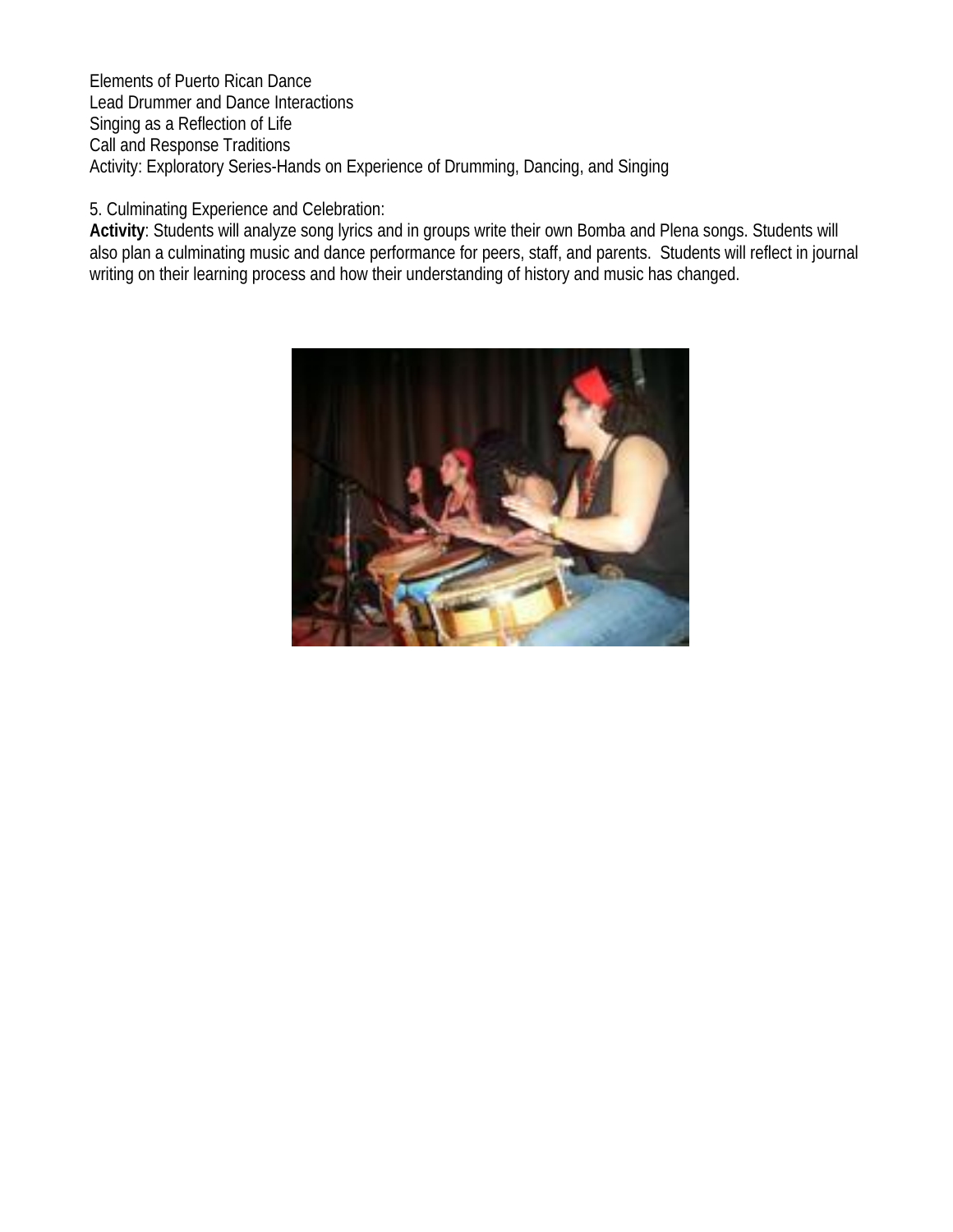Elements of Puerto Rican Dance Lead Drummer and Dance Interactions Singing as a Reflection of Life Call and Response Traditions Activity: Exploratory Series-Hands on Experience of Drumming, Dancing, and Singing

5. Culminating Experience and Celebration:

**Activity**: Students will analyze song lyrics and in groups write their own Bomba and Plena songs. Students will also plan a culminating music and dance performance for peers, staff, and parents. Students will reflect in journal writing on their learning process and how their understanding of history and music has changed.

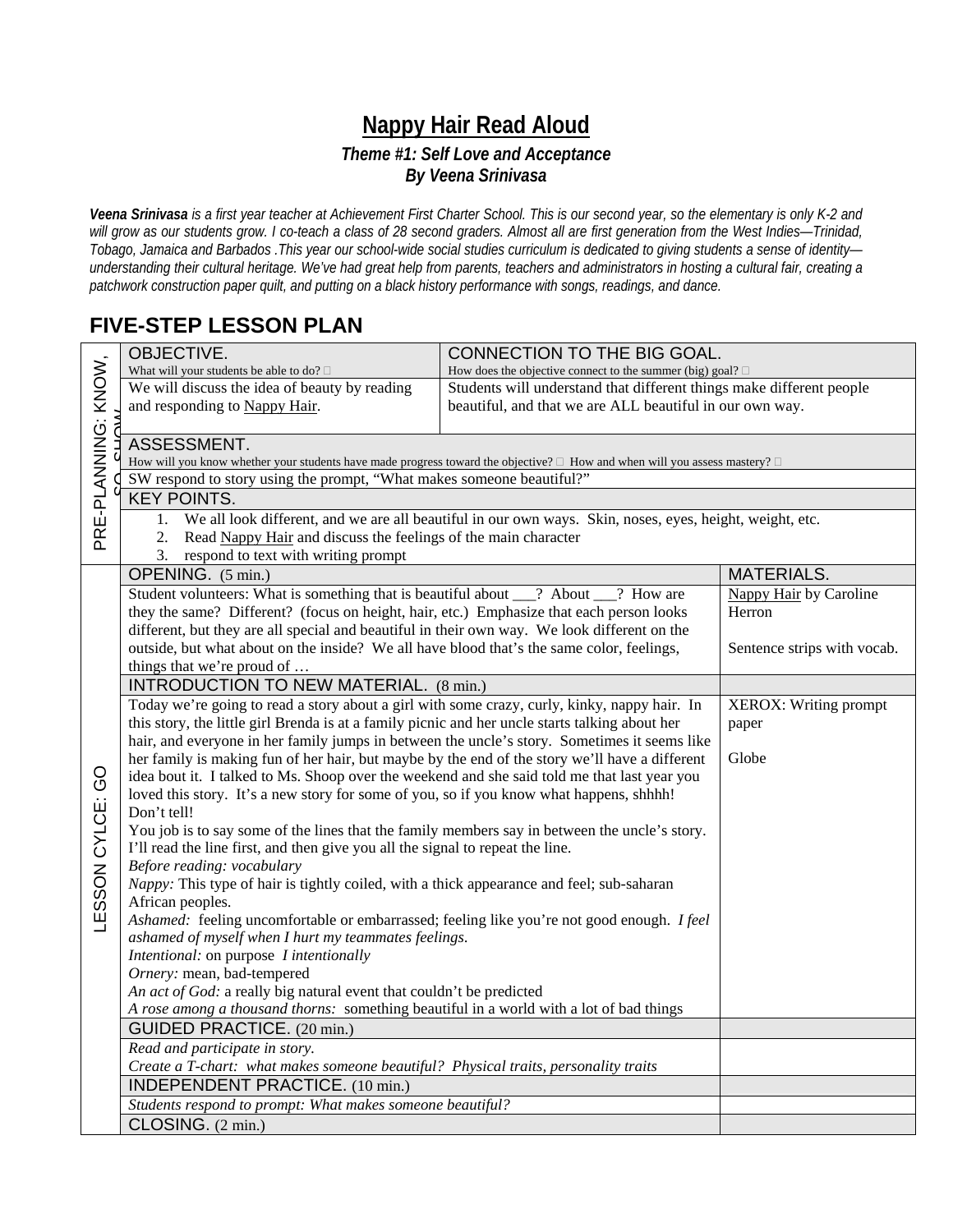## **Nappy Hair Read Aloud**

#### *Theme #1: Self Love and Acceptance By Veena Srinivasa*

*Veena Srinivasa is a first year teacher at Achievement First Charter School. This is our second year, so the elementary is only K-2 and will grow as our students grow. I co-teach a class of 28 second graders. Almost all are first generation from the West Indies—Trinidad, Tobago, Jamaica and Barbados .This year our school-wide social studies curriculum is dedicated to giving students a sense of identity understanding their cultural heritage. We've had great help from parents, teachers and administrators in hosting a cultural fair, creating a patchwork construction paper quilt, and putting on a black history performance with songs, readings, and dance.* 

## **FIVE-STEP LESSON PLAN**

| PRE-PLANNING: KNOW,        | OBJECTIVE.                                                                                                                           | CONNECTION TO THE BIG GOAL.                                          |                              |  |
|----------------------------|--------------------------------------------------------------------------------------------------------------------------------------|----------------------------------------------------------------------|------------------------------|--|
|                            | What will your students be able to do? $\square$                                                                                     | How does the objective connect to the summer (big) goal? $\Box$      |                              |  |
|                            | We will discuss the idea of beauty by reading                                                                                        | Students will understand that different things make different people |                              |  |
|                            | and responding to Nappy Hair.                                                                                                        | beautiful, and that we are ALL beautiful in our own way.             |                              |  |
|                            |                                                                                                                                      |                                                                      |                              |  |
|                            | ASSESSMENT.                                                                                                                          |                                                                      |                              |  |
|                            | How will you know whether your students have made progress toward the objective? $\Box$ How and when will you assess mastery? $\Box$ |                                                                      |                              |  |
|                            | SW respond to story using the prompt, "What makes someone beautiful?"                                                                |                                                                      |                              |  |
|                            | <b>KEY POINTS.</b>                                                                                                                   |                                                                      |                              |  |
|                            | We all look different, and we are all beautiful in our own ways. Skin, noses, eyes, height, weight, etc.<br>1.                       |                                                                      |                              |  |
|                            | Read Nappy Hair and discuss the feelings of the main character<br>2.                                                                 |                                                                      |                              |  |
|                            | respond to text with writing prompt<br>3.                                                                                            |                                                                      |                              |  |
|                            | OPENING. (5 min.)                                                                                                                    |                                                                      | <b>MATERIALS.</b>            |  |
|                            | Student volunteers: What is something that is beautiful about __? About __? How are                                                  |                                                                      | Nappy Hair by Caroline       |  |
|                            | they the same? Different? (focus on height, hair, etc.) Emphasize that each person looks                                             |                                                                      | Herron                       |  |
|                            | different, but they are all special and beautiful in their own way. We look different on the                                         |                                                                      |                              |  |
|                            | outside, but what about on the inside? We all have blood that's the same color, feelings,                                            | Sentence strips with vocab.                                          |                              |  |
|                            | things that we're proud of                                                                                                           |                                                                      |                              |  |
|                            | INTRODUCTION TO NEW MATERIAL. (8 min.)                                                                                               |                                                                      |                              |  |
|                            | Today we're going to read a story about a girl with some crazy, curly, kinky, nappy hair. In                                         |                                                                      | <b>XEROX:</b> Writing prompt |  |
|                            | this story, the little girl Brenda is at a family picnic and her uncle starts talking about her                                      |                                                                      | paper                        |  |
| <b>GO</b><br>LESSON CYLCE: | hair, and everyone in her family jumps in between the uncle's story. Sometimes it seems like                                         |                                                                      |                              |  |
|                            | her family is making fun of her hair, but maybe by the end of the story we'll have a different                                       | Globe                                                                |                              |  |
|                            | idea bout it. I talked to Ms. Shoop over the weekend and she said told me that last year you                                         |                                                                      |                              |  |
|                            | loved this story. It's a new story for some of you, so if you know what happens, shhhh!                                              |                                                                      |                              |  |
|                            | Don't tell!                                                                                                                          |                                                                      |                              |  |
|                            | You job is to say some of the lines that the family members say in between the uncle's story.                                        |                                                                      |                              |  |
|                            | I'll read the line first, and then give you all the signal to repeat the line.                                                       |                                                                      |                              |  |
|                            | Before reading: vocabulary                                                                                                           |                                                                      |                              |  |
|                            | Nappy: This type of hair is tightly coiled, with a thick appearance and feel; sub-saharan                                            |                                                                      |                              |  |
|                            | African peoples.                                                                                                                     |                                                                      |                              |  |
|                            | Ashamed: feeling uncomfortable or embarrassed; feeling like you're not good enough. I feel                                           |                                                                      |                              |  |
|                            | ashamed of myself when I hurt my teammates feelings.                                                                                 |                                                                      |                              |  |
|                            | Intentional: on purpose I intentionally                                                                                              |                                                                      |                              |  |
|                            | Ornery: mean, bad-tempered<br>An act of God: a really big natural event that couldn't be predicted                                   |                                                                      |                              |  |
|                            | A rose among a thousand thorns: something beautiful in a world with a lot of bad things                                              |                                                                      |                              |  |
|                            | <b>GUIDED PRACTICE.</b> (20 min.)                                                                                                    |                                                                      |                              |  |
|                            |                                                                                                                                      |                                                                      |                              |  |
|                            | Read and participate in story.                                                                                                       |                                                                      |                              |  |
|                            | Create a T-chart: what makes someone beautiful? Physical traits, personality traits                                                  |                                                                      |                              |  |
|                            | INDEPENDENT PRACTICE. (10 min.)                                                                                                      |                                                                      |                              |  |
|                            | Students respond to prompt: What makes someone beautiful?                                                                            |                                                                      |                              |  |
|                            | CLOSING. (2 min.)                                                                                                                    |                                                                      |                              |  |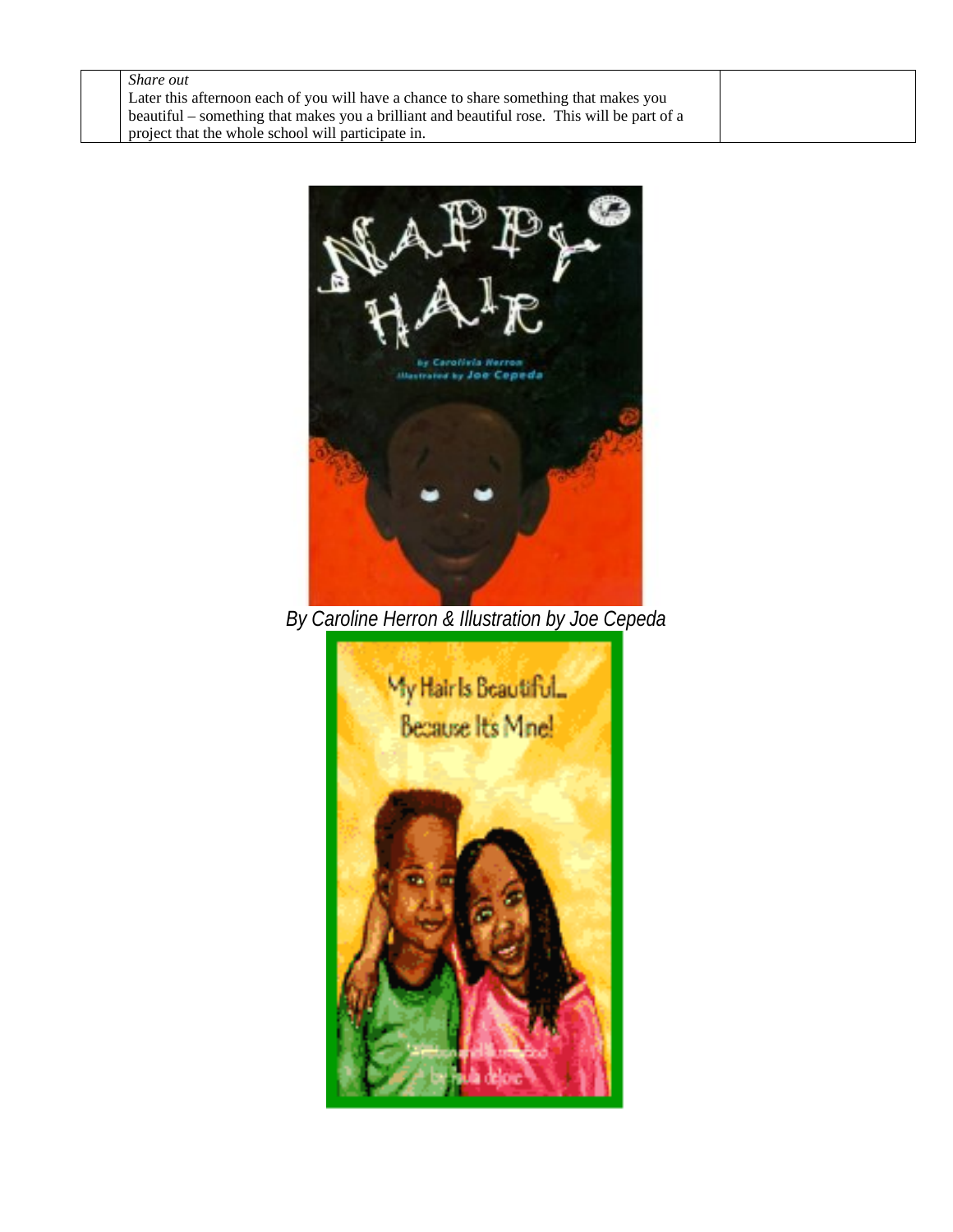| Share out                                                                                   |  |
|---------------------------------------------------------------------------------------------|--|
| Later this afternoon each of you will have a chance to share something that makes you       |  |
| beautiful – something that makes you a brilliant and beautiful rose. This will be part of a |  |
| project that the whole school will participate in.                                          |  |

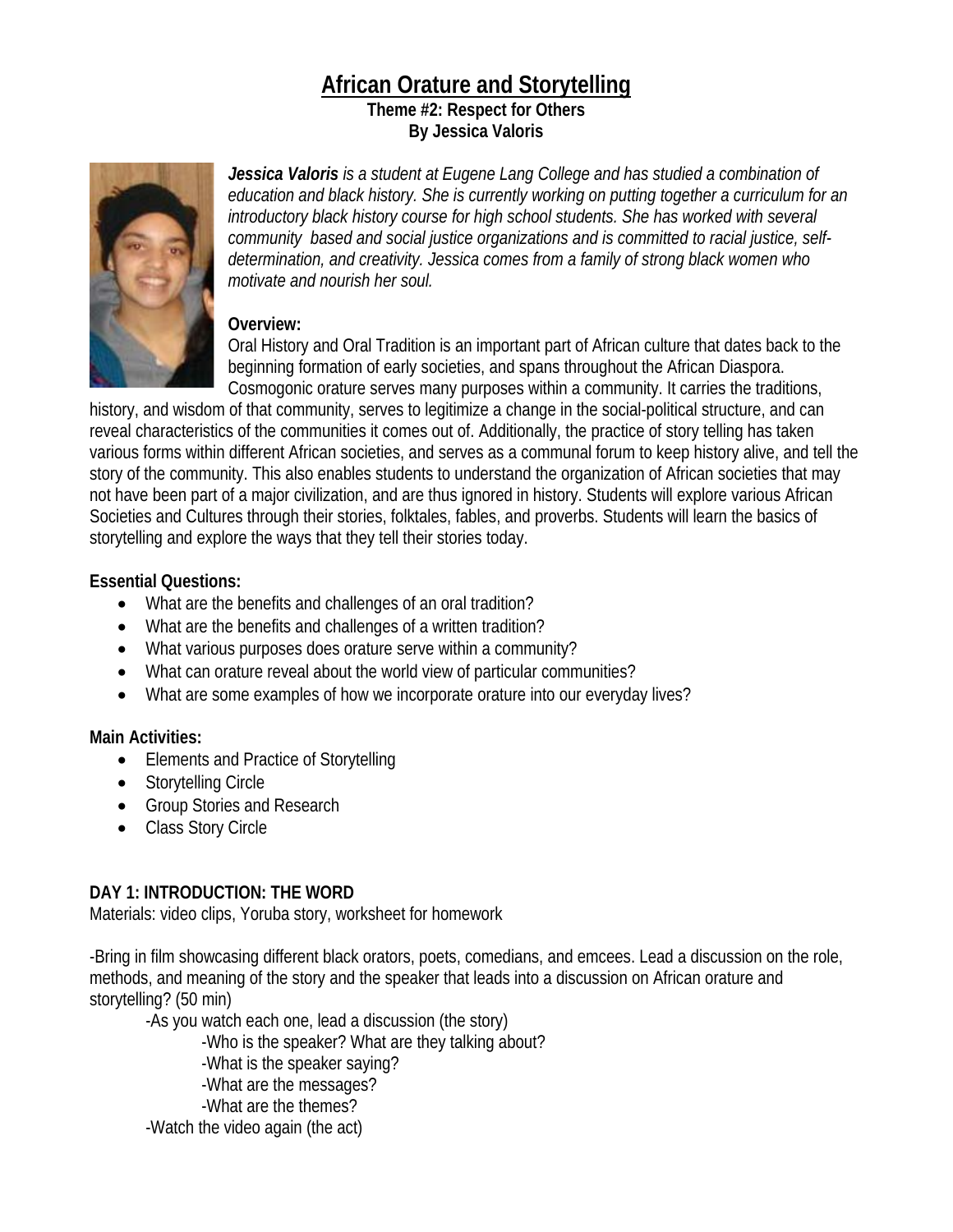#### **African Orature and Storytelling Theme #2: Respect for Others By Jessica Valoris**



*Jessica Valoris is a student at Eugene Lang College and has studied a combination of education and black history. She is currently working on putting together a curriculum for an introductory black history course for high school students. She has worked with several community based and social justice organizations and is committed to racial justice, selfdetermination, and creativity. Jessica comes from a family of strong black women who motivate and nourish her soul.*

#### **Overview:**

Oral History and Oral Tradition is an important part of African culture that dates back to the beginning formation of early societies, and spans throughout the African Diaspora. Cosmogonic orature serves many purposes within a community. It carries the traditions,

history, and wisdom of that community, serves to legitimize a change in the social-political structure, and can reveal characteristics of the communities it comes out of. Additionally, the practice of story telling has taken various forms within different African societies, and serves as a communal forum to keep history alive, and tell the story of the community. This also enables students to understand the organization of African societies that may not have been part of a major civilization, and are thus ignored in history. Students will explore various African Societies and Cultures through their stories, folktales, fables, and proverbs. Students will learn the basics of storytelling and explore the ways that they tell their stories today.

#### **Essential Questions:**

- What are the benefits and challenges of an oral tradition?
- What are the benefits and challenges of a written tradition?
- What various purposes does orature serve within a community?
- What can orature reveal about the world view of particular communities?
- What are some examples of how we incorporate orature into our everyday lives?

#### **Main Activities:**

- Elements and Practice of Storytelling
- Storytelling Circle
- Group Stories and Research
- Class Story Circle

#### **DAY 1: INTRODUCTION: THE WORD**

Materials: video clips, Yoruba story, worksheet for homework

-Bring in film showcasing different black orators, poets, comedians, and emcees. Lead a discussion on the role, methods, and meaning of the story and the speaker that leads into a discussion on African orature and storytelling? (50 min)

 -As you watch each one, lead a discussion (the story) -Who is the speaker? What are they talking about? -What is the speaker saying? -What are the messages? -What are the themes? -Watch the video again (the act)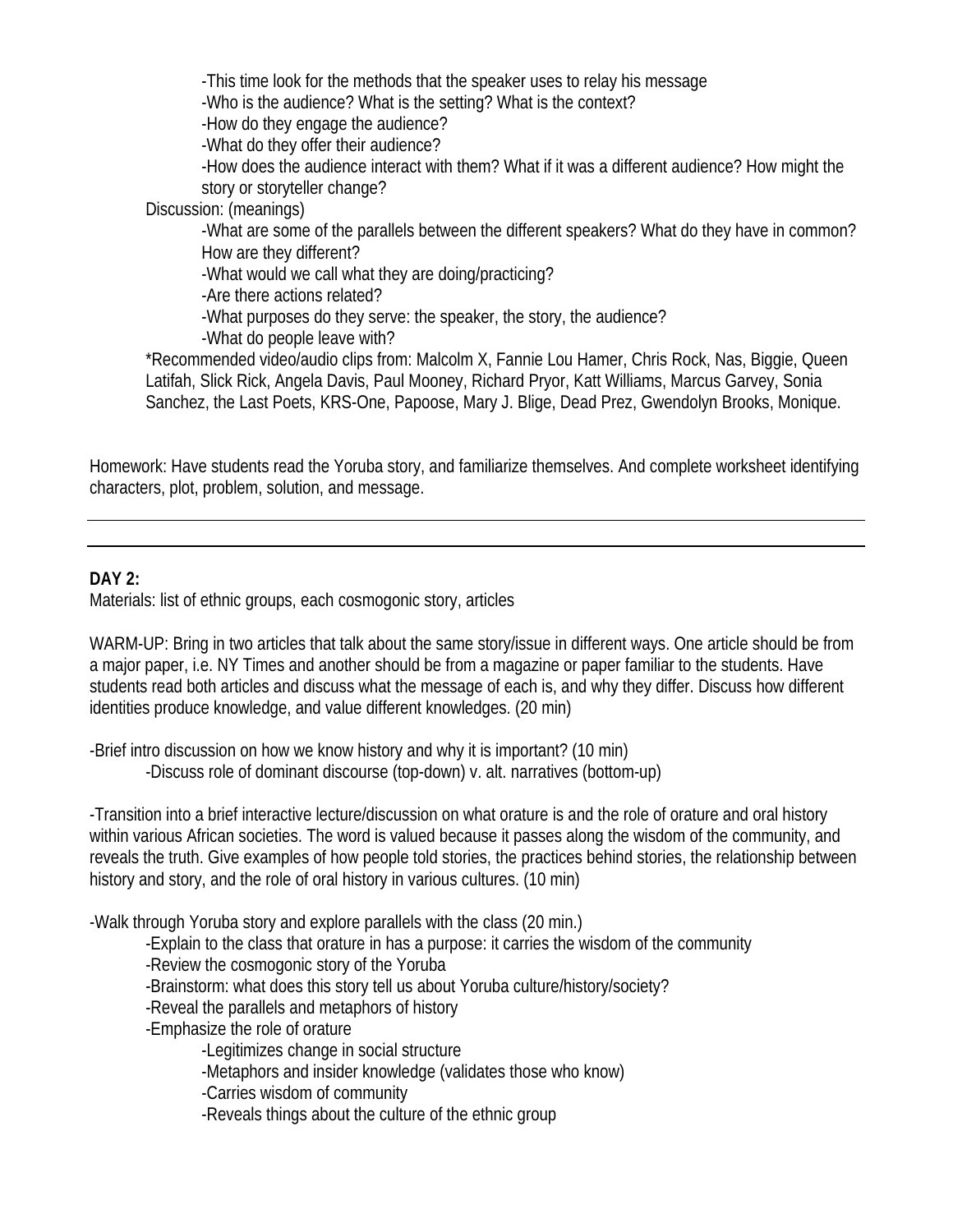-This time look for the methods that the speaker uses to relay his message -Who is the audience? What is the setting? What is the context? -How do they engage the audience? -What do they offer their audience? -How does the audience interact with them? What if it was a different audience? How might the story or storyteller change? Discussion: (meanings) -What are some of the parallels between the different speakers? What do they have in common? How are they different? -What would we call what they are doing/practicing? -Are there actions related? -What purposes do they serve: the speaker, the story, the audience?

-What do people leave with?

\*Recommended video/audio clips from: Malcolm X, Fannie Lou Hamer, Chris Rock, Nas, Biggie, Queen Latifah, Slick Rick, Angela Davis, Paul Mooney, Richard Pryor, Katt Williams, Marcus Garvey, Sonia Sanchez, the Last Poets, KRS-One, Papoose, Mary J. Blige, Dead Prez, Gwendolyn Brooks, Monique.

Homework: Have students read the Yoruba story, and familiarize themselves. And complete worksheet identifying characters, plot, problem, solution, and message.

#### **DAY 2:**

Materials: list of ethnic groups, each cosmogonic story, articles

WARM-UP: Bring in two articles that talk about the same story/issue in different ways. One article should be from a major paper, i.e. NY Times and another should be from a magazine or paper familiar to the students. Have students read both articles and discuss what the message of each is, and why they differ. Discuss how different identities produce knowledge, and value different knowledges. (20 min)

-Brief intro discussion on how we know history and why it is important? (10 min) -Discuss role of dominant discourse (top-down) v. alt. narratives (bottom-up)

-Transition into a brief interactive lecture/discussion on what orature is and the role of orature and oral history within various African societies. The word is valued because it passes along the wisdom of the community, and reveals the truth. Give examples of how people told stories, the practices behind stories, the relationship between history and story, and the role of oral history in various cultures. (10 min)

-Walk through Yoruba story and explore parallels with the class (20 min.)

- -Explain to the class that orature in has a purpose: it carries the wisdom of the community
- -Review the cosmogonic story of the Yoruba
- -Brainstorm: what does this story tell us about Yoruba culture/history/society?
- -Reveal the parallels and metaphors of history
- -Emphasize the role of orature

-Legitimizes change in social structure

- -Metaphors and insider knowledge (validates those who know)
- -Carries wisdom of community
- -Reveals things about the culture of the ethnic group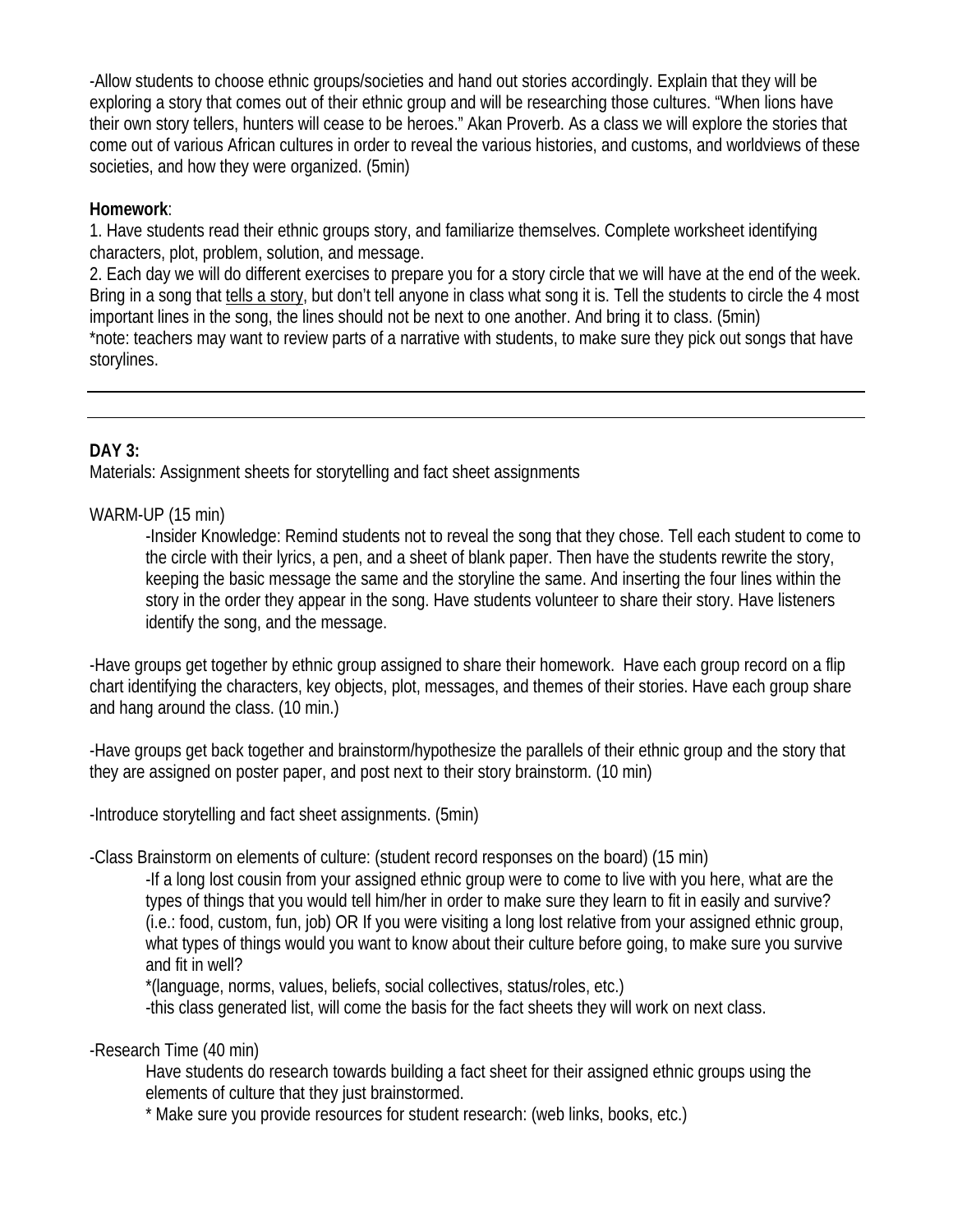-Allow students to choose ethnic groups/societies and hand out stories accordingly. Explain that they will be exploring a story that comes out of their ethnic group and will be researching those cultures. "When lions have their own story tellers, hunters will cease to be heroes." Akan Proverb. As a class we will explore the stories that come out of various African cultures in order to reveal the various histories, and customs, and worldviews of these societies, and how they were organized. (5min)

#### **Homework**:

1. Have students read their ethnic groups story, and familiarize themselves. Complete worksheet identifying characters, plot, problem, solution, and message.

2. Each day we will do different exercises to prepare you for a story circle that we will have at the end of the week. Bring in a song that tells a story, but don't tell anyone in class what song it is. Tell the students to circle the 4 most important lines in the song, the lines should not be next to one another. And bring it to class. (5min) \*note: teachers may want to review parts of a narrative with students, to make sure they pick out songs that have storylines.

#### **DAY 3:**

Materials: Assignment sheets for storytelling and fact sheet assignments

#### WARM-UP (15 min)

-Insider Knowledge: Remind students not to reveal the song that they chose. Tell each student to come to the circle with their lyrics, a pen, and a sheet of blank paper. Then have the students rewrite the story, keeping the basic message the same and the storyline the same. And inserting the four lines within the story in the order they appear in the song. Have students volunteer to share their story. Have listeners identify the song, and the message.

-Have groups get together by ethnic group assigned to share their homework. Have each group record on a flip chart identifying the characters, key objects, plot, messages, and themes of their stories. Have each group share and hang around the class. (10 min.)

-Have groups get back together and brainstorm/hypothesize the parallels of their ethnic group and the story that they are assigned on poster paper, and post next to their story brainstorm. (10 min)

-Introduce storytelling and fact sheet assignments. (5min)

-Class Brainstorm on elements of culture: (student record responses on the board) (15 min)

-If a long lost cousin from your assigned ethnic group were to come to live with you here, what are the types of things that you would tell him/her in order to make sure they learn to fit in easily and survive? (i.e.: food, custom, fun, job) OR If you were visiting a long lost relative from your assigned ethnic group, what types of things would you want to know about their culture before going, to make sure you survive and fit in well?

\*(language, norms, values, beliefs, social collectives, status/roles, etc.)

-this class generated list, will come the basis for the fact sheets they will work on next class.

-Research Time (40 min)

Have students do research towards building a fact sheet for their assigned ethnic groups using the elements of culture that they just brainstormed.

\* Make sure you provide resources for student research: (web links, books, etc.)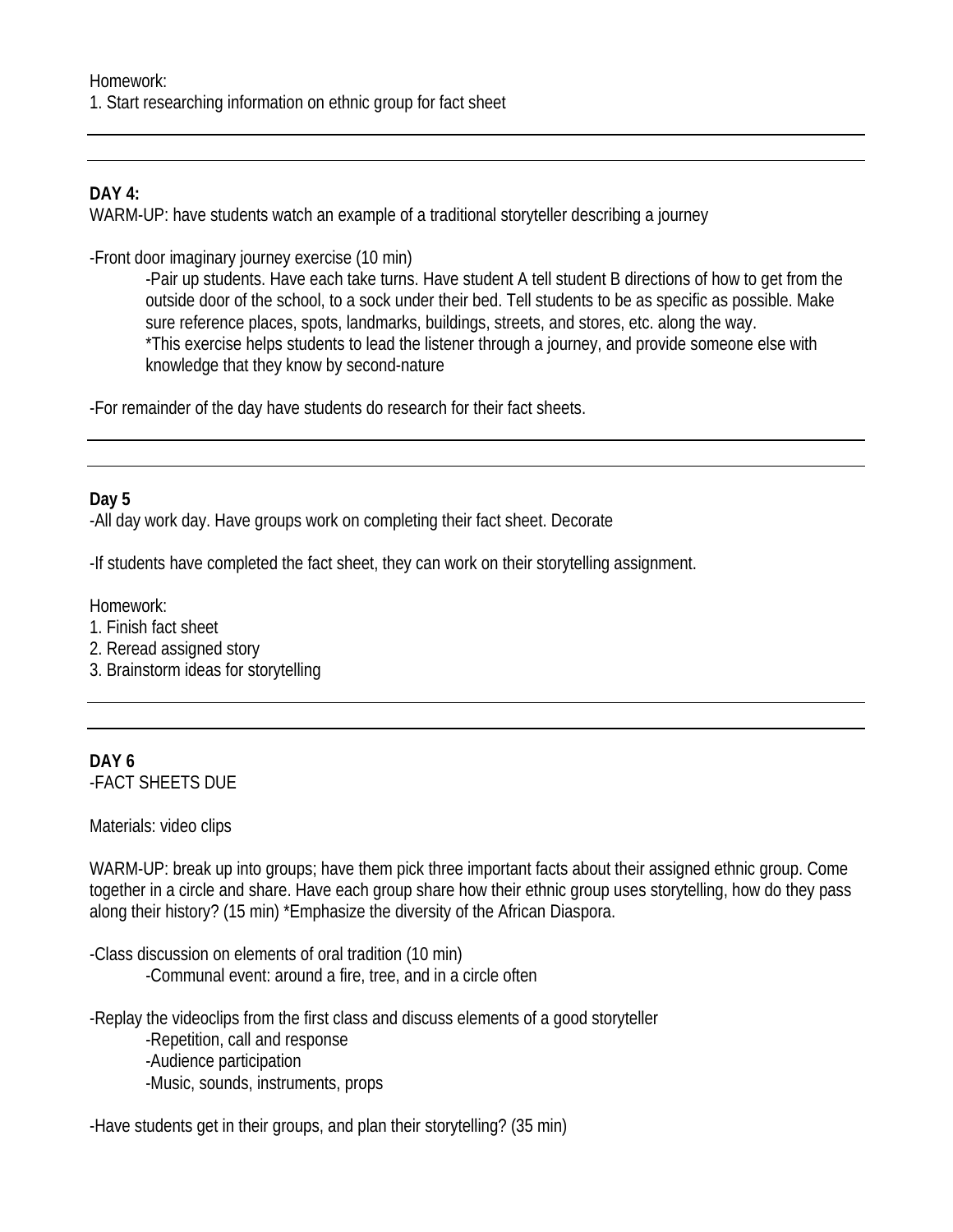#### **DAY 4:**

WARM-UP: have students watch an example of a traditional storyteller describing a journey

-Front door imaginary journey exercise (10 min)

-Pair up students. Have each take turns. Have student A tell student B directions of how to get from the outside door of the school, to a sock under their bed. Tell students to be as specific as possible. Make sure reference places, spots, landmarks, buildings, streets, and stores, etc. along the way. \*This exercise helps students to lead the listener through a journey, and provide someone else with knowledge that they know by second-nature

-For remainder of the day have students do research for their fact sheets.

#### **Day 5**

-All day work day. Have groups work on completing their fact sheet. Decorate

-If students have completed the fact sheet, they can work on their storytelling assignment.

Homework:

- 1. Finish fact sheet
- 2. Reread assigned story
- 3. Brainstorm ideas for storytelling

### **DAY 6**

-FACT SHEETS DUE

Materials: video clips

WARM-UP: break up into groups; have them pick three important facts about their assigned ethnic group. Come together in a circle and share. Have each group share how their ethnic group uses storytelling, how do they pass along their history? (15 min) \*Emphasize the diversity of the African Diaspora.

-Class discussion on elements of oral tradition (10 min) -Communal event: around a fire, tree, and in a circle often

-Replay the videoclips from the first class and discuss elements of a good storyteller

- -Repetition, call and response
- -Audience participation
- -Music, sounds, instruments, props

-Have students get in their groups, and plan their storytelling? (35 min)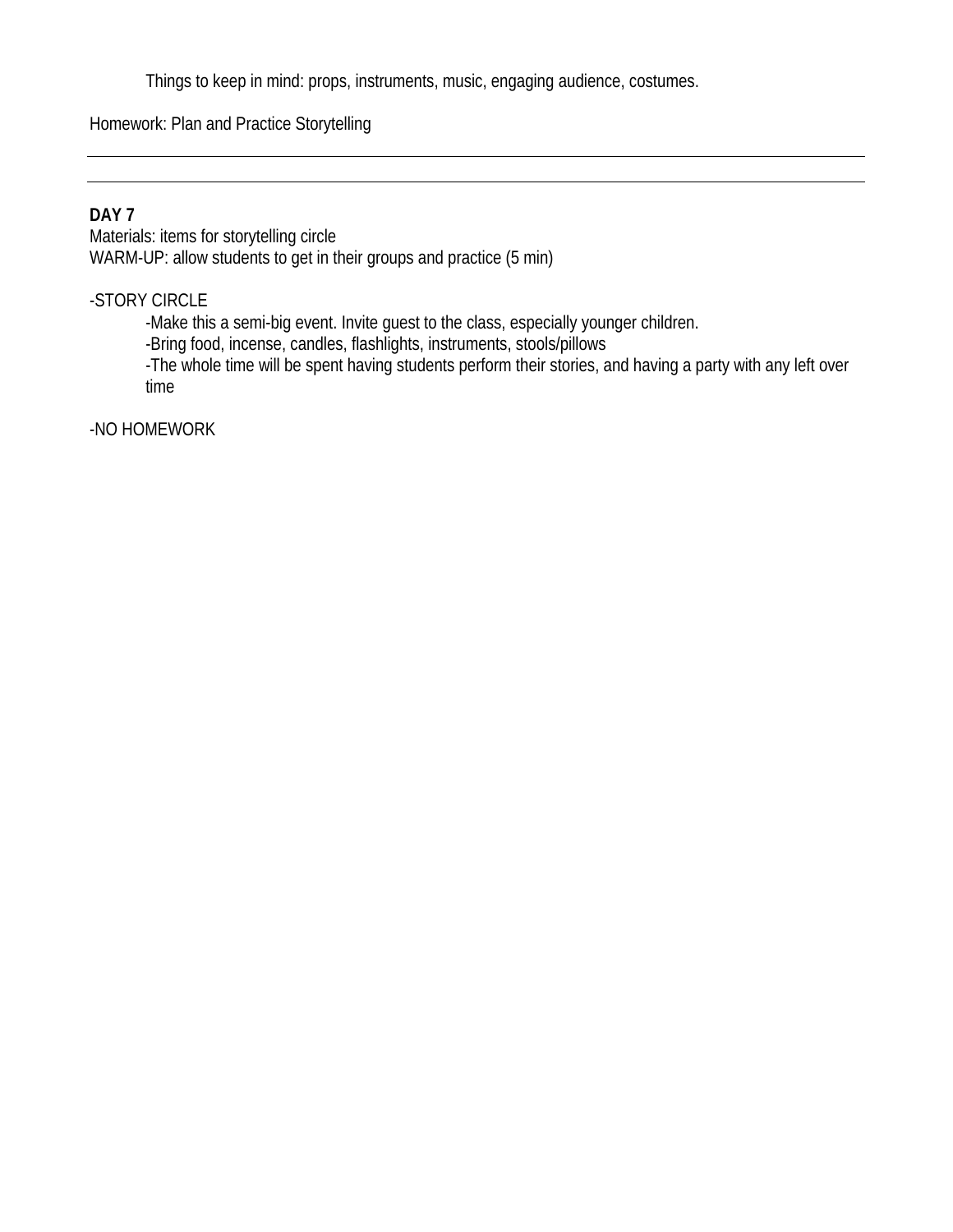Things to keep in mind: props, instruments, music, engaging audience, costumes.

Homework: Plan and Practice Storytelling

#### **DAY 7**

Materials: items for storytelling circle WARM-UP: allow students to get in their groups and practice (5 min)

#### -STORY CIRCLE

-Make this a semi-big event. Invite guest to the class, especially younger children.

-Bring food, incense, candles, flashlights, instruments, stools/pillows

-The whole time will be spent having students perform their stories, and having a party with any left over time

-NO HOMEWORK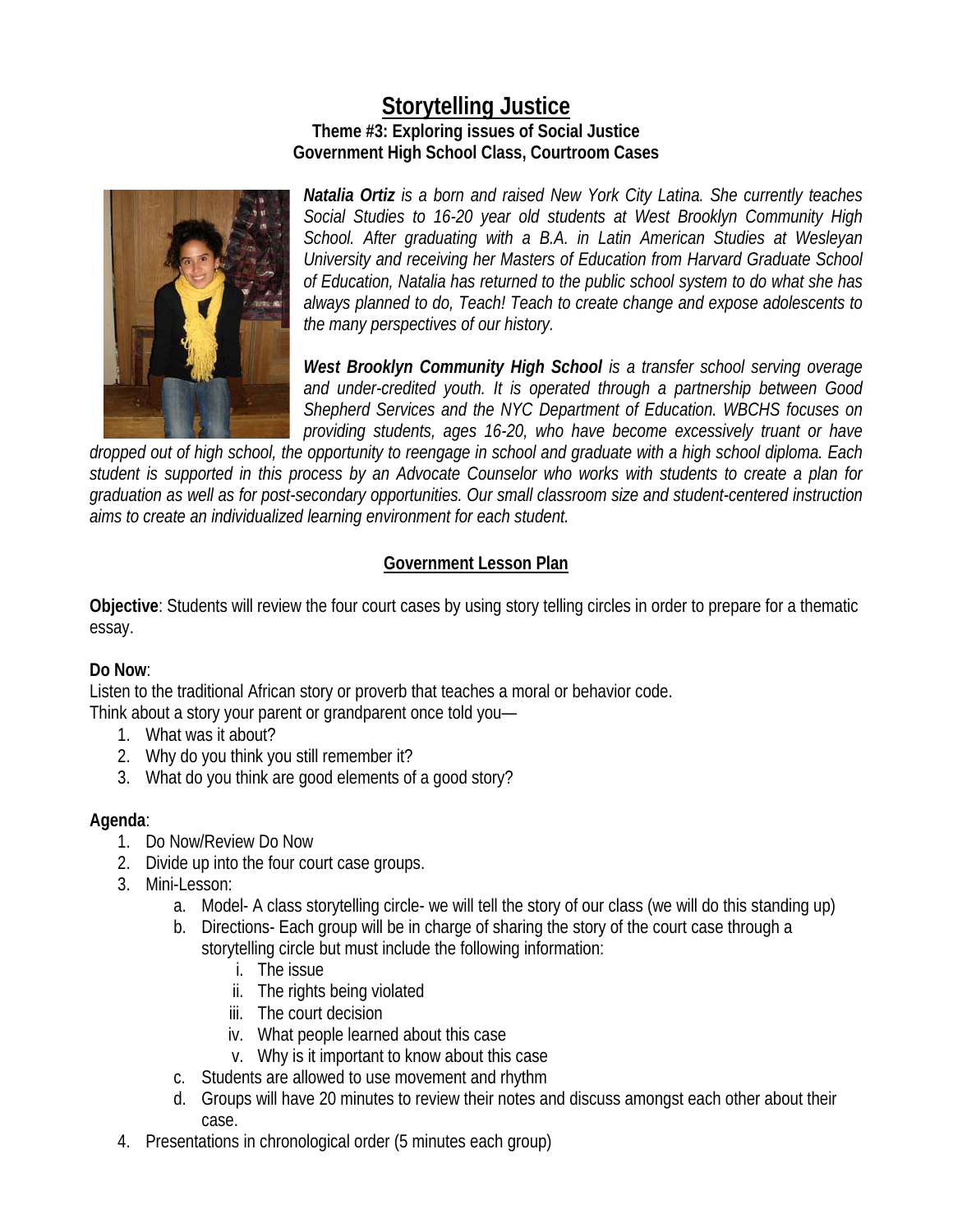#### **Storytelling Justice Theme #3: Exploring issues of Social Justice Government High School Class, Courtroom Cases**



*Natalia Ortiz is a born and raised New York City Latina. She currently teaches Social Studies to 16-20 year old students at West Brooklyn Community High School. After graduating with a B.A. in Latin American Studies at Wesleyan University and receiving her Masters of Education from Harvard Graduate School of Education, Natalia has returned to the public school system to do what she has always planned to do, Teach! Teach to create change and expose adolescents to the many perspectives of our history.* 

*West Brooklyn Community High School is a transfer school serving overage and under-credited youth. It is operated through a partnership between Good Shepherd Services and the NYC Department of Education. WBCHS focuses on providing students, ages 16-20, who have become excessively truant or have* 

*dropped out of high school, the opportunity to reengage in school and graduate with a high school diploma. Each student is supported in this process by an Advocate Counselor who works with students to create a plan for graduation as well as for post-secondary opportunities. Our small classroom size and student-centered instruction aims to create an individualized learning environment for each student.* 

#### **Government Lesson Plan**

**Objective**: Students will review the four court cases by using story telling circles in order to prepare for a thematic essay.

#### **Do Now**:

Listen to the traditional African story or proverb that teaches a moral or behavior code. Think about a story your parent or grandparent once told you—

- 1. What was it about?
- 2. Why do you think you still remember it?
- 3. What do you think are good elements of a good story?

#### **Agenda**:

- 1. Do Now/Review Do Now
- 2. Divide up into the four court case groups.
- 3. Mini-Lesson:
	- a. Model- A class storytelling circle- we will tell the story of our class (we will do this standing up)
	- b. Directions- Each group will be in charge of sharing the story of the court case through a storytelling circle but must include the following information:
		- i. The issue
		- ii. The rights being violated
		- iii. The court decision
		- iv. What people learned about this case
		- v. Why is it important to know about this case
	- c. Students are allowed to use movement and rhythm
	- d. Groups will have 20 minutes to review their notes and discuss amongst each other about their case.
- 4. Presentations in chronological order (5 minutes each group)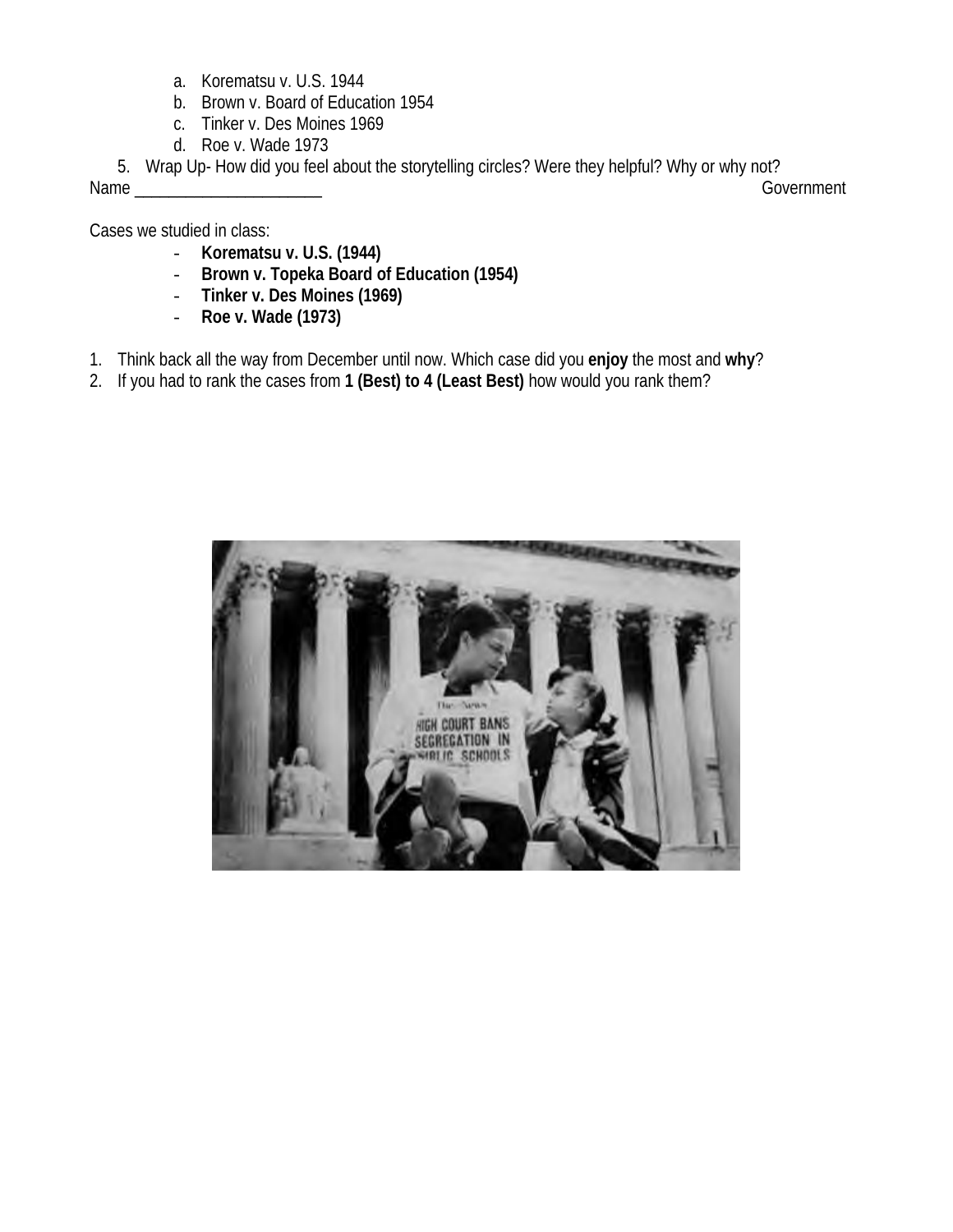- a. Korematsu v. U.S. 1944
- b. Brown v. Board of Education 1954
- c. Tinker v. Des Moines 1969
- d. Roe v. Wade 1973

5. Wrap Up- How did you feel about the storytelling circles? Were they helpful? Why or why not? Name \_\_\_\_\_\_\_\_\_\_\_\_\_\_\_\_\_\_\_\_\_\_ Government

Cases we studied in class:

- **Korematsu v. U.S. (1944)**
- **Brown v. Topeka Board of Education (1954)**
- **Tinker v. Des Moines (1969)**
- **Roe v. Wade (1973)**
- 1. Think back all the way from December until now. Which case did you **enjoy** the most and **why**?
- 2. If you had to rank the cases from **1 (Best) to 4 (Least Best)** how would you rank them?

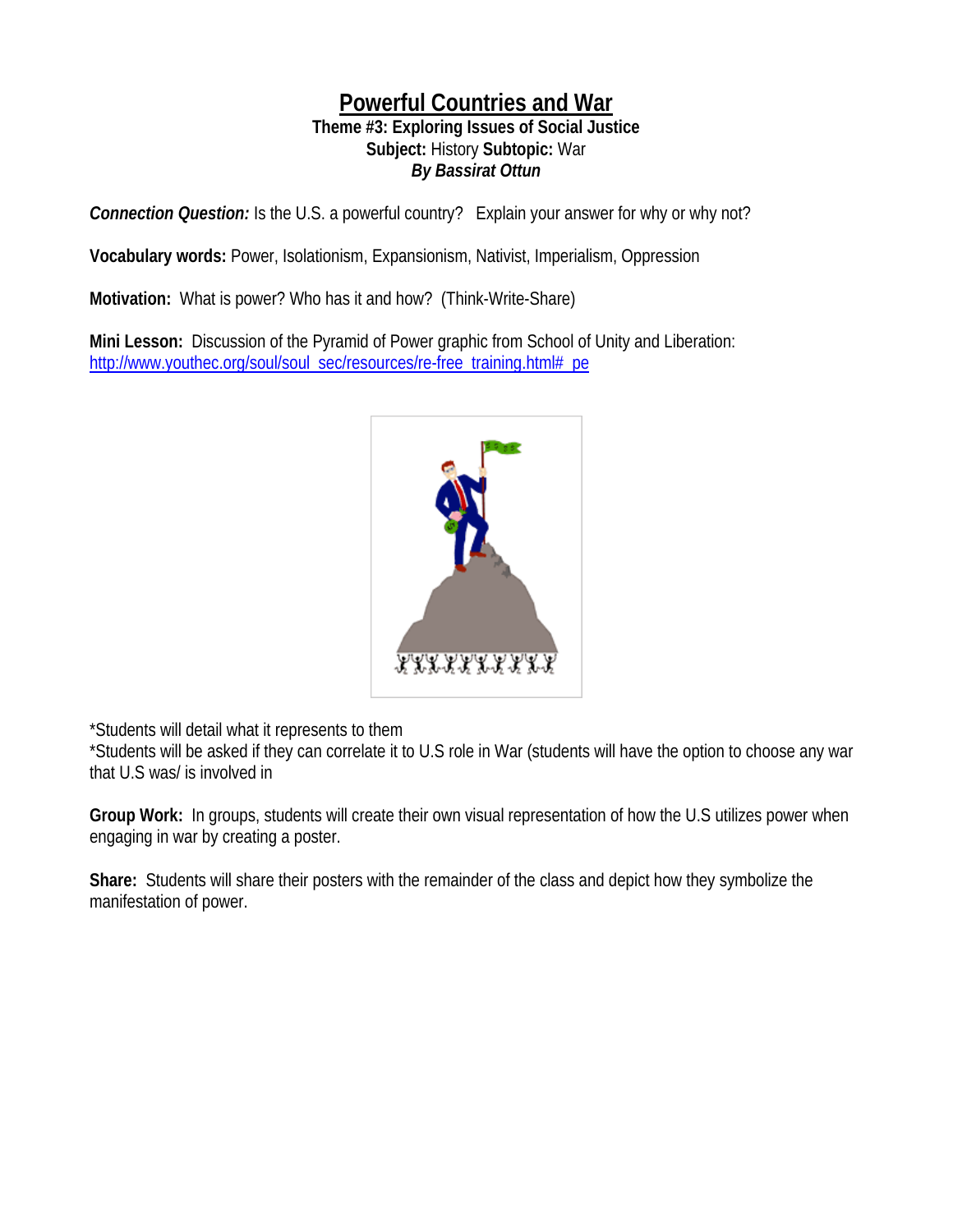## **Powerful Countries and War**

#### **Theme #3: Exploring Issues of Social Justice Subject:** History **Subtopic:** War *By Bassirat Ottun*

*Connection Question:* Is the U.S. a powerful country? Explain your answer for why or why not?

**Vocabulary words:** Power, Isolationism, Expansionism, Nativist, Imperialism, Oppression

**Motivation:** What is power? Who has it and how? (Think-Write-Share)

**Mini Lesson:** Discussion of the Pyramid of Power graphic from School of Unity and Liberation: [http://www.youthec.org/soul/soul\\_sec/resources/re-free\\_training.html#\\_pe](http://www.youthec.org/soul/soul_sec/resources/re-free_training.html#_pe)



\*Students will detail what it represents to them

\*Students will be asked if they can correlate it to U.S role in War (students will have the option to choose any war that U.S was/ is involved in

**Group Work:** In groups, students will create their own visual representation of how the U.S utilizes power when engaging in war by creating a poster.

**Share:** Students will share their posters with the remainder of the class and depict how they symbolize the manifestation of power.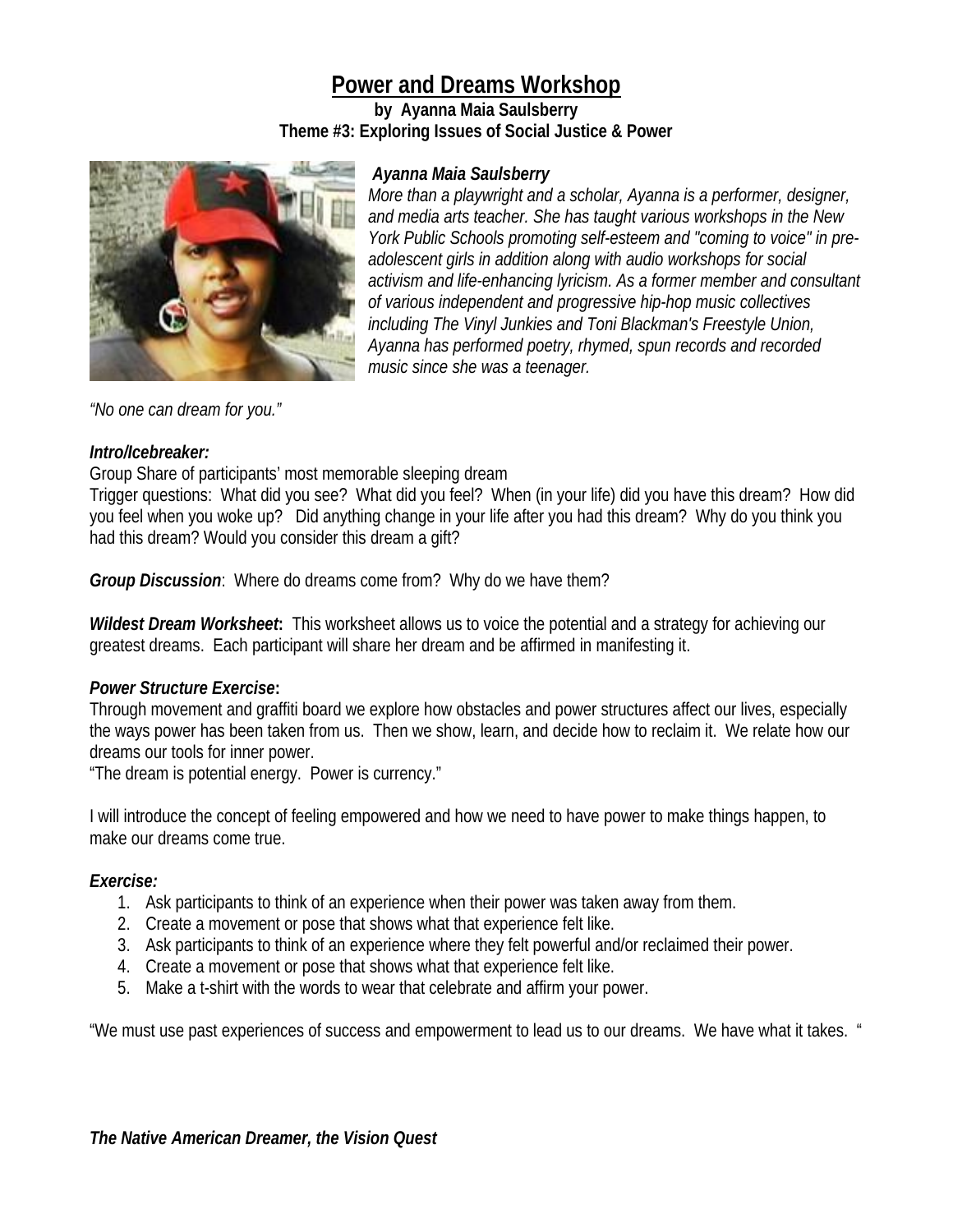#### **Power and Dreams Workshop by Ayanna Maia Saulsberry Theme #3: Exploring Issues of Social Justice & Power**



#### *Ayanna Maia Saulsberry*

*More than a playwright and a scholar, Ayanna is a performer, designer, and media arts teacher. She has taught various workshops in the New York Public Schools promoting self-esteem and "coming to voice" in preadolescent girls in addition along with audio workshops for social activism and life-enhancing lyricism. As a former member and consultant of various independent and progressive hip-hop music collectives including The Vinyl Junkies and Toni Blackman's Freestyle Union, Ayanna has performed poetry, rhymed, spun records and recorded music since she was a teenager.* 

*"No one can dream for you."* 

#### *Intro/Icebreaker:*

Group Share of participants' most memorable sleeping dream

Trigger questions: What did you see? What did you feel? When (in your life) did you have this dream? How did you feel when you woke up? Did anything change in your life after you had this dream? Why do you think you had this dream? Would you consider this dream a gift?

*Group Discussion*: Where do dreams come from? Why do we have them?

*Wildest Dream Worksheet***:** This worksheet allows us to voice the potential and a strategy for achieving our greatest dreams. Each participant will share her dream and be affirmed in manifesting it.

#### *Power Structure Exercise***:**

Through movement and graffiti board we explore how obstacles and power structures affect our lives, especially the ways power has been taken from us. Then we show, learn, and decide how to reclaim it. We relate how our dreams our tools for inner power.

"The dream is potential energy. Power is currency."

I will introduce the concept of feeling empowered and how we need to have power to make things happen, to make our dreams come true.

#### *Exercise:*

- 1. Ask participants to think of an experience when their power was taken away from them.
- 2. Create a movement or pose that shows what that experience felt like.
- 3. Ask participants to think of an experience where they felt powerful and/or reclaimed their power.
- 4. Create a movement or pose that shows what that experience felt like.
- 5. Make a t-shirt with the words to wear that celebrate and affirm your power.

"We must use past experiences of success and empowerment to lead us to our dreams. We have what it takes. "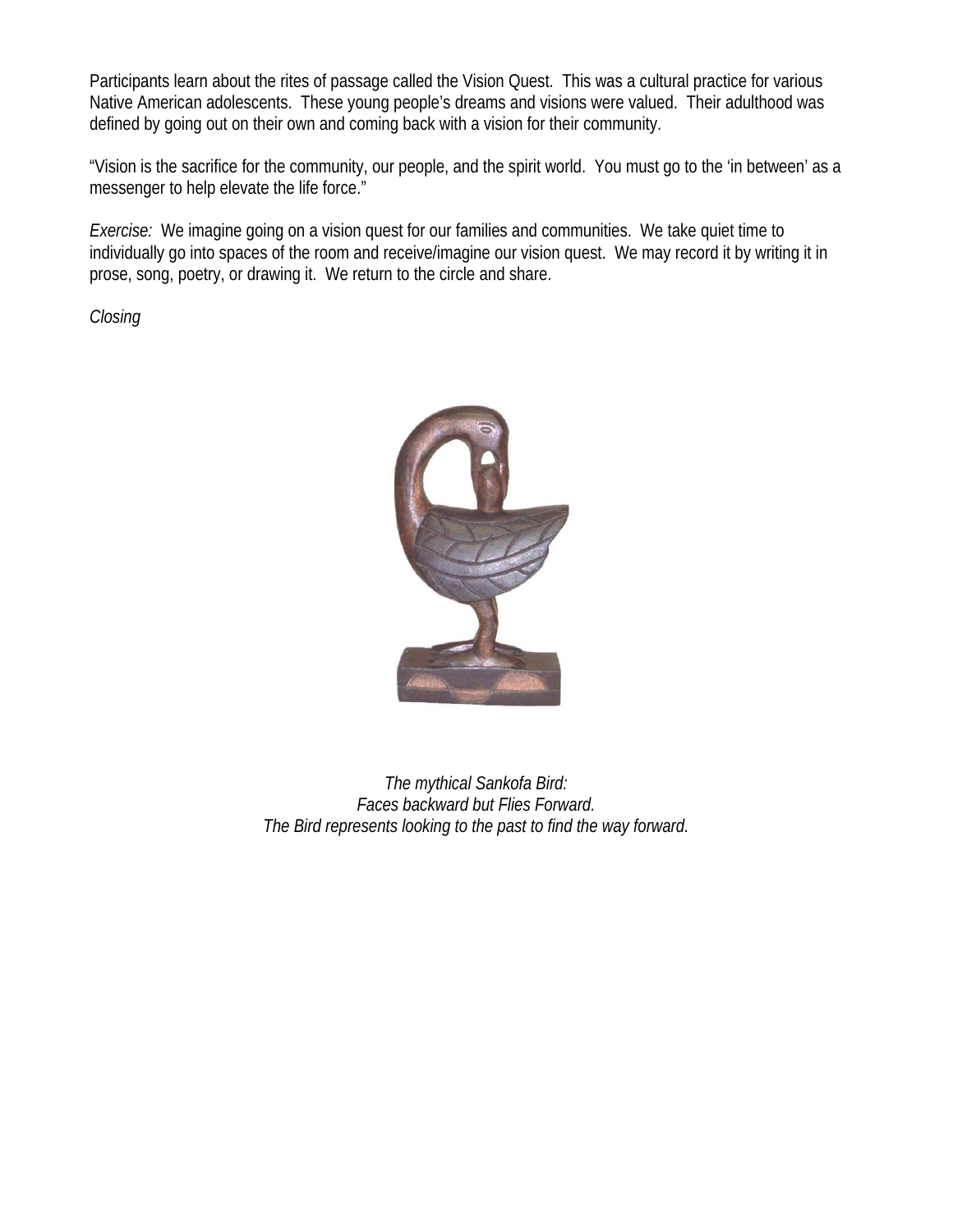Participants learn about the rites of passage called the Vision Quest. This was a cultural practice for various Native American adolescents. These young people's dreams and visions were valued. Their adulthood was defined by going out on their own and coming back with a vision for their community.

"Vision is the sacrifice for the community, our people, and the spirit world. You must go to the 'in between' as a messenger to help elevate the life force."

*Exercise:* We imagine going on a vision quest for our families and communities. We take quiet time to individually go into spaces of the room and receive/imagine our vision quest. We may record it by writing it in prose, song, poetry, or drawing it. We return to the circle and share.

*Closing* 



*The mythical Sankofa Bird: Faces backward but Flies Forward. The Bird represents looking to the past to find the way forward.*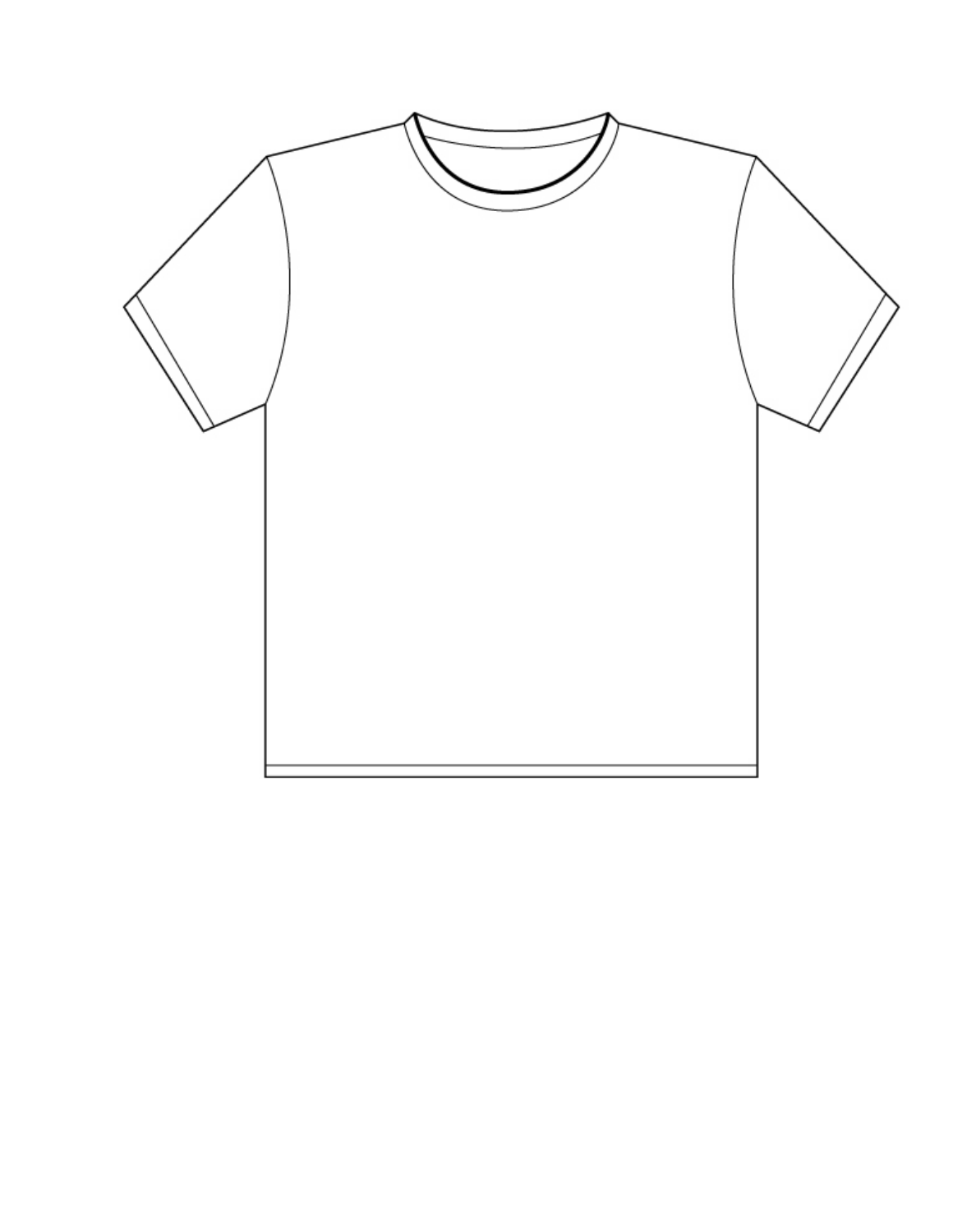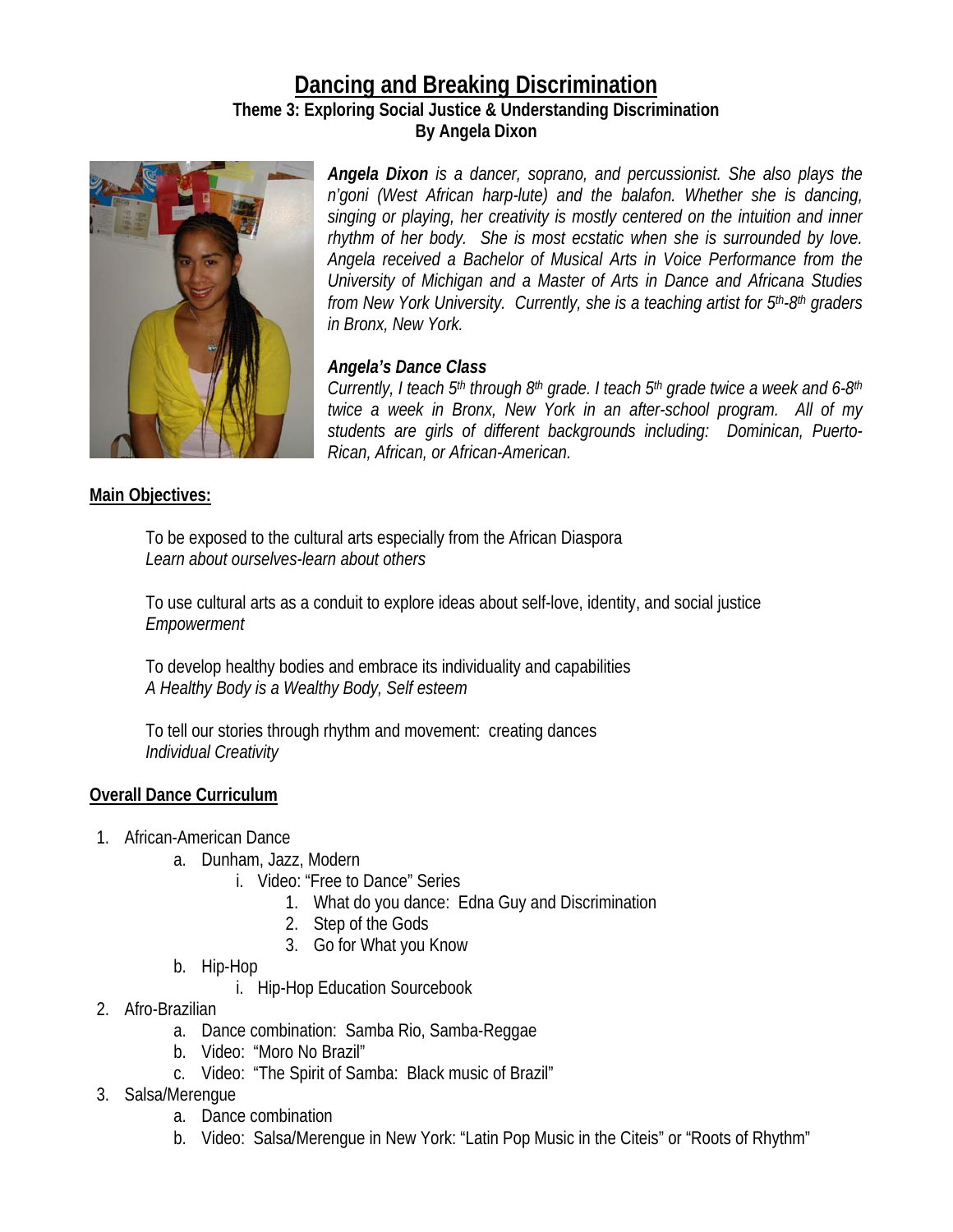#### **Dancing and Breaking Discrimination Theme 3: Exploring Social Justice & Understanding Discrimination By Angela Dixon**



*Angela Dixon is a dancer, soprano, and percussionist. She also plays the n'goni (West African harp-lute) and the balafon. Whether she is dancing, singing or playing, her creativity is mostly centered on the intuition and inner rhythm of her body. She is most ecstatic when she is surrounded by love. Angela received a Bachelor of Musical Arts in Voice Performance from the University of Michigan and a Master of Arts in Dance and Africana Studies from New York University. Currently, she is a teaching artist for 5th-8th graders in Bronx, New York.* 

#### *Angela's Dance Class*

*Currently, I teach 5th through 8th grade. I teach 5th grade twice a week and 6-8th twice a week in Bronx, New York in an after-school program. All of my students are girls of different backgrounds including: Dominican, Puerto-Rican, African, or African-American.* 

#### **Main Objectives:**

To be exposed to the cultural arts especially from the African Diaspora *Learn about ourselves-learn about others* 

To use cultural arts as a conduit to explore ideas about self-love, identity, and social justice *Empowerment* 

To develop healthy bodies and embrace its individuality and capabilities *A Healthy Body is a Wealthy Body, Self esteem* 

To tell our stories through rhythm and movement: creating dances *Individual Creativity* 

#### **Overall Dance Curriculum**

- 1. African-American Dance
	- a. Dunham, Jazz, Modern
		- i. Video: "Free to Dance" Series
			- 1. What do you dance: Edna Guy and Discrimination
			- 2. Step of the Gods
			- 3. Go for What you Know
	- b. Hip-Hop
		- i. Hip-Hop Education Sourcebook
- 2. Afro-Brazilian
	- a. Dance combination: Samba Rio, Samba-Reggae
	- b. Video: "Moro No Brazil"
	- c. Video: "The Spirit of Samba: Black music of Brazil"
- 3. Salsa/Merengue
	- a. Dance combination
	- b. Video: Salsa/Merengue in New York: "Latin Pop Music in the Citeis" or "Roots of Rhythm"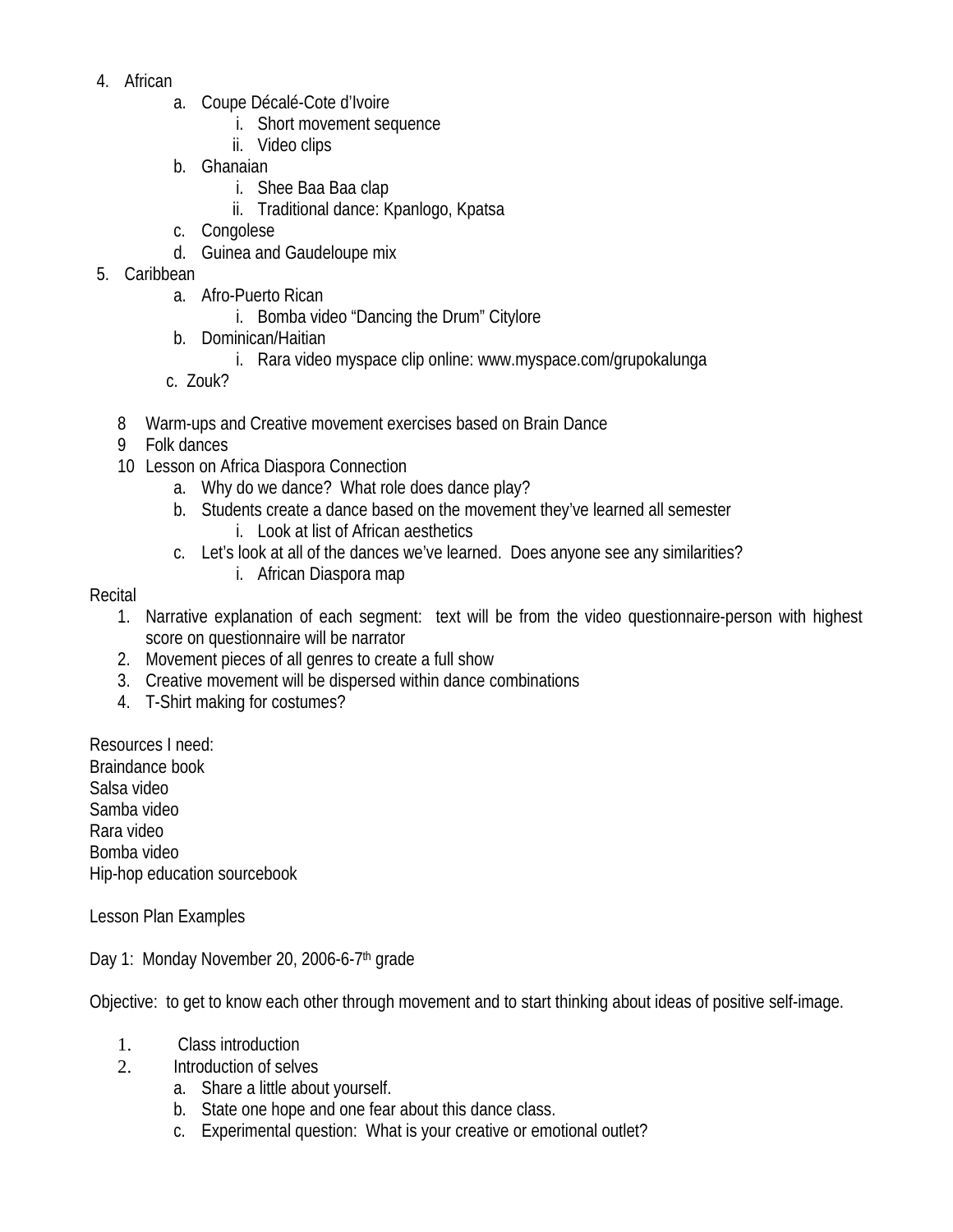- 4. African
	- a. Coupe Décalé-Cote d'Ivoire
		- i. Short movement sequence
		- ii. Video clips
	- b. Ghanaian
		- i. Shee Baa Baa clap
		- ii. Traditional dance: Kpanlogo, Kpatsa
	- c. Congolese
	- d. Guinea and Gaudeloupe mix
- 5. Caribbean
	- a. Afro-Puerto Rican
		- i. Bomba video "Dancing the Drum" Citylore
	- b. Dominican/Haitian
		- i. Rara video myspace clip online: www.myspace.com/grupokalunga
	- c. Zouk?
	- 8 Warm-ups and Creative movement exercises based on Brain Dance
	- 9 Folk dances
	- 10 Lesson on Africa Diaspora Connection
		- a. Why do we dance? What role does dance play?
		- b. Students create a dance based on the movement they've learned all semester
			- i. Look at list of African aesthetics
		- c. Let's look at all of the dances we've learned. Does anyone see any similarities?
			- i. African Diaspora map

#### Recital

- 1. Narrative explanation of each segment: text will be from the video questionnaire-person with highest score on questionnaire will be narrator
- 2. Movement pieces of all genres to create a full show
- 3. Creative movement will be dispersed within dance combinations
- 4. T-Shirt making for costumes?

Resources I need: Braindance book Salsa video Samba video Rara video Bomba video Hip-hop education sourcebook

Lesson Plan Examples

Day 1: Monday November 20, 2006-6-7<sup>th</sup> grade

Objective: to get to know each other through movement and to start thinking about ideas of positive self-image.

- 1. Class introduction
- 2. Introduction of selves
	- a. Share a little about yourself.
	- b. State one hope and one fear about this dance class.
	- c. Experimental question: What is your creative or emotional outlet?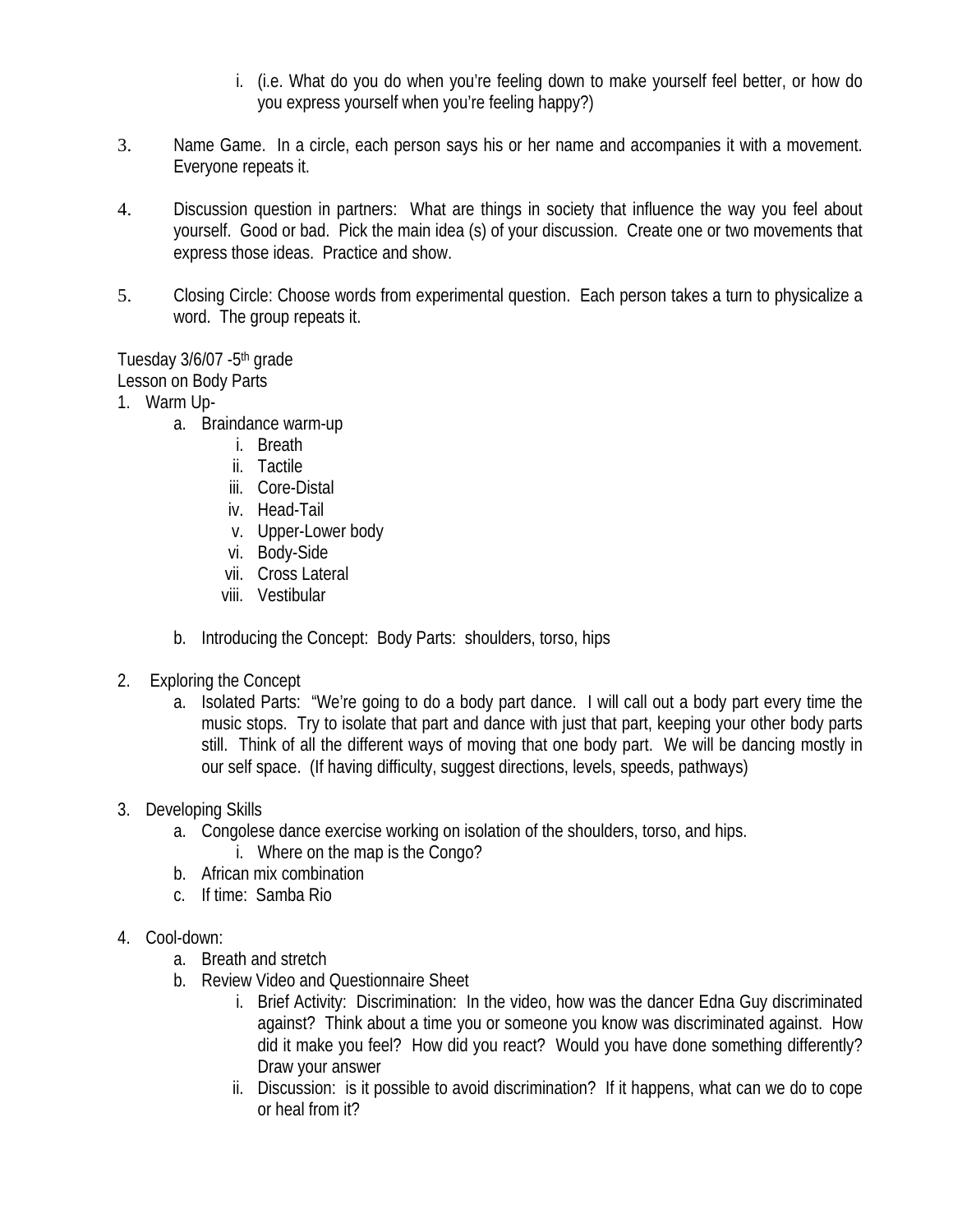- i. (i.e. What do you do when you're feeling down to make yourself feel better, or how do you express yourself when you're feeling happy?)
- 3. Name Game. In a circle, each person says his or her name and accompanies it with a movement. Everyone repeats it.
- 4. Discussion question in partners: What are things in society that influence the way you feel about yourself. Good or bad. Pick the main idea (s) of your discussion. Create one or two movements that express those ideas. Practice and show.
- 5. Closing Circle: Choose words from experimental question. Each person takes a turn to physicalize a word. The group repeats it.

Tuesday 3/6/07 - 5<sup>th</sup> grade

- Lesson on Body Parts
- 1. Warm Up
	- a. Braindance warm-up
		- i. Breath
		- ii. Tactile
		- iii. Core-Distal
		- iv. Head-Tail
		- v. Upper-Lower body
		- vi. Body-Side
		- vii. Cross Lateral
		- viii. Vestibular
	- b. Introducing the Concept: Body Parts: shoulders, torso, hips
- 2. Exploring the Concept
	- a. Isolated Parts: "We're going to do a body part dance. I will call out a body part every time the music stops. Try to isolate that part and dance with just that part, keeping your other body parts still. Think of all the different ways of moving that one body part. We will be dancing mostly in our self space. (If having difficulty, suggest directions, levels, speeds, pathways)
- 3. Developing Skills
	- a. Congolese dance exercise working on isolation of the shoulders, torso, and hips. i. Where on the map is the Congo?
	- b. African mix combination
	- c. If time: Samba Rio
- 4. Cool-down:
	- a. Breath and stretch
	- b. Review Video and Questionnaire Sheet
		- i. Brief Activity: Discrimination: In the video, how was the dancer Edna Guy discriminated against? Think about a time you or someone you know was discriminated against. How did it make you feel? How did you react? Would you have done something differently? Draw your answer
		- ii. Discussion: is it possible to avoid discrimination? If it happens, what can we do to cope or heal from it?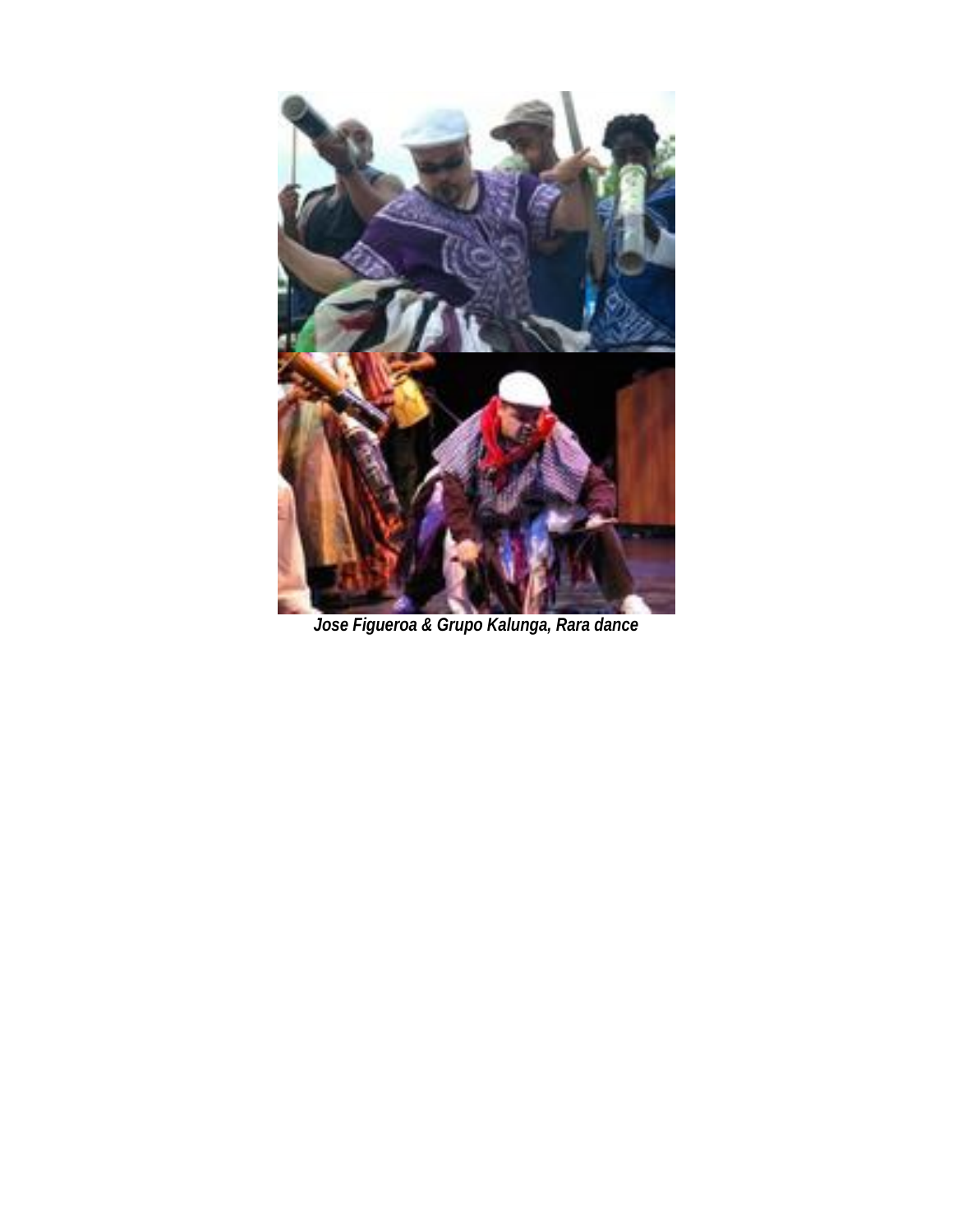

*Jose Figueroa & Grupo Kalunga, Rara dance*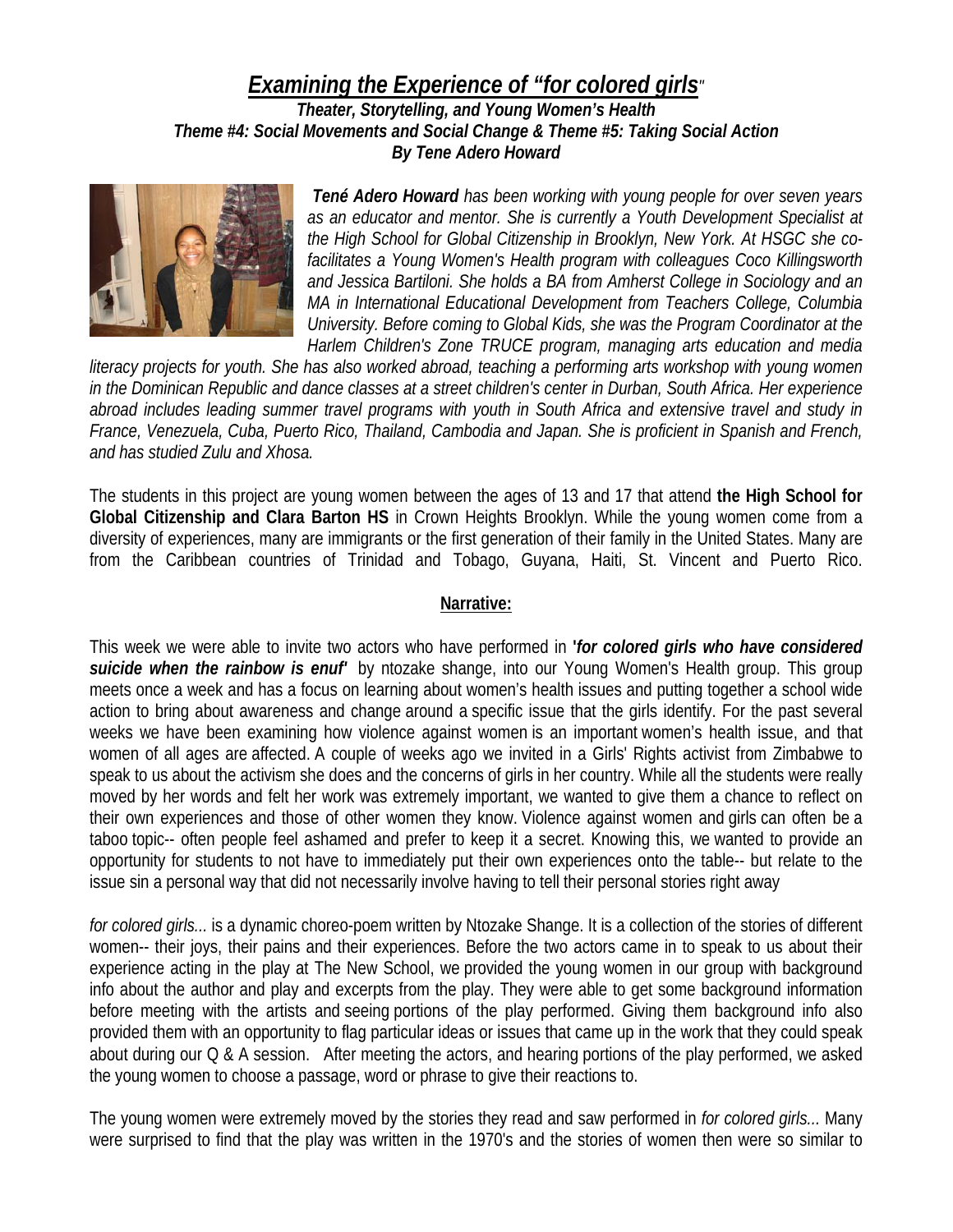#### *Examining the Experience of "for colored girls" Theater, Storytelling, and Young Women's Health Theme #4: Social Movements and Social Change & Theme #5: Taking Social Action By Tene Adero Howard*



 *Tené Adero Howard has been working with young people for over seven years as an educator and mentor. She is currently a Youth Development Specialist at the High School for Global Citizenship in Brooklyn, New York. At HSGC she cofacilitates a Young Women's Health program with colleagues Coco Killingsworth and Jessica Bartiloni. She holds a BA from Amherst College in Sociology and an MA in International Educational Development from Teachers College, Columbia University. Before coming to Global Kids, she was the Program Coordinator at the Harlem Children's Zone TRUCE program, managing arts education and media* 

*literacy projects for youth. She has also worked abroad, teaching a performing arts workshop with young women in the Dominican Republic and dance classes at a street children's center in Durban, South Africa. Her experience abroad includes leading summer travel programs with youth in South Africa and extensive travel and study in France, Venezuela, Cuba, Puerto Rico, Thailand, Cambodia and Japan. She is proficient in Spanish and French, and has studied Zulu and Xhosa.* 

The students in this project are young women between the ages of 13 and 17 that attend **the High School for Global Citizenship and Clara Barton HS** in Crown Heights Brooklyn. While the young women come from a diversity of experiences, many are immigrants or the first generation of their family in the United States. Many are from the Caribbean countries of Trinidad and Tobago, Guyana, Haiti, St. Vincent and Puerto Rico.

#### **Narrative:**

This week we were able to invite two actors who have performed in **'***for colored girls who have considered suicide when the rainbow is enuf'* by ntozake shange, into our Young Women's Health group. This group meets once a week and has a focus on learning about women's health issues and putting together a school wide action to bring about awareness and change around a specific issue that the girls identify. For the past several weeks we have been examining how violence against women is an important women's health issue, and that women of all ages are affected. A couple of weeks ago we invited in a Girls' Rights activist from Zimbabwe to speak to us about the activism she does and the concerns of girls in her country. While all the students were really moved by her words and felt her work was extremely important, we wanted to give them a chance to reflect on their own experiences and those of other women they know. Violence against women and girls can often be a taboo topic-- often people feel ashamed and prefer to keep it a secret. Knowing this, we wanted to provide an opportunity for students to not have to immediately put their own experiences onto the table-- but relate to the issue sin a personal way that did not necessarily involve having to tell their personal stories right away

*for colored girls...* is a dynamic choreo-poem written by Ntozake Shange. It is a collection of the stories of different women-- their joys, their pains and their experiences. Before the two actors came in to speak to us about their experience acting in the play at The New School, we provided the young women in our group with background info about the author and play and excerpts from the play. They were able to get some background information before meeting with the artists and seeing portions of the play performed. Giving them background info also provided them with an opportunity to flag particular ideas or issues that came up in the work that they could speak about during our Q & A session. After meeting the actors, and hearing portions of the play performed, we asked the young women to choose a passage, word or phrase to give their reactions to.

The young women were extremely moved by the stories they read and saw performed in *for colored girls...* Many were surprised to find that the play was written in the 1970's and the stories of women then were so similar to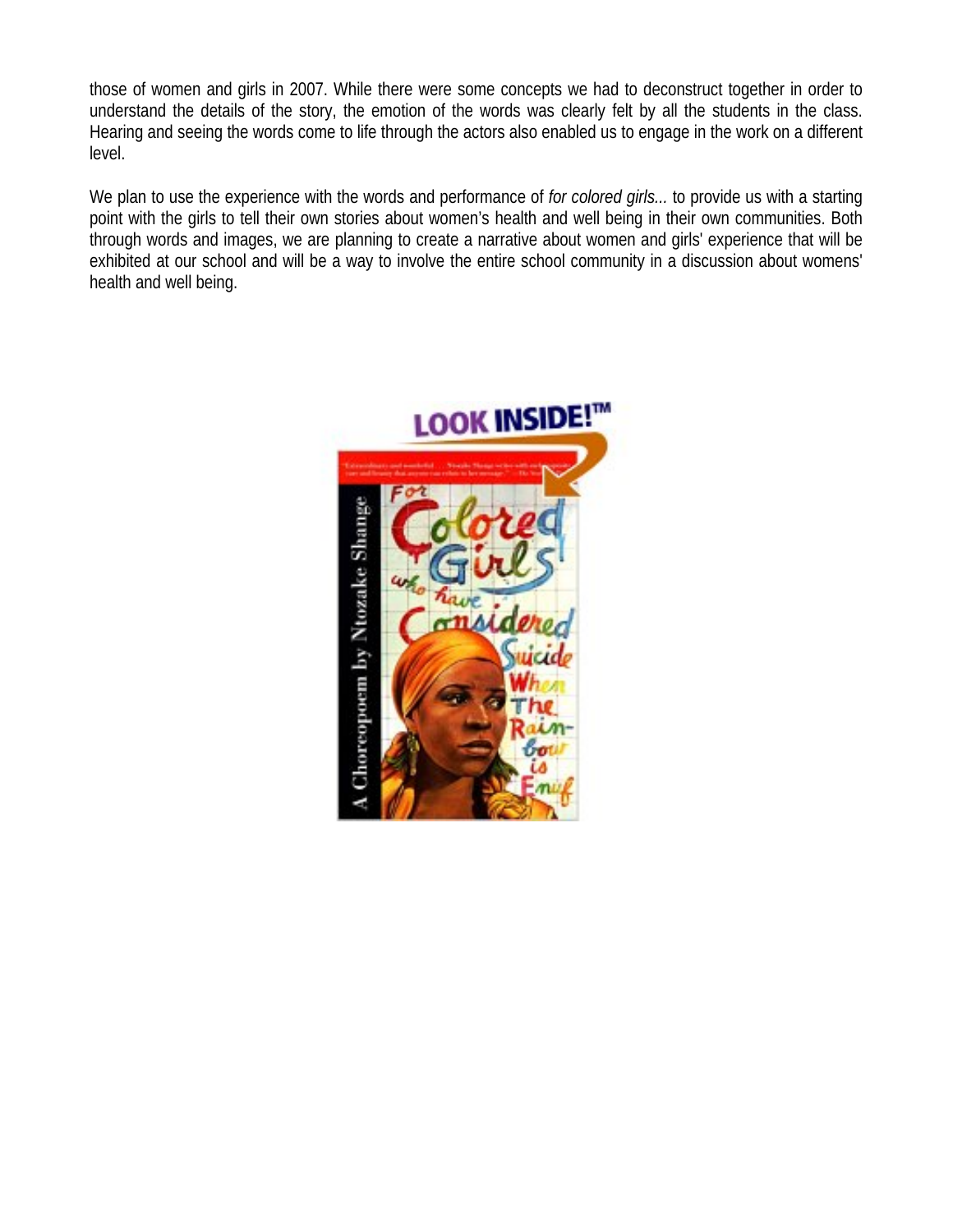those of women and girls in 2007. While there were some concepts we had to deconstruct together in order to understand the details of the story, the emotion of the words was clearly felt by all the students in the class. Hearing and seeing the words come to life through the actors also enabled us to engage in the work on a different level.

We plan to use the experience with the words and performance of *for colored girls...* to provide us with a starting point with the girls to tell their own stories about women's health and well being in their own communities. Both through words and images, we are planning to create a narrative about women and girls' experience that will be exhibited at our school and will be a way to involve the entire school community in a discussion about womens' health and well being.

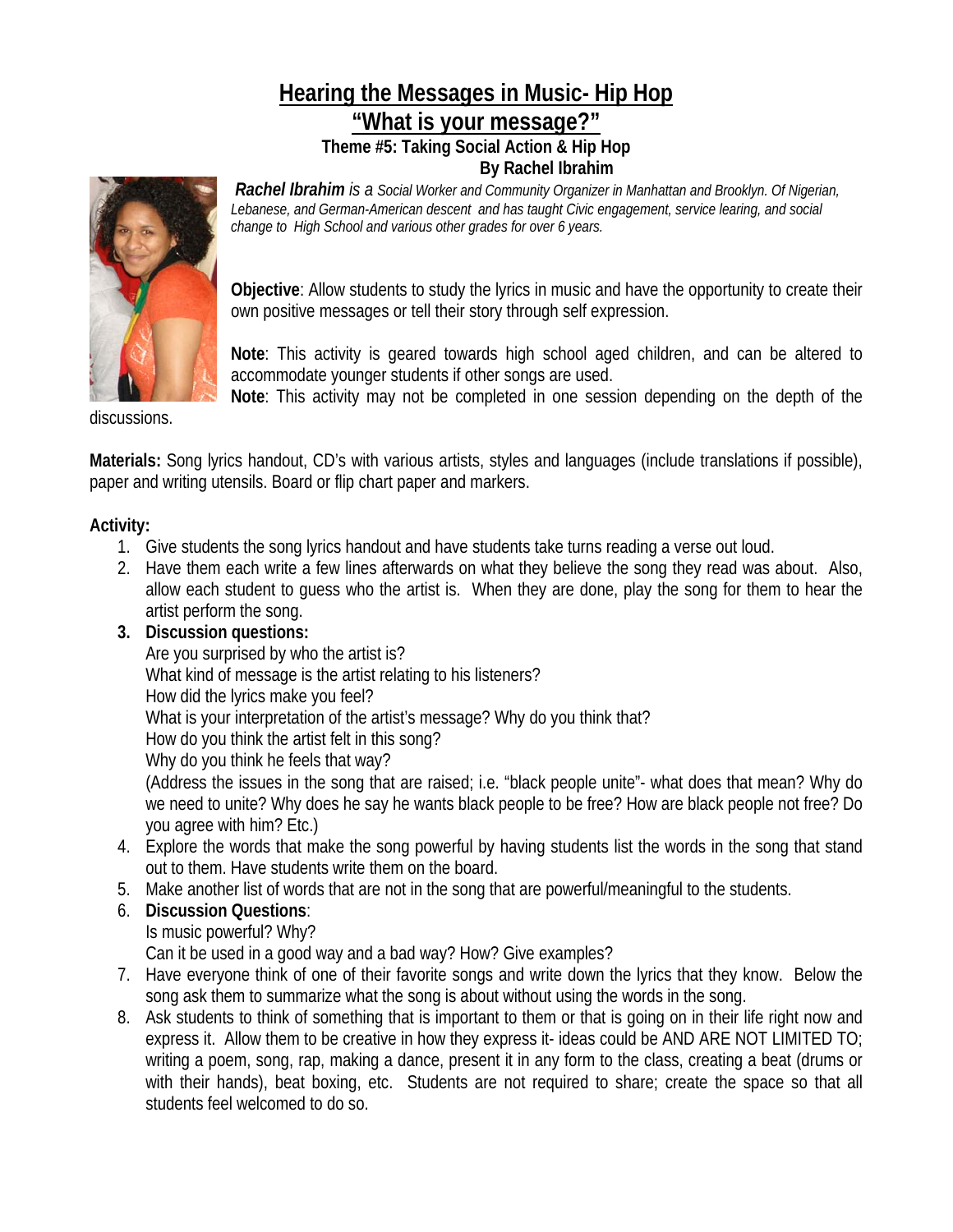## **Hearing the Messages in Music- Hip Hop**

## **"What is your message?"**

**Theme #5: Taking Social Action & Hip Hop By Rachel Ibrahim** 

*Rachel Ibrahim is a Social Worker and Community Organizer in Manhattan and Brooklyn. Of Nigerian, Lebanese, and German-American descent and has taught Civic engagement, service learing, and social change to High School and various other grades for over 6 years.*

**Objective**: Allow students to study the lyrics in music and have the opportunity to create their own positive messages or tell their story through self expression.

**Note**: This activity is geared towards high school aged children, and can be altered to accommodate younger students if other songs are used.

**Note**: This activity may not be completed in one session depending on the depth of the

discussions.

**Materials:** Song lyrics handout, CD's with various artists, styles and languages (include translations if possible), paper and writing utensils. Board or flip chart paper and markers.

#### **Activity:**

- 1. Give students the song lyrics handout and have students take turns reading a verse out loud.
- 2. Have them each write a few lines afterwards on what they believe the song they read was about. Also, allow each student to guess who the artist is. When they are done, play the song for them to hear the artist perform the song.

#### **3. Discussion questions:**

Are you surprised by who the artist is? What kind of message is the artist relating to his listeners? How did the lyrics make you feel? What is your interpretation of the artist's message? Why do you think that? How do you think the artist felt in this song? Why do you think he feels that way? (Address the issues in the song that are raised; i.e. "black people unite"- what does that mean? Why do we need to unite? Why does he say he wants black people to be free? How are black people not free? Do

you agree with him? Etc.)

- 4. Explore the words that make the song powerful by having students list the words in the song that stand out to them. Have students write them on the board.
- 5. Make another list of words that are not in the song that are powerful/meaningful to the students.
- 6. **Discussion Questions**:

Is music powerful? Why?

Can it be used in a good way and a bad way? How? Give examples?

- 7. Have everyone think of one of their favorite songs and write down the lyrics that they know. Below the song ask them to summarize what the song is about without using the words in the song.
- 8. Ask students to think of something that is important to them or that is going on in their life right now and express it. Allow them to be creative in how they express it- ideas could be AND ARE NOT LIMITED TO; writing a poem, song, rap, making a dance, present it in any form to the class, creating a beat (drums or with their hands), beat boxing, etc. Students are not required to share; create the space so that all students feel welcomed to do so.

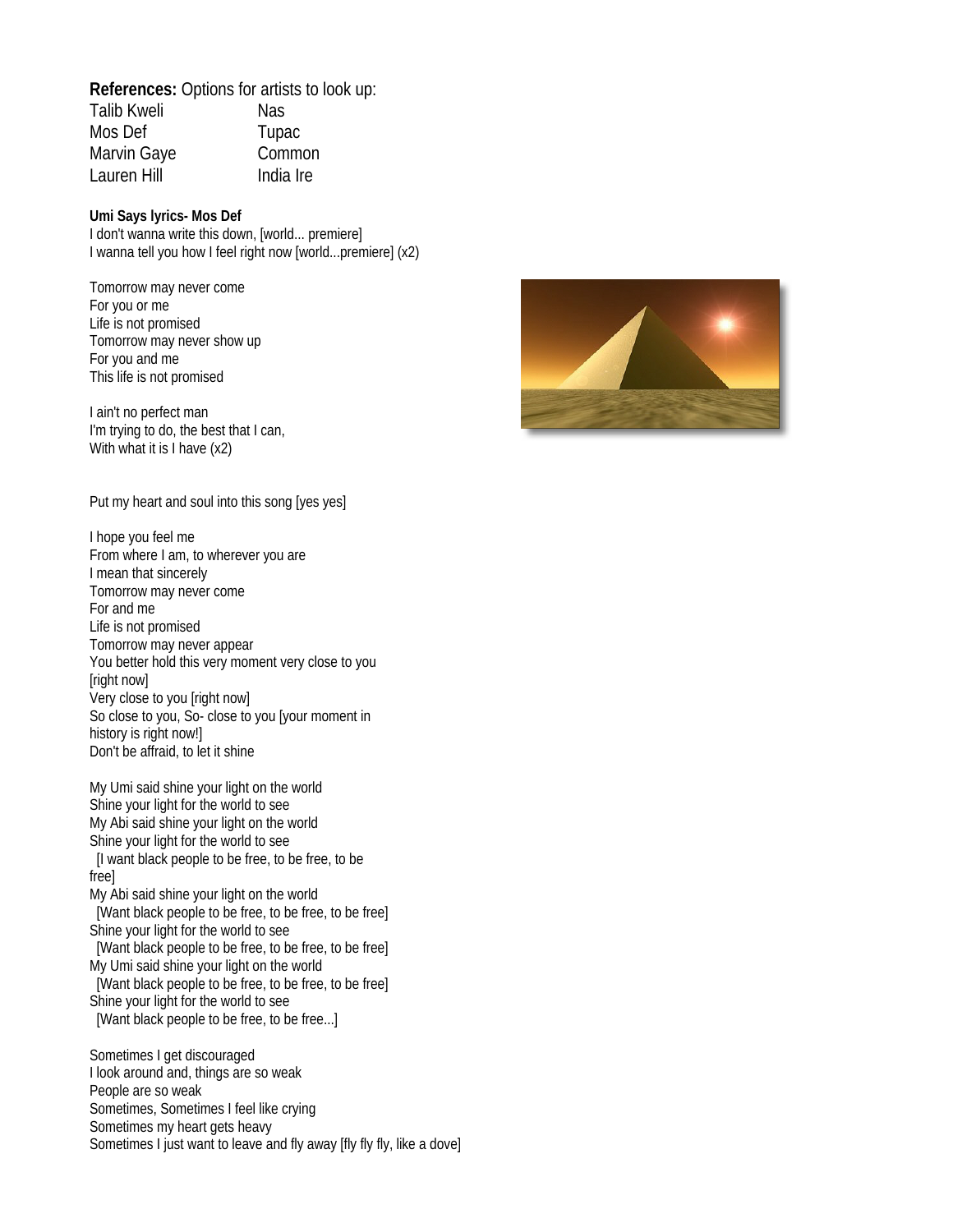**References:** Options for artists to look up: Talib Kweli Nas Mos Def Tupac Marvin Gaye **Common** Lauren Hill **India** Ire

#### **Umi Says lyrics- Mos Def**

I don't wanna write this down, [world... premiere] I wanna tell you how I feel right now [world...premiere] (x2)

Tomorrow may never come For you or me Life is not promised Tomorrow may never show up For you and me This life is not promised

I ain't no perfect man I'm trying to do, the best that I can, With what it is I have (x2)

Put my heart and soul into this song [yes yes]

I hope you feel me From where I am, to wherever you are I mean that sincerely Tomorrow may never come For and me Life is not promised Tomorrow may never appear You better hold this very moment very close to you [right now] Very close to you [right now] So close to you, So- close to you [your moment in history is right now!] Don't be affraid, to let it shine

My Umi said shine your light on the world Shine your light for the world to see My Abi said shine your light on the world Shine your light for the world to see [I want black people to be free, to be free, to be free] My Abi said shine your light on the world [Want black people to be free, to be free, to be free] Shine your light for the world to see [Want black people to be free, to be free, to be free] My Umi said shine your light on the world [Want black people to be free, to be free, to be free] Shine your light for the world to see [Want black people to be free, to be free...]

Sometimes I get discouraged I look around and, things are so weak People are so weak Sometimes, Sometimes I feel like crying Sometimes my heart gets heavy Sometimes I just want to leave and fly away [fly fly fly, like a dove]

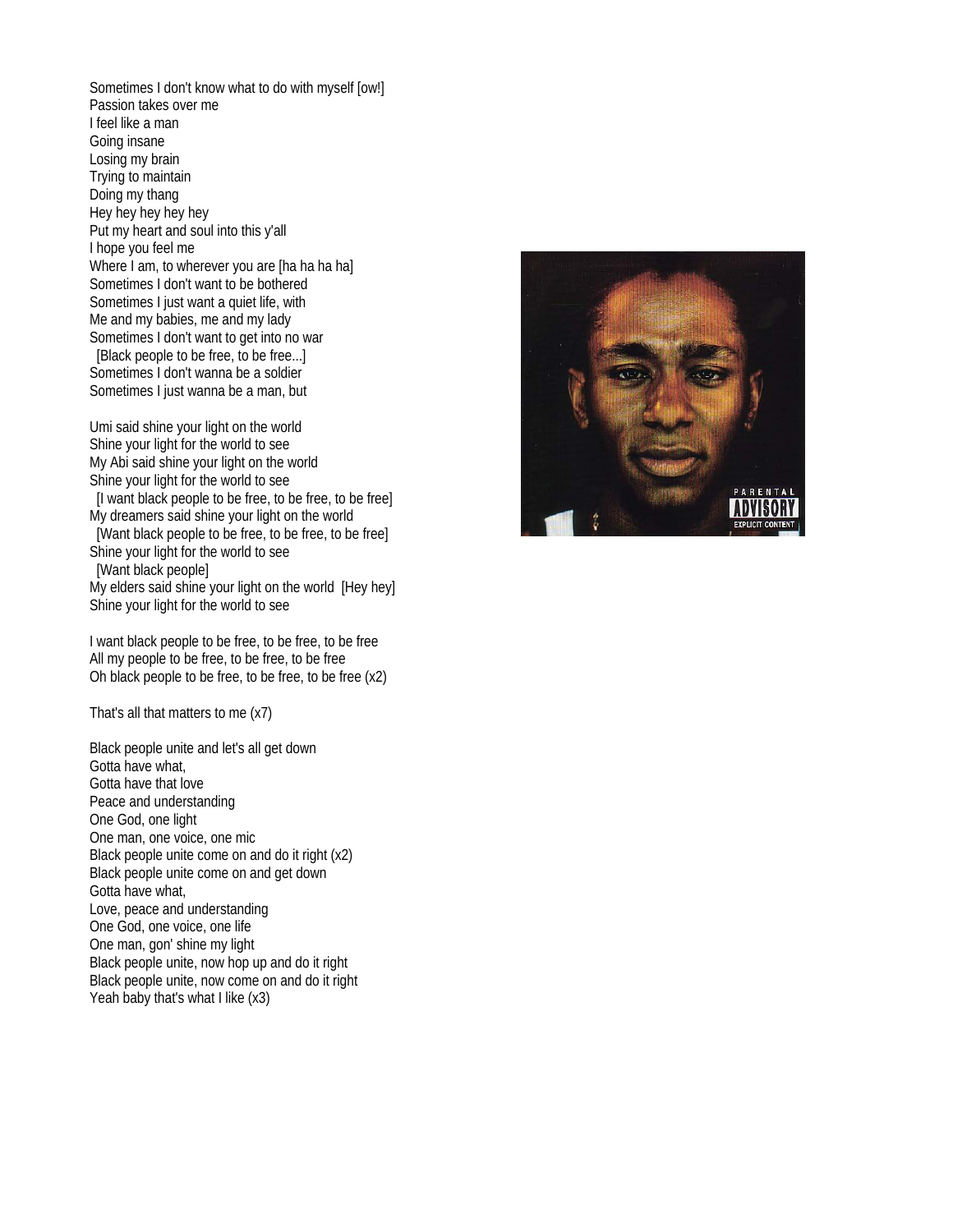Sometimes I don't know what to do with myself [ow!] Passion takes over me I feel like a man Going insane Losing my brain Trying to maintain Doing my thang Hey hey hey hey hey Put my heart and soul into this y'all I hope you feel me Where I am, to wherever you are [ha ha ha ha] Sometimes I don't want to be bothered Sometimes I just want a quiet life, with Me and my babies, me and my lady Sometimes I don't want to get into no war [Black people to be free, to be free...] Sometimes I don't wanna be a soldier Sometimes I just wanna be a man, but

Umi said shine your light on the world Shine your light for the world to see My Abi said shine your light on the world Shine your light for the world to see [I want black people to be free, to be free, to be free] My dreamers said shine your light on the world [Want black people to be free, to be free, to be free] Shine your light for the world to see [Want black people] My elders said shine your light on the world [Hey hey] Shine your light for the world to see

I want black people to be free, to be free, to be free All my people to be free, to be free, to be free Oh black people to be free, to be free, to be free (x2)

That's all that matters to me (x7)

Black people unite and let's all get down Gotta have what, Gotta have that love Peace and understanding One God, one light One man, one voice, one mic Black people unite come on and do it right (x2) Black people unite come on and get down Gotta have what, Love, peace and understanding One God, one voice, one life One man, gon' shine my light Black people unite, now hop up and do it right Black people unite, now come on and do it right Yeah baby that's what I like (x3)

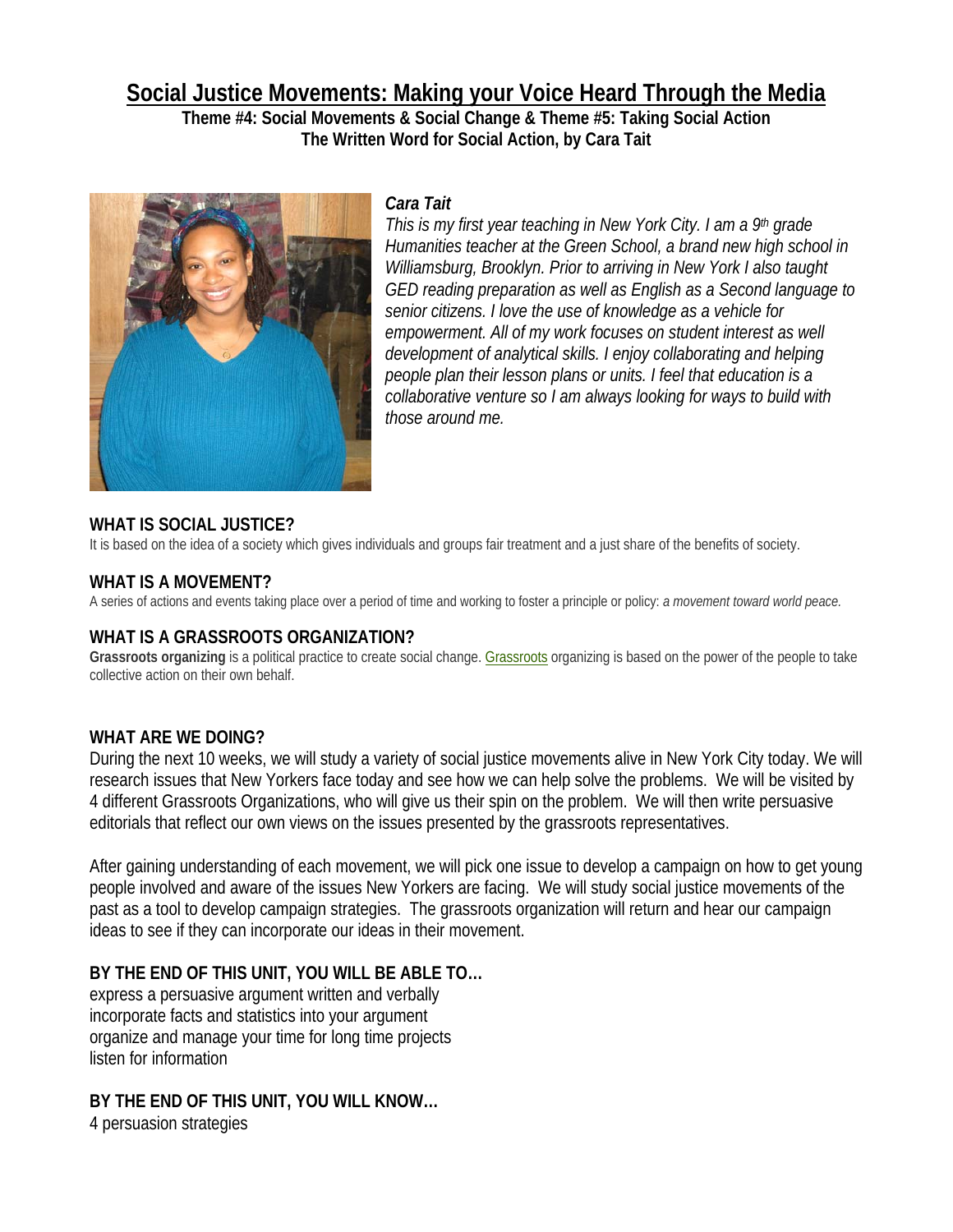## **Social Justice Movements: Making your Voice Heard Through the Media**

**Theme #4: Social Movements & Social Change & Theme #5: Taking Social Action The Written Word for Social Action, by Cara Tait** 



#### *Cara Tait*

*This is my first year teaching in New York City. I am a 9th grade Humanities teacher at the Green School, a brand new high school in Williamsburg, Brooklyn. Prior to arriving in New York I also taught GED reading preparation as well as English as a Second language to senior citizens. I love the use of knowledge as a vehicle for empowerment. All of my work focuses on student interest as well development of analytical skills. I enjoy collaborating and helping people plan their lesson plans or units. I feel that education is a collaborative venture so I am always looking for ways to build with those around me.* 

#### **WHAT IS SOCIAL JUSTICE?**

It is based on the idea of a society which gives individuals and groups fair treatment and a just share of the benefits of society.

#### **WHAT IS A MOVEMENT?**

A series of actions and events taking place over a period of time and working to foster a principle or policy: *a movement toward world peace.* 

#### **WHAT IS A GRASSROOTS ORGANIZATION?**

**Grassroots organizing** is a political practice to create social change. [Grassroots](http://www.reference.com/browse/wiki/Grassroots) organizing is based on the power of the people to take collective action on their own behalf.

#### **WHAT ARE WE DOING?**

During the next 10 weeks, we will study a variety of social justice movements alive in New York City today. We will research issues that New Yorkers face today and see how we can help solve the problems. We will be visited by 4 different Grassroots Organizations, who will give us their spin on the problem. We will then write persuasive editorials that reflect our own views on the issues presented by the grassroots representatives.

After gaining understanding of each movement, we will pick one issue to develop a campaign on how to get young people involved and aware of the issues New Yorkers are facing. We will study social justice movements of the past as a tool to develop campaign strategies. The grassroots organization will return and hear our campaign ideas to see if they can incorporate our ideas in their movement.

#### **BY THE END OF THIS UNIT, YOU WILL BE ABLE TO…**

express a persuasive argument written and verbally incorporate facts and statistics into your argument organize and manage your time for long time projects listen for information

#### **BY THE END OF THIS UNIT, YOU WILL KNOW…**

4 persuasion strategies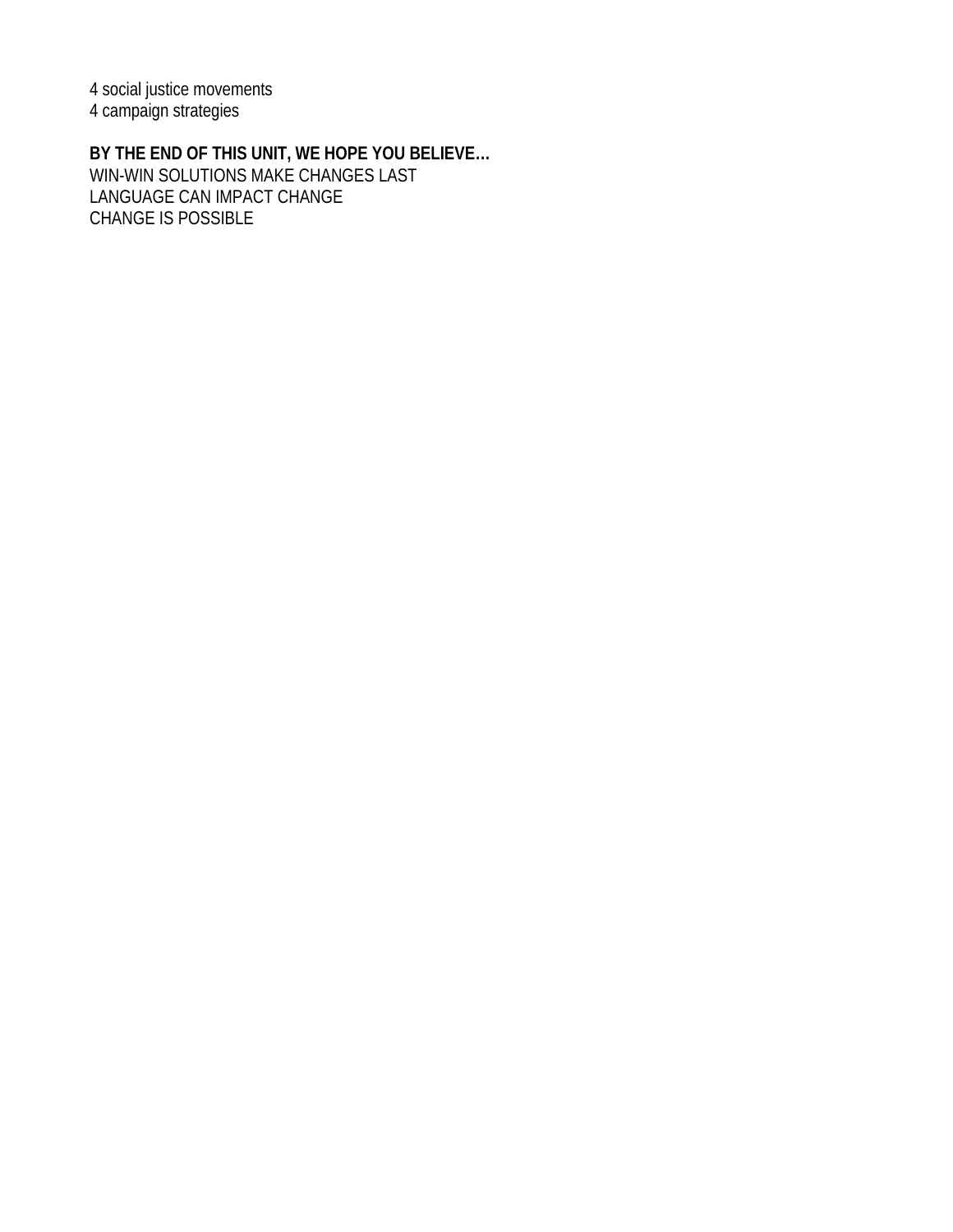4 social justice movements 4 campaign strategies

**BY THE END OF THIS UNIT, WE HOPE YOU BELIEVE…**  WIN-WIN SOLUTIONS MAKE CHANGES LAST LANGUAGE CAN IMPACT CHANGE CHANGE IS POSSIBLE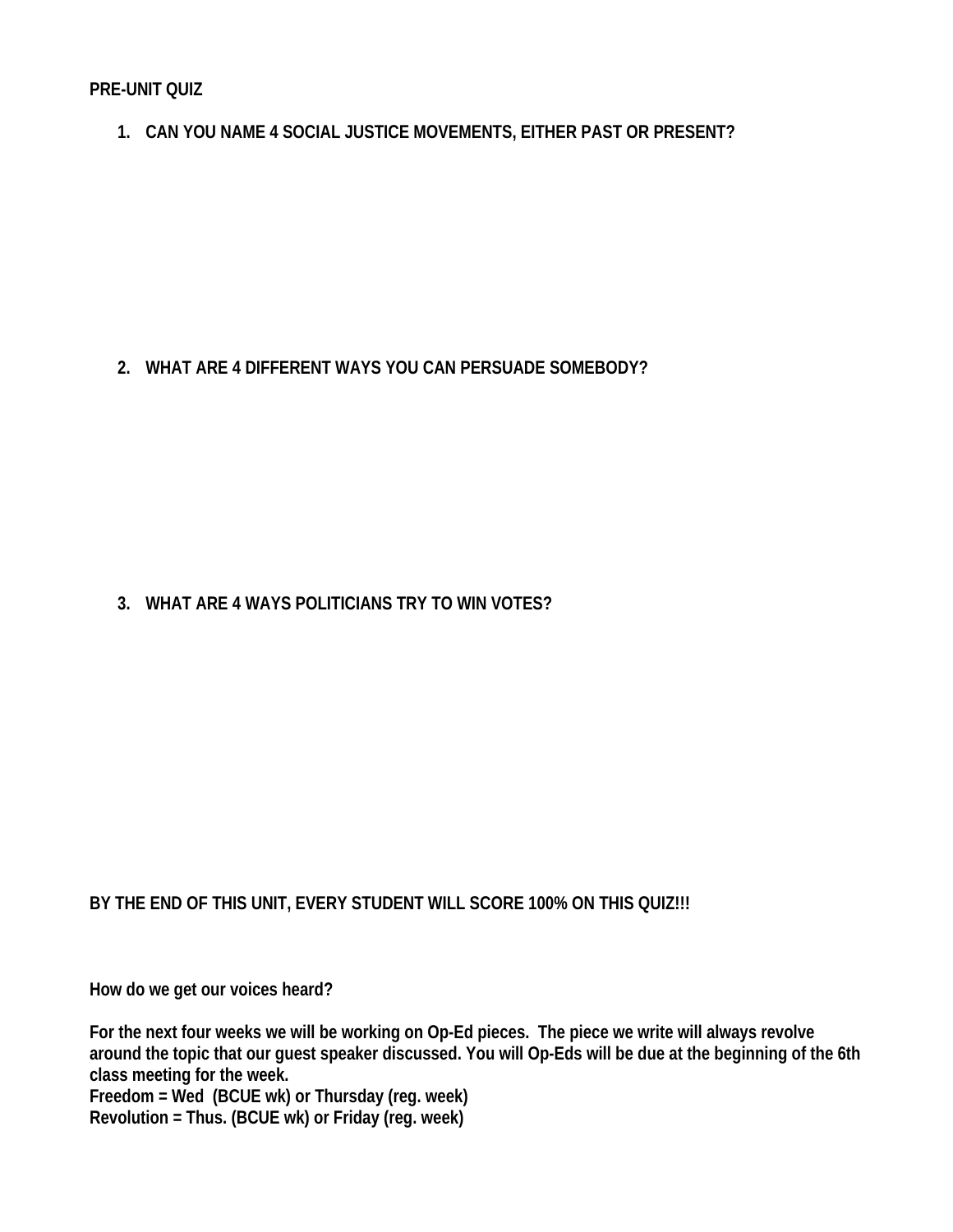#### **PRE-UNIT QUIZ**

**1. CAN YOU NAME 4 SOCIAL JUSTICE MOVEMENTS, EITHER PAST OR PRESENT?** 

#### **2. WHAT ARE 4 DIFFERENT WAYS YOU CAN PERSUADE SOMEBODY?**

#### **3. WHAT ARE 4 WAYS POLITICIANS TRY TO WIN VOTES?**

#### **BY THE END OF THIS UNIT, EVERY STUDENT WILL SCORE 100% ON THIS QUIZ!!!**

**How do we get our voices heard?** 

**For the next four weeks we will be working on Op-Ed pieces. The piece we write will always revolve around the topic that our guest speaker discussed. You will Op-Eds will be due at the beginning of the 6th class meeting for the week. Freedom = Wed (BCUE wk) or Thursday (reg. week)** 

**Revolution = Thus. (BCUE wk) or Friday (reg. week)**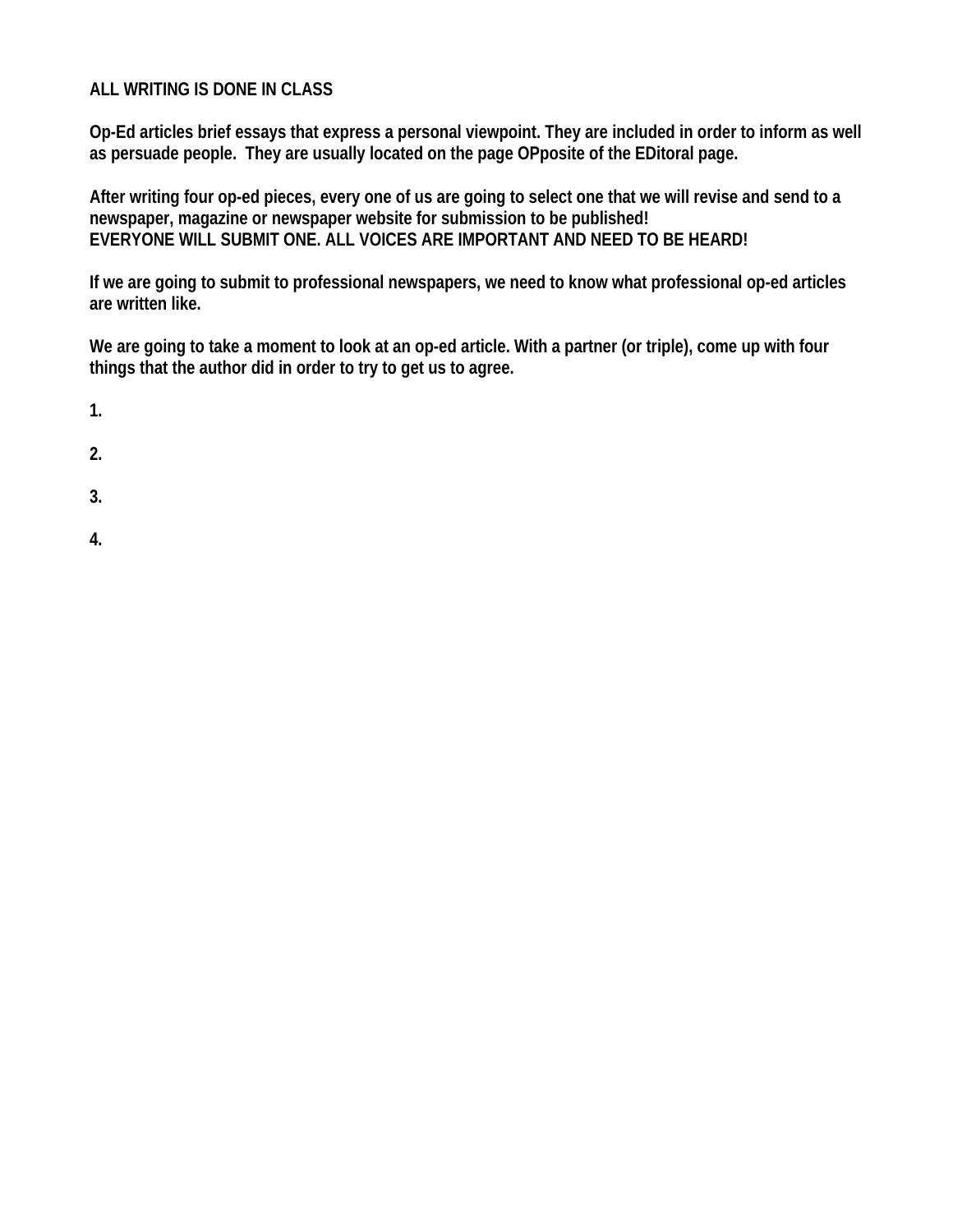#### **ALL WRITING IS DONE IN CLASS**

**Op-Ed articles brief essays that express a personal viewpoint. They are included in order to inform as well as persuade people. They are usually located on the page OPposite of the EDitoral page.** 

**After writing four op-ed pieces, every one of us are going to select one that we will revise and send to a newspaper, magazine or newspaper website for submission to be published! EVERYONE WILL SUBMIT ONE. ALL VOICES ARE IMPORTANT AND NEED TO BE HEARD!** 

**If we are going to submit to professional newspapers, we need to know what professional op-ed articles are written like.** 

**We are going to take a moment to look at an op-ed article. With a partner (or triple), come up with four things that the author did in order to try to get us to agree.** 

- **1.**
- **2.**
- 
- **3.**
- **4.**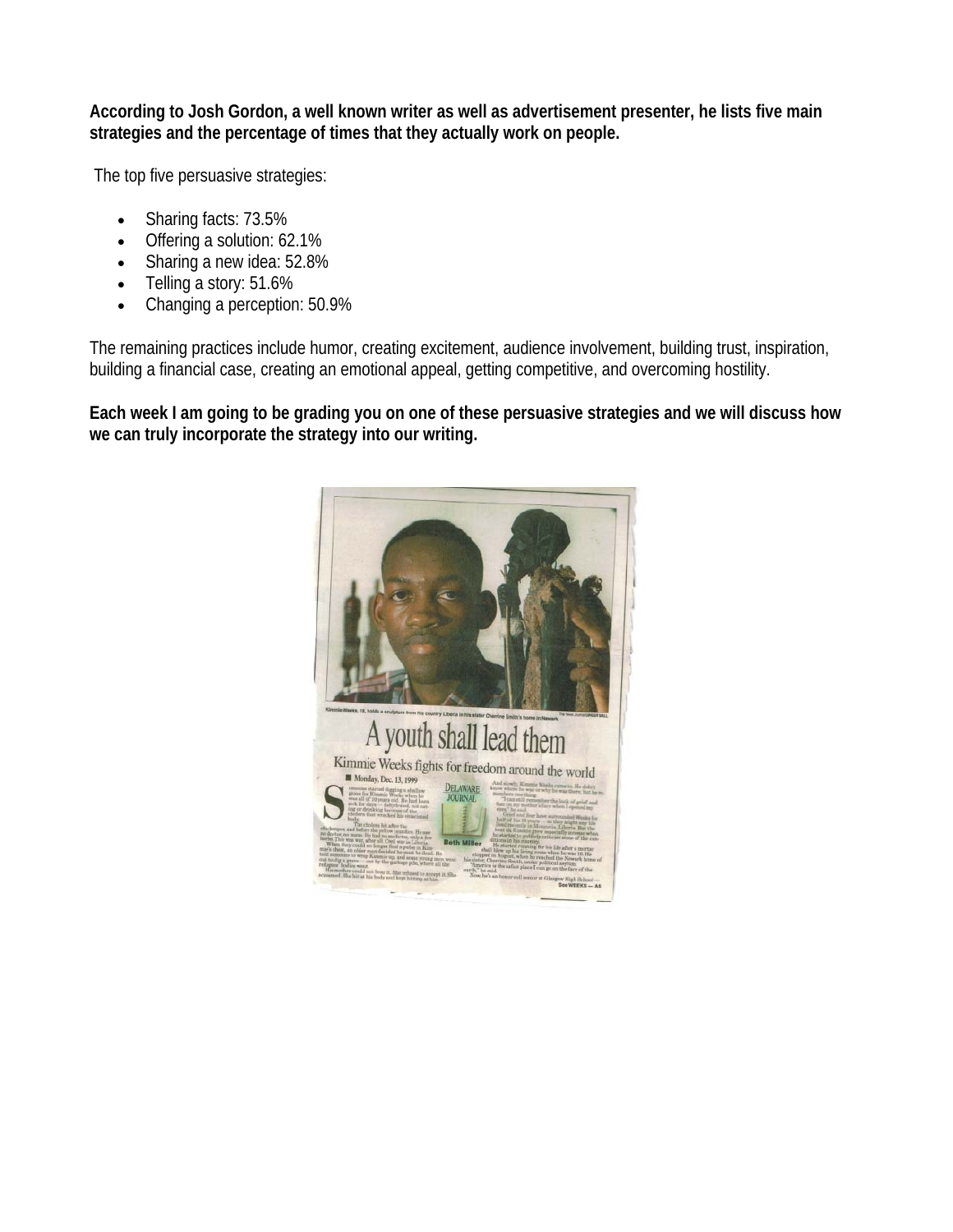**According to Josh Gordon, a well known writer as well as advertisement presenter, he lists five main strategies and the percentage of times that they actually work on people.** 

The top five persuasive strategies:

- Sharing facts: 73.5%
- Offering a solution: 62.1%
- Sharing a new idea: 52.8%
- Telling a story: 51.6%
- Changing a perception: 50.9%

The remaining practices include humor, creating excitement, audience involvement, building trust, inspiration, building a financial case, creating an emotional appeal, getting competitive, and overcoming hostility.

**Each week I am going to be grading you on one of these persuasive strategies and we will discuss how we can truly incorporate the strategy into our writing.** 

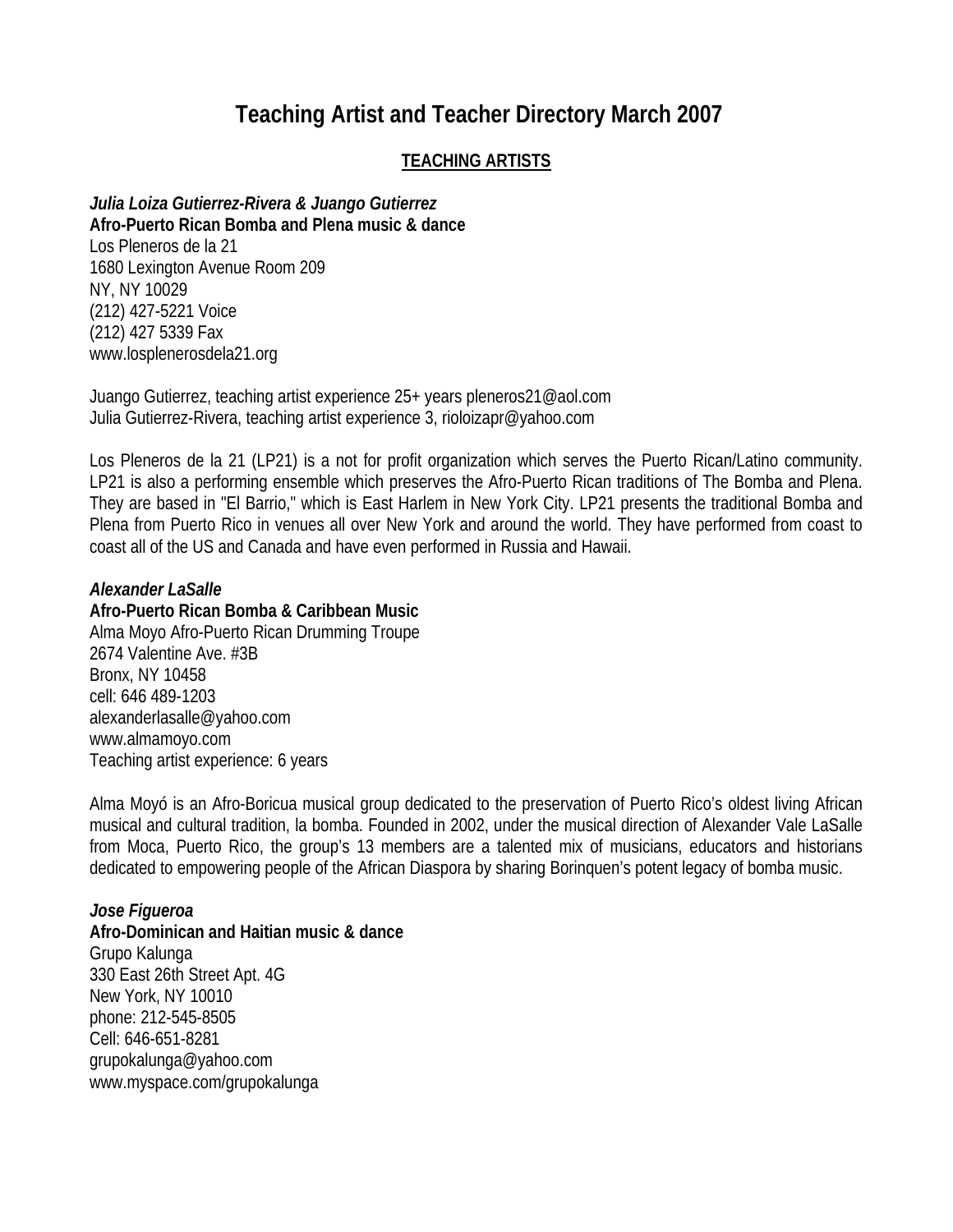## **Teaching Artist and Teacher Directory March 2007**

#### **TEACHING ARTISTS**

*Julia Loiza Gutierrez-Rivera & Juango Gutierrez*  **Afro-Puerto Rican Bomba and Plena music & dance**  Los Pleneros de la 21 1680 Lexington Avenue Room 209 NY, NY 10029 (212) 427-5221 Voice (212) 427 5339 Fax www.losplenerosdela21.org

Juango Gutierrez, teaching artist experience 25+ years pleneros21@aol.com Julia Gutierrez-Rivera, teaching artist experience 3, rioloizapr@yahoo.com

Los Pleneros de la 21 (LP21) is a not for profit organization which serves the Puerto Rican/Latino community. LP21 is also a performing ensemble which preserves the Afro-Puerto Rican traditions of The Bomba and Plena. They are based in "El Barrio," which is East Harlem in New York City. LP21 presents the traditional Bomba and Plena from Puerto Rico in venues all over New York and around the world. They have performed from coast to coast all of the US and Canada and have even performed in Russia and Hawaii.

#### *Alexander LaSalle*

**Afro-Puerto Rican Bomba & Caribbean Music**  Alma Moyo Afro-Puerto Rican Drumming Troupe 2674 Valentine Ave. #3B Bronx, NY 10458 cell: 646 489-1203 alexanderlasalle@yahoo.com www.almamoyo.com Teaching artist experience: 6 years

Alma Moyó is an Afro-Boricua musical group dedicated to the preservation of Puerto Rico's oldest living African musical and cultural tradition, la bomba. Founded in 2002, under the musical direction of Alexander Vale LaSalle from Moca, Puerto Rico, the group's 13 members are a talented mix of musicians, educators and historians dedicated to empowering people of the African Diaspora by sharing Borinquen's potent legacy of bomba music.

#### *Jose Figueroa*

**Afro-Dominican and Haitian music & dance**  Grupo Kalunga 330 East 26th Street Apt. 4G New York, NY 10010 phone: 212-545-8505 Cell: 646-651-8281 grupokalunga@yahoo.com www.myspace.com/grupokalunga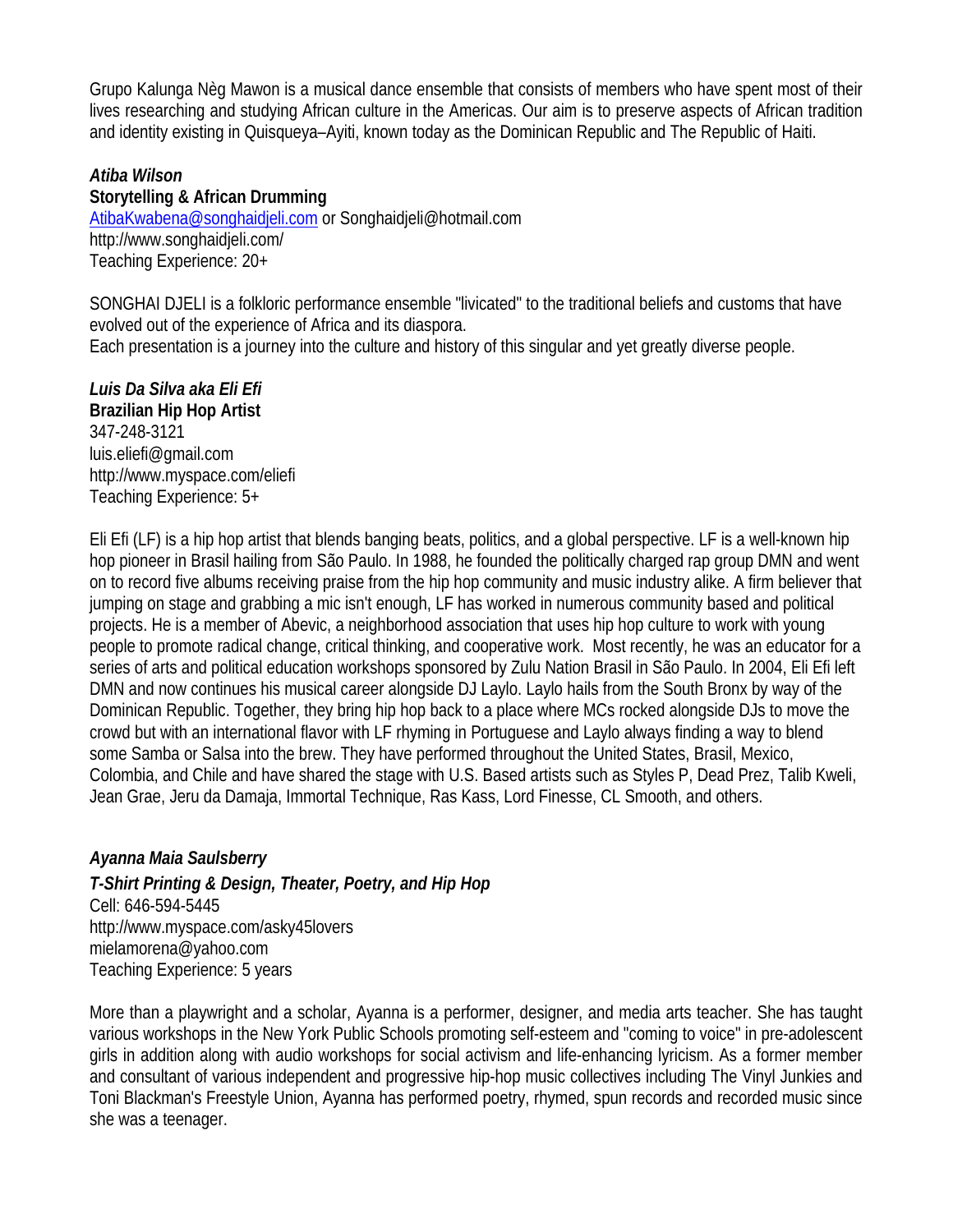Grupo Kalunga Nèg Mawon is a musical dance ensemble that consists of members who have spent most of their lives researching and studying African culture in the Americas. Our aim is to preserve aspects of African tradition and identity existing in Quisqueya–Ayiti, known today as the Dominican Republic and The Republic of Haiti.

#### *Atiba Wilson*

#### **Storytelling & African Drumming**

[AtibaKwabena@songhaidjeli.com](mailto:AtibaKwabena@songhaidjeli.com) or Songhaidjeli@hotmail.com http://www.songhaidjeli.com/ Teaching Experience: 20+

SONGHAI DJELI is a folkloric performance ensemble "livicated" to the traditional beliefs and customs that have evolved out of the experience of Africa and its diaspora. Each presentation is a journey into the culture and history of this singular and yet greatly diverse people.

*Luis Da Silva aka Eli Efi*  **Brazilian Hip Hop Artist**  347-248-3121 luis.eliefi@gmail.com http://www.myspace.com/eliefi Teaching Experience: 5+

Eli Efi (LF) is a hip hop artist that blends banging beats, politics, and a global perspective. LF is a well-known hip hop pioneer in Brasil hailing from São Paulo. In 1988, he founded the politically charged rap group DMN and went on to record five albums receiving praise from the hip hop community and music industry alike. A firm believer that jumping on stage and grabbing a mic isn't enough, LF has worked in numerous community based and political projects. He is a member of Abevic, a neighborhood association that uses hip hop culture to work with young people to promote radical change, critical thinking, and cooperative work. Most recently, he was an educator for a series of arts and political education workshops sponsored by Zulu Nation Brasil in São Paulo. In 2004, Eli Efi left DMN and now continues his musical career alongside DJ Laylo. Laylo hails from the South Bronx by way of the Dominican Republic. Together, they bring hip hop back to a place where MCs rocked alongside DJs to move the crowd but with an international flavor with LF rhyming in Portuguese and Laylo always finding a way to blend some Samba or Salsa into the brew. They have performed throughout the United States, Brasil, Mexico, Colombia, and Chile and have shared the stage with U.S. Based artists such as Styles P, Dead Prez, Talib Kweli, Jean Grae, Jeru da Damaja, Immortal Technique, Ras Kass, Lord Finesse, CL Smooth, and others.

#### *Ayanna Maia Saulsberry*

*T-Shirt Printing & Design, Theater, Poetry, and Hip Hop*  Cell: 646-594-5445 http://www.myspace.com/asky45lovers mielamorena@yahoo.com Teaching Experience: 5 years

More than a playwright and a scholar, Ayanna is a performer, designer, and media arts teacher. She has taught various workshops in the New York Public Schools promoting self-esteem and "coming to voice" in pre-adolescent girls in addition along with audio workshops for social activism and life-enhancing lyricism. As a former member and consultant of various independent and progressive hip-hop music collectives including The Vinyl Junkies and Toni Blackman's Freestyle Union, Ayanna has performed poetry, rhymed, spun records and recorded music since she was a teenager.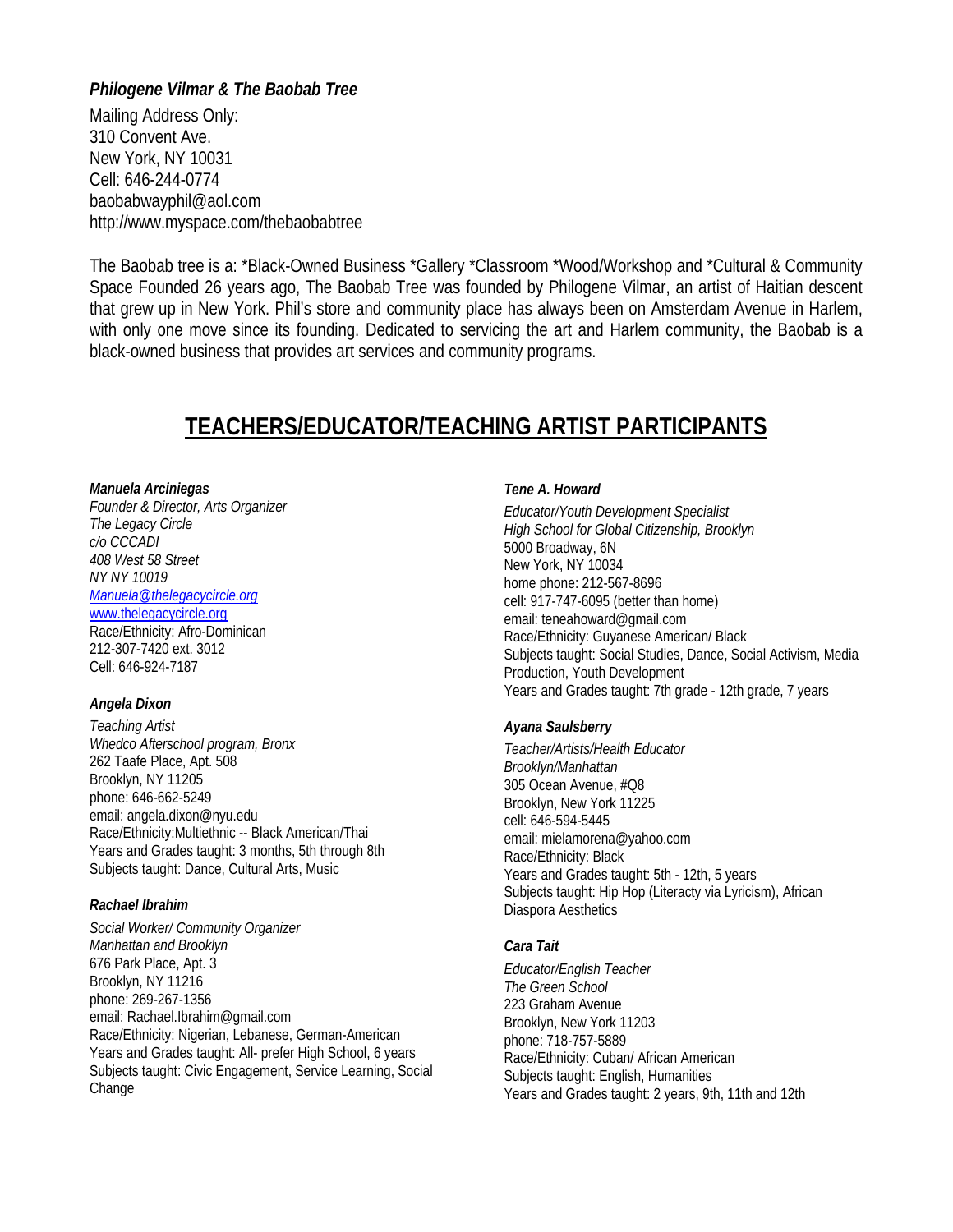#### *Philogene Vilmar & The Baobab Tree*

Mailing Address Only: 310 Convent Ave. New York, NY 10031 Cell: 646-244-0774 baobabwayphil@aol.com http://www.myspace.com/thebaobabtree

The Baobab tree is a: \*Black-Owned Business \*Gallery \*Classroom \*Wood/Workshop and \*Cultural & Community Space Founded 26 years ago, The Baobab Tree was founded by Philogene Vilmar, an artist of Haitian descent that grew up in New York. Phil's store and community place has always been on Amsterdam Avenue in Harlem, with only one move since its founding. Dedicated to servicing the art and Harlem community, the Baobab is a black-owned business that provides art services and community programs.

## **TEACHERS/EDUCATOR/TEACHING ARTIST PARTICIPANTS**

#### *Manuela Arciniegas*

*Founder & Director, Arts Organizer The Legacy Circle c/o CCCADI 408 West 58 Street NY NY 10019 [Manuela@thelegacycircle.org](mailto:Manuela@thelegacycircle.org)* [www.thelegacycircle.org](http://www.thelegacycircle.org/) Race/Ethnicity: Afro-Dominican 212-307-7420 ext. 3012 Cell: 646-924-7187

#### *Angela Dixon*

*Teaching Artist Whedco Afterschool program, Bronx* 262 Taafe Place, Apt. 508 Brooklyn, NY 11205 phone: 646-662-5249 email: angela.dixon@nyu.edu Race/Ethnicity:Multiethnic -- Black American/Thai Years and Grades taught: 3 months, 5th through 8th Subjects taught: Dance, Cultural Arts, Music

#### *Rachael Ibrahim*

*Social Worker/ Community Organizer Manhattan and Brooklyn* 676 Park Place, Apt. 3 Brooklyn, NY 11216 phone: 269-267-1356 email: Rachael.Ibrahim@gmail.com Race/Ethnicity: Nigerian, Lebanese, German-American Years and Grades taught: All- prefer High School, 6 years Subjects taught: Civic Engagement, Service Learning, Social Change

#### *Tene A. Howard*

*Educator/Youth Development Specialist High School for Global Citizenship, Brooklyn* 5000 Broadway, 6N New York, NY 10034 home phone: 212-567-8696 cell: 917-747-6095 (better than home) email: teneahoward@gmail.com Race/Ethnicity: Guyanese American/ Black Subjects taught: Social Studies, Dance, Social Activism, Media Production, Youth Development Years and Grades taught: 7th grade - 12th grade, 7 years

#### *Ayana Saulsberry*

*Teacher/Artists/Health Educator Brooklyn/Manhattan* 305 Ocean Avenue, #Q8 Brooklyn, New York 11225 cell: 646-594-5445 email: mielamorena@yahoo.com Race/Ethnicity: Black Years and Grades taught: 5th - 12th, 5 years Subjects taught: Hip Hop (Literacty via Lyricism), African Diaspora Aesthetics

#### *Cara Tait*

*Educator/English Teacher The Green School* 223 Graham Avenue Brooklyn, New York 11203 phone: 718-757-5889 Race/Ethnicity: Cuban/ African American Subjects taught: English, Humanities Years and Grades taught: 2 years, 9th, 11th and 12th